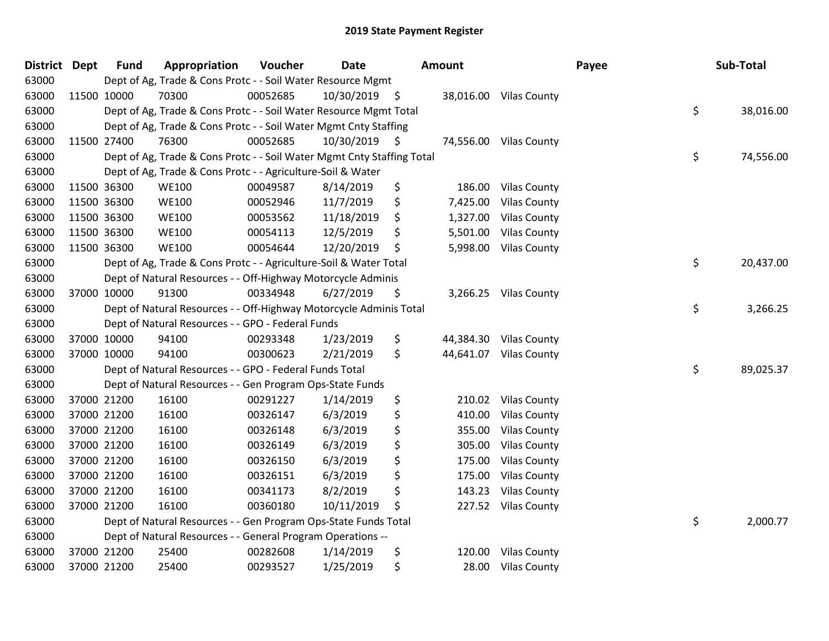| <b>District</b> | <b>Dept</b> | <b>Fund</b> | Appropriation                                                          | Voucher  | <b>Date</b>   | Amount          |                        | Payee | Sub-Total |           |
|-----------------|-------------|-------------|------------------------------------------------------------------------|----------|---------------|-----------------|------------------------|-------|-----------|-----------|
| 63000           |             |             | Dept of Ag, Trade & Cons Protc - - Soil Water Resource Mgmt            |          |               |                 |                        |       |           |           |
| 63000           |             | 11500 10000 | 70300                                                                  | 00052685 | 10/30/2019 \$ |                 | 38,016.00 Vilas County |       |           |           |
| 63000           |             |             | Dept of Ag, Trade & Cons Protc - - Soil Water Resource Mgmt Total      |          |               |                 |                        | \$    |           | 38,016.00 |
| 63000           |             |             | Dept of Ag, Trade & Cons Protc - - Soil Water Mgmt Cnty Staffing       |          |               |                 |                        |       |           |           |
| 63000           |             | 11500 27400 | 76300                                                                  | 00052685 | 10/30/2019 \$ | 74,556.00       | <b>Vilas County</b>    |       |           |           |
| 63000           |             |             | Dept of Ag, Trade & Cons Protc - - Soil Water Mgmt Cnty Staffing Total |          |               |                 |                        | \$    |           | 74,556.00 |
| 63000           |             |             | Dept of Ag, Trade & Cons Protc - - Agriculture-Soil & Water            |          |               |                 |                        |       |           |           |
| 63000           |             | 11500 36300 | <b>WE100</b>                                                           | 00049587 | 8/14/2019     | \$<br>186.00    | <b>Vilas County</b>    |       |           |           |
| 63000           |             | 11500 36300 | <b>WE100</b>                                                           | 00052946 | 11/7/2019     | \$<br>7,425.00  | <b>Vilas County</b>    |       |           |           |
| 63000           |             | 11500 36300 | <b>WE100</b>                                                           | 00053562 | 11/18/2019    | \$<br>1,327.00  | <b>Vilas County</b>    |       |           |           |
| 63000           |             | 11500 36300 | <b>WE100</b>                                                           | 00054113 | 12/5/2019     | \$<br>5,501.00  | <b>Vilas County</b>    |       |           |           |
| 63000           |             | 11500 36300 | <b>WE100</b>                                                           | 00054644 | 12/20/2019    | \$<br>5,998.00  | <b>Vilas County</b>    |       |           |           |
| 63000           |             |             | Dept of Ag, Trade & Cons Protc - - Agriculture-Soil & Water Total      |          |               |                 |                        | \$    |           | 20,437.00 |
| 63000           |             |             | Dept of Natural Resources - - Off-Highway Motorcycle Adminis           |          |               |                 |                        |       |           |           |
| 63000           |             | 37000 10000 | 91300                                                                  | 00334948 | 6/27/2019     | \$<br>3,266.25  | <b>Vilas County</b>    |       |           |           |
| 63000           |             |             | Dept of Natural Resources - - Off-Highway Motorcycle Adminis Total     |          |               |                 |                        | \$    |           | 3,266.25  |
| 63000           |             |             | Dept of Natural Resources - - GPO - Federal Funds                      |          |               |                 |                        |       |           |           |
| 63000           |             | 37000 10000 | 94100                                                                  | 00293348 | 1/23/2019     | \$<br>44,384.30 | <b>Vilas County</b>    |       |           |           |
| 63000           |             | 37000 10000 | 94100                                                                  | 00300623 | 2/21/2019     | \$<br>44,641.07 | <b>Vilas County</b>    |       |           |           |
| 63000           |             |             | Dept of Natural Resources - - GPO - Federal Funds Total                |          |               |                 |                        | \$    |           | 89,025.37 |
| 63000           |             |             | Dept of Natural Resources - - Gen Program Ops-State Funds              |          |               |                 |                        |       |           |           |
| 63000           |             | 37000 21200 | 16100                                                                  | 00291227 | 1/14/2019     | \$<br>210.02    | <b>Vilas County</b>    |       |           |           |
| 63000           |             | 37000 21200 | 16100                                                                  | 00326147 | 6/3/2019      | \$<br>410.00    | <b>Vilas County</b>    |       |           |           |
| 63000           |             | 37000 21200 | 16100                                                                  | 00326148 | 6/3/2019      | \$<br>355.00    | <b>Vilas County</b>    |       |           |           |
| 63000           |             | 37000 21200 | 16100                                                                  | 00326149 | 6/3/2019      | \$<br>305.00    | <b>Vilas County</b>    |       |           |           |
| 63000           |             | 37000 21200 | 16100                                                                  | 00326150 | 6/3/2019      | \$<br>175.00    | <b>Vilas County</b>    |       |           |           |
| 63000           |             | 37000 21200 | 16100                                                                  | 00326151 | 6/3/2019      | \$<br>175.00    | <b>Vilas County</b>    |       |           |           |
| 63000           |             | 37000 21200 | 16100                                                                  | 00341173 | 8/2/2019      | \$<br>143.23    | <b>Vilas County</b>    |       |           |           |
| 63000           |             | 37000 21200 | 16100                                                                  | 00360180 | 10/11/2019    | \$<br>227.52    | <b>Vilas County</b>    |       |           |           |
| 63000           |             |             | Dept of Natural Resources - - Gen Program Ops-State Funds Total        |          |               |                 |                        | \$    |           | 2,000.77  |
| 63000           |             |             | Dept of Natural Resources - - General Program Operations --            |          |               |                 |                        |       |           |           |
| 63000           |             | 37000 21200 | 25400                                                                  | 00282608 | 1/14/2019     | \$<br>120.00    | <b>Vilas County</b>    |       |           |           |
| 63000           |             | 37000 21200 | 25400                                                                  | 00293527 | 1/25/2019     | \$<br>28.00     | <b>Vilas County</b>    |       |           |           |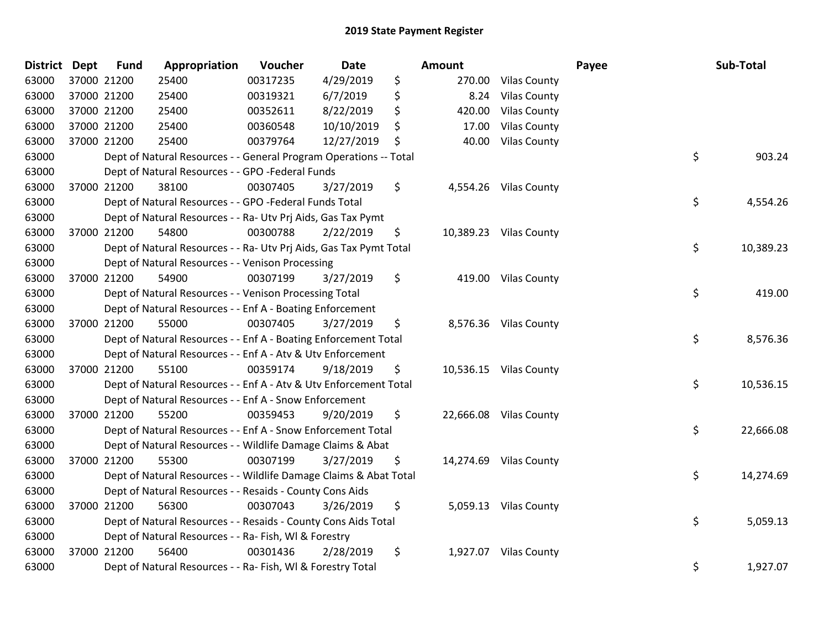| <b>District</b> | <b>Dept</b> | <b>Fund</b> | Appropriation                                                      | Voucher  | <b>Date</b> | Amount         |                        | Payee | Sub-Total |
|-----------------|-------------|-------------|--------------------------------------------------------------------|----------|-------------|----------------|------------------------|-------|-----------|
| 63000           |             | 37000 21200 | 25400                                                              | 00317235 | 4/29/2019   | \$<br>270.00   | <b>Vilas County</b>    |       |           |
| 63000           |             | 37000 21200 | 25400                                                              | 00319321 | 6/7/2019    | \$<br>8.24     | <b>Vilas County</b>    |       |           |
| 63000           |             | 37000 21200 | 25400                                                              | 00352611 | 8/22/2019   | \$<br>420.00   | <b>Vilas County</b>    |       |           |
| 63000           |             | 37000 21200 | 25400                                                              | 00360548 | 10/10/2019  | \$<br>17.00    | <b>Vilas County</b>    |       |           |
| 63000           |             | 37000 21200 | 25400                                                              | 00379764 | 12/27/2019  | \$<br>40.00    | <b>Vilas County</b>    |       |           |
| 63000           |             |             | Dept of Natural Resources - - General Program Operations -- Total  |          |             |                |                        | \$    | 903.24    |
| 63000           |             |             | Dept of Natural Resources - - GPO -Federal Funds                   |          |             |                |                        |       |           |
| 63000           |             | 37000 21200 | 38100                                                              | 00307405 | 3/27/2019   | \$<br>4,554.26 | <b>Vilas County</b>    |       |           |
| 63000           |             |             | Dept of Natural Resources - - GPO -Federal Funds Total             |          |             |                |                        | \$    | 4,554.26  |
| 63000           |             |             | Dept of Natural Resources - - Ra- Utv Prj Aids, Gas Tax Pymt       |          |             |                |                        |       |           |
| 63000           |             | 37000 21200 | 54800                                                              | 00300788 | 2/22/2019   | \$             | 10,389.23 Vilas County |       |           |
| 63000           |             |             | Dept of Natural Resources - - Ra- Utv Prj Aids, Gas Tax Pymt Total |          |             |                |                        | \$    | 10,389.23 |
| 63000           |             |             | Dept of Natural Resources - - Venison Processing                   |          |             |                |                        |       |           |
| 63000           |             | 37000 21200 | 54900                                                              | 00307199 | 3/27/2019   | \$             | 419.00 Vilas County    |       |           |
| 63000           |             |             | Dept of Natural Resources - - Venison Processing Total             |          |             |                |                        | \$    | 419.00    |
| 63000           |             |             | Dept of Natural Resources - - Enf A - Boating Enforcement          |          |             |                |                        |       |           |
| 63000           |             | 37000 21200 | 55000                                                              | 00307405 | 3/27/2019   | \$             | 8,576.36 Vilas County  |       |           |
| 63000           |             |             | Dept of Natural Resources - - Enf A - Boating Enforcement Total    |          |             |                |                        | \$    | 8,576.36  |
| 63000           |             |             | Dept of Natural Resources - - Enf A - Atv & Utv Enforcement        |          |             |                |                        |       |           |
| 63000           |             | 37000 21200 | 55100                                                              | 00359174 | 9/18/2019   | \$             | 10,536.15 Vilas County |       |           |
| 63000           |             |             | Dept of Natural Resources - - Enf A - Atv & Utv Enforcement Total  |          |             |                |                        | \$    | 10,536.15 |
| 63000           |             |             | Dept of Natural Resources - - Enf A - Snow Enforcement             |          |             |                |                        |       |           |
| 63000           |             | 37000 21200 | 55200                                                              | 00359453 | 9/20/2019   | \$             | 22,666.08 Vilas County |       |           |
| 63000           |             |             | Dept of Natural Resources - - Enf A - Snow Enforcement Total       |          |             |                |                        | \$    | 22,666.08 |
| 63000           |             |             | Dept of Natural Resources - - Wildlife Damage Claims & Abat        |          |             |                |                        |       |           |
| 63000           |             | 37000 21200 | 55300                                                              | 00307199 | 3/27/2019   | \$             | 14,274.69 Vilas County |       |           |
| 63000           |             |             | Dept of Natural Resources - - Wildlife Damage Claims & Abat Total  |          |             |                |                        | \$    | 14,274.69 |
| 63000           |             |             | Dept of Natural Resources - - Resaids - County Cons Aids           |          |             |                |                        |       |           |
| 63000           |             | 37000 21200 | 56300                                                              | 00307043 | 3/26/2019   | \$             | 5,059.13 Vilas County  |       |           |
| 63000           |             |             | Dept of Natural Resources - - Resaids - County Cons Aids Total     |          |             |                |                        | \$    | 5,059.13  |
| 63000           |             |             | Dept of Natural Resources - - Ra- Fish, WI & Forestry              |          |             |                |                        |       |           |
| 63000           |             | 37000 21200 | 56400                                                              | 00301436 | 2/28/2019   | \$<br>1,927.07 | <b>Vilas County</b>    |       |           |
| 63000           |             |             | Dept of Natural Resources - - Ra- Fish, WI & Forestry Total        |          |             |                |                        | \$    | 1,927.07  |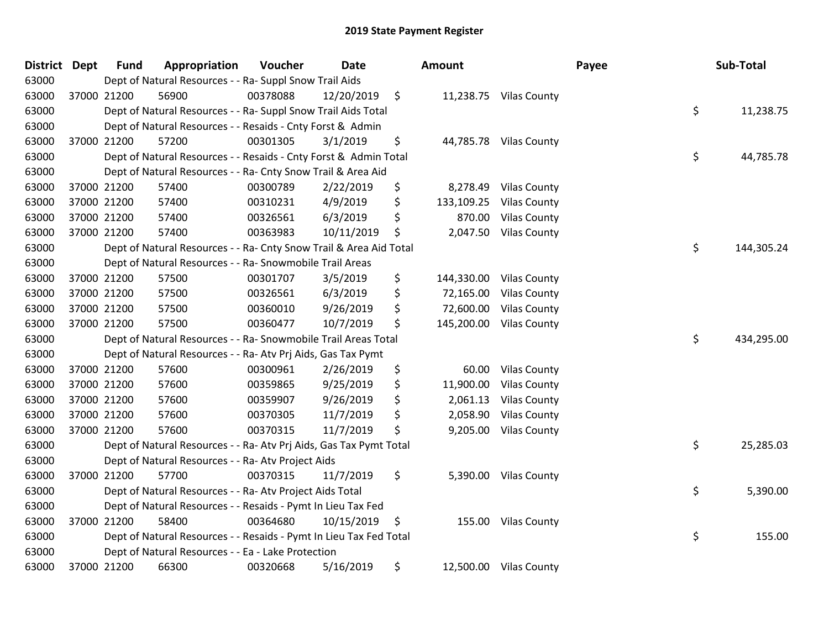| District Dept |             | <b>Fund</b> | Appropriation                                                      | Voucher  | <b>Date</b> |         | Amount     |                         | Payee | Sub-Total  |
|---------------|-------------|-------------|--------------------------------------------------------------------|----------|-------------|---------|------------|-------------------------|-------|------------|
| 63000         |             |             | Dept of Natural Resources - - Ra- Suppl Snow Trail Aids            |          |             |         |            |                         |       |            |
| 63000         | 37000 21200 |             | 56900                                                              | 00378088 | 12/20/2019  | $\zeta$ |            | 11,238.75 Vilas County  |       |            |
| 63000         |             |             | Dept of Natural Resources - - Ra- Suppl Snow Trail Aids Total      |          |             |         |            |                         | \$    | 11,238.75  |
| 63000         |             |             | Dept of Natural Resources - - Resaids - Cnty Forst & Admin         |          |             |         |            |                         |       |            |
| 63000         | 37000 21200 |             | 57200                                                              | 00301305 | 3/1/2019    | \$      |            | 44,785.78 Vilas County  |       |            |
| 63000         |             |             | Dept of Natural Resources - - Resaids - Cnty Forst & Admin Total   |          |             |         |            |                         | \$    | 44,785.78  |
| 63000         |             |             | Dept of Natural Resources - - Ra- Cnty Snow Trail & Area Aid       |          |             |         |            |                         |       |            |
| 63000         | 37000 21200 |             | 57400                                                              | 00300789 | 2/22/2019   | \$      | 8,278.49   | <b>Vilas County</b>     |       |            |
| 63000         | 37000 21200 |             | 57400                                                              | 00310231 | 4/9/2019    | \$      | 133,109.25 | <b>Vilas County</b>     |       |            |
| 63000         | 37000 21200 |             | 57400                                                              | 00326561 | 6/3/2019    | \$      | 870.00     | <b>Vilas County</b>     |       |            |
| 63000         | 37000 21200 |             | 57400                                                              | 00363983 | 10/11/2019  | \$      | 2,047.50   | <b>Vilas County</b>     |       |            |
| 63000         |             |             | Dept of Natural Resources - - Ra- Cnty Snow Trail & Area Aid Total |          |             |         |            |                         | \$    | 144,305.24 |
| 63000         |             |             | Dept of Natural Resources - - Ra- Snowmobile Trail Areas           |          |             |         |            |                         |       |            |
| 63000         | 37000 21200 |             | 57500                                                              | 00301707 | 3/5/2019    | \$      | 144,330.00 | <b>Vilas County</b>     |       |            |
| 63000         | 37000 21200 |             | 57500                                                              | 00326561 | 6/3/2019    | \$      | 72,165.00  | <b>Vilas County</b>     |       |            |
| 63000         | 37000 21200 |             | 57500                                                              | 00360010 | 9/26/2019   | \$      | 72,600.00  | <b>Vilas County</b>     |       |            |
| 63000         | 37000 21200 |             | 57500                                                              | 00360477 | 10/7/2019   | \$      |            | 145,200.00 Vilas County |       |            |
| 63000         |             |             | Dept of Natural Resources - - Ra- Snowmobile Trail Areas Total     |          |             |         |            |                         | \$    | 434,295.00 |
| 63000         |             |             | Dept of Natural Resources - - Ra- Atv Prj Aids, Gas Tax Pymt       |          |             |         |            |                         |       |            |
| 63000         | 37000 21200 |             | 57600                                                              | 00300961 | 2/26/2019   | \$      | 60.00      | <b>Vilas County</b>     |       |            |
| 63000         | 37000 21200 |             | 57600                                                              | 00359865 | 9/25/2019   | \$      | 11,900.00  | <b>Vilas County</b>     |       |            |
| 63000         | 37000 21200 |             | 57600                                                              | 00359907 | 9/26/2019   | \$      | 2,061.13   | <b>Vilas County</b>     |       |            |
| 63000         | 37000 21200 |             | 57600                                                              | 00370305 | 11/7/2019   | \$      | 2,058.90   | <b>Vilas County</b>     |       |            |
| 63000         | 37000 21200 |             | 57600                                                              | 00370315 | 11/7/2019   | \$      | 9,205.00   | <b>Vilas County</b>     |       |            |
| 63000         |             |             | Dept of Natural Resources - - Ra- Atv Prj Aids, Gas Tax Pymt Total |          |             |         |            |                         | \$    | 25,285.03  |
| 63000         |             |             | Dept of Natural Resources - - Ra- Atv Project Aids                 |          |             |         |            |                         |       |            |
| 63000         | 37000 21200 |             | 57700                                                              | 00370315 | 11/7/2019   | \$      |            | 5,390.00 Vilas County   |       |            |
| 63000         |             |             | Dept of Natural Resources - - Ra- Atv Project Aids Total           |          |             |         |            |                         | \$    | 5,390.00   |
| 63000         |             |             | Dept of Natural Resources - - Resaids - Pymt In Lieu Tax Fed       |          |             |         |            |                         |       |            |
| 63000         | 37000 21200 |             | 58400                                                              | 00364680 | 10/15/2019  | \$      |            | 155.00 Vilas County     |       |            |
| 63000         |             |             | Dept of Natural Resources - - Resaids - Pymt In Lieu Tax Fed Total |          |             |         |            |                         | \$    | 155.00     |
| 63000         |             |             | Dept of Natural Resources - - Ea - Lake Protection                 |          |             |         |            |                         |       |            |
| 63000         |             | 37000 21200 | 66300                                                              | 00320668 | 5/16/2019   | \$      |            | 12,500.00 Vilas County  |       |            |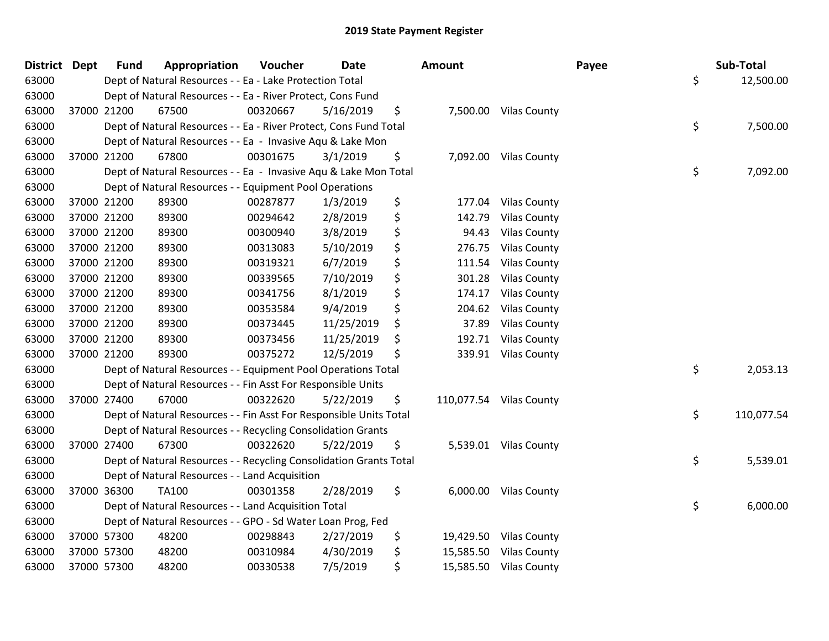| <b>District Dept</b> |             | <b>Fund</b> | Appropriation                                                      | Voucher  | <b>Date</b> | Amount          |                         | Payee | Sub-Total        |
|----------------------|-------------|-------------|--------------------------------------------------------------------|----------|-------------|-----------------|-------------------------|-------|------------------|
| 63000                |             |             | Dept of Natural Resources - - Ea - Lake Protection Total           |          |             |                 |                         |       | \$<br>12,500.00  |
| 63000                |             |             | Dept of Natural Resources - - Ea - River Protect, Cons Fund        |          |             |                 |                         |       |                  |
| 63000                |             | 37000 21200 | 67500                                                              | 00320667 | 5/16/2019   | \$              | 7,500.00 Vilas County   |       |                  |
| 63000                |             |             | Dept of Natural Resources - - Ea - River Protect, Cons Fund Total  |          |             |                 |                         |       | \$<br>7,500.00   |
| 63000                |             |             | Dept of Natural Resources - - Ea - Invasive Aqu & Lake Mon         |          |             |                 |                         |       |                  |
| 63000                |             | 37000 21200 | 67800                                                              | 00301675 | 3/1/2019    | \$<br>7,092.00  | <b>Vilas County</b>     |       |                  |
| 63000                |             |             | Dept of Natural Resources - - Ea - Invasive Aqu & Lake Mon Total   |          |             |                 |                         |       | \$<br>7,092.00   |
| 63000                |             |             | Dept of Natural Resources - - Equipment Pool Operations            |          |             |                 |                         |       |                  |
| 63000                | 37000 21200 |             | 89300                                                              | 00287877 | 1/3/2019    | \$<br>177.04    | <b>Vilas County</b>     |       |                  |
| 63000                |             | 37000 21200 | 89300                                                              | 00294642 | 2/8/2019    | \$<br>142.79    | <b>Vilas County</b>     |       |                  |
| 63000                |             | 37000 21200 | 89300                                                              | 00300940 | 3/8/2019    | \$<br>94.43     | <b>Vilas County</b>     |       |                  |
| 63000                |             | 37000 21200 | 89300                                                              | 00313083 | 5/10/2019   | \$<br>276.75    | <b>Vilas County</b>     |       |                  |
| 63000                | 37000 21200 |             | 89300                                                              | 00319321 | 6/7/2019    | \$<br>111.54    | <b>Vilas County</b>     |       |                  |
| 63000                | 37000 21200 |             | 89300                                                              | 00339565 | 7/10/2019   | \$<br>301.28    | <b>Vilas County</b>     |       |                  |
| 63000                | 37000 21200 |             | 89300                                                              | 00341756 | 8/1/2019    | \$<br>174.17    | <b>Vilas County</b>     |       |                  |
| 63000                |             | 37000 21200 | 89300                                                              | 00353584 | 9/4/2019    | \$<br>204.62    | <b>Vilas County</b>     |       |                  |
| 63000                |             | 37000 21200 | 89300                                                              | 00373445 | 11/25/2019  | \$<br>37.89     | <b>Vilas County</b>     |       |                  |
| 63000                | 37000 21200 |             | 89300                                                              | 00373456 | 11/25/2019  | \$<br>192.71    | <b>Vilas County</b>     |       |                  |
| 63000                | 37000 21200 |             | 89300                                                              | 00375272 | 12/5/2019   | \$<br>339.91    | <b>Vilas County</b>     |       |                  |
| 63000                |             |             | Dept of Natural Resources - - Equipment Pool Operations Total      |          |             |                 |                         |       | \$<br>2,053.13   |
| 63000                |             |             | Dept of Natural Resources - - Fin Asst For Responsible Units       |          |             |                 |                         |       |                  |
| 63000                |             | 37000 27400 | 67000                                                              | 00322620 | 5/22/2019   | \$              | 110,077.54 Vilas County |       |                  |
| 63000                |             |             | Dept of Natural Resources - - Fin Asst For Responsible Units Total |          |             |                 |                         |       | \$<br>110,077.54 |
| 63000                |             |             | Dept of Natural Resources - - Recycling Consolidation Grants       |          |             |                 |                         |       |                  |
| 63000                |             | 37000 27400 | 67300                                                              | 00322620 | 5/22/2019   | \$              | 5,539.01 Vilas County   |       |                  |
| 63000                |             |             | Dept of Natural Resources - - Recycling Consolidation Grants Total |          |             |                 |                         |       | \$<br>5,539.01   |
| 63000                |             |             | Dept of Natural Resources - - Land Acquisition                     |          |             |                 |                         |       |                  |
| 63000                |             | 37000 36300 | <b>TA100</b>                                                       | 00301358 | 2/28/2019   | \$<br>6,000.00  | <b>Vilas County</b>     |       |                  |
| 63000                |             |             | Dept of Natural Resources - - Land Acquisition Total               |          |             |                 |                         |       | \$<br>6,000.00   |
| 63000                |             |             | Dept of Natural Resources - - GPO - Sd Water Loan Prog, Fed        |          |             |                 |                         |       |                  |
| 63000                |             | 37000 57300 | 48200                                                              | 00298843 | 2/27/2019   | \$<br>19,429.50 | <b>Vilas County</b>     |       |                  |
| 63000                |             | 37000 57300 | 48200                                                              | 00310984 | 4/30/2019   | \$<br>15,585.50 | <b>Vilas County</b>     |       |                  |
| 63000                |             | 37000 57300 | 48200                                                              | 00330538 | 7/5/2019    | \$<br>15,585.50 | <b>Vilas County</b>     |       |                  |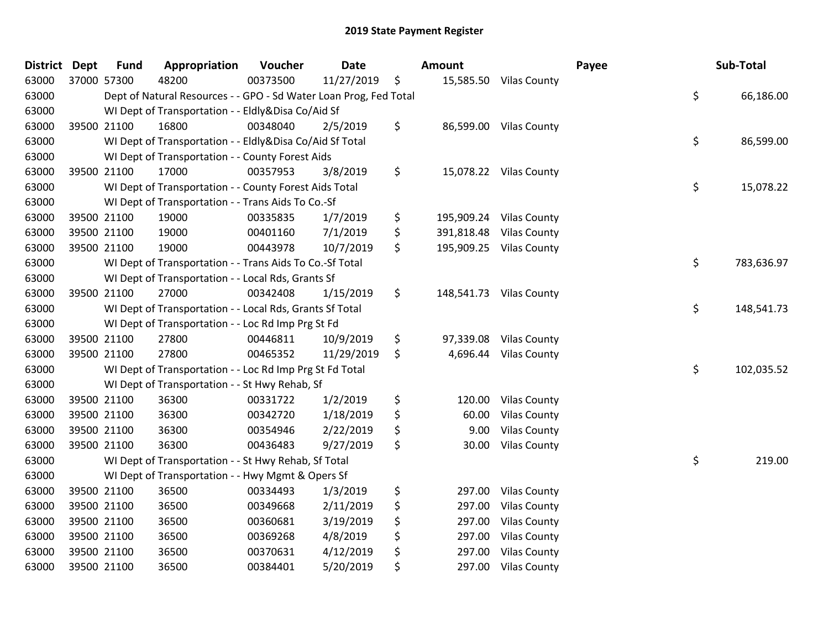| <b>District</b> | Dept        | <b>Fund</b> | Appropriation                                                     | Voucher  | <b>Date</b> | Amount           |                         | Payee | Sub-Total  |
|-----------------|-------------|-------------|-------------------------------------------------------------------|----------|-------------|------------------|-------------------------|-------|------------|
| 63000           | 37000 57300 |             | 48200                                                             | 00373500 | 11/27/2019  | \$               | 15,585.50 Vilas County  |       |            |
| 63000           |             |             | Dept of Natural Resources - - GPO - Sd Water Loan Prog, Fed Total |          |             |                  |                         | \$    | 66,186.00  |
| 63000           |             |             | WI Dept of Transportation - - Eldly&Disa Co/Aid Sf                |          |             |                  |                         |       |            |
| 63000           | 39500 21100 |             | 16800                                                             | 00348040 | 2/5/2019    | \$               | 86,599.00 Vilas County  |       |            |
| 63000           |             |             | WI Dept of Transportation - - Eldly&Disa Co/Aid Sf Total          |          |             |                  |                         | \$    | 86,599.00  |
| 63000           |             |             | WI Dept of Transportation - - County Forest Aids                  |          |             |                  |                         |       |            |
| 63000           | 39500 21100 |             | 17000                                                             | 00357953 | 3/8/2019    | \$               | 15,078.22 Vilas County  |       |            |
| 63000           |             |             | WI Dept of Transportation - - County Forest Aids Total            |          |             |                  |                         | \$    | 15,078.22  |
| 63000           |             |             | WI Dept of Transportation - - Trans Aids To Co.-Sf                |          |             |                  |                         |       |            |
| 63000           | 39500 21100 |             | 19000                                                             | 00335835 | 1/7/2019    | \$<br>195,909.24 | <b>Vilas County</b>     |       |            |
| 63000           | 39500 21100 |             | 19000                                                             | 00401160 | 7/1/2019    | \$<br>391,818.48 | <b>Vilas County</b>     |       |            |
| 63000           | 39500 21100 |             | 19000                                                             | 00443978 | 10/7/2019   | \$               | 195,909.25 Vilas County |       |            |
| 63000           |             |             | WI Dept of Transportation - - Trans Aids To Co.-Sf Total          |          |             |                  |                         | \$    | 783,636.97 |
| 63000           |             |             | WI Dept of Transportation - - Local Rds, Grants Sf                |          |             |                  |                         |       |            |
| 63000           | 39500 21100 |             | 27000                                                             | 00342408 | 1/15/2019   | \$<br>148,541.73 | <b>Vilas County</b>     |       |            |
| 63000           |             |             | WI Dept of Transportation - - Local Rds, Grants Sf Total          |          |             |                  |                         | \$    | 148,541.73 |
| 63000           |             |             | WI Dept of Transportation - - Loc Rd Imp Prg St Fd                |          |             |                  |                         |       |            |
| 63000           | 39500 21100 |             | 27800                                                             | 00446811 | 10/9/2019   | \$<br>97,339.08  | <b>Vilas County</b>     |       |            |
| 63000           | 39500 21100 |             | 27800                                                             | 00465352 | 11/29/2019  | \$<br>4,696.44   | <b>Vilas County</b>     |       |            |
| 63000           |             |             | WI Dept of Transportation - - Loc Rd Imp Prg St Fd Total          |          |             |                  |                         | \$    | 102,035.52 |
| 63000           |             |             | WI Dept of Transportation - - St Hwy Rehab, Sf                    |          |             |                  |                         |       |            |
| 63000           | 39500 21100 |             | 36300                                                             | 00331722 | 1/2/2019    | \$<br>120.00     | <b>Vilas County</b>     |       |            |
| 63000           | 39500 21100 |             | 36300                                                             | 00342720 | 1/18/2019   | \$<br>60.00      | <b>Vilas County</b>     |       |            |
| 63000           | 39500 21100 |             | 36300                                                             | 00354946 | 2/22/2019   | \$<br>9.00       | <b>Vilas County</b>     |       |            |
| 63000           | 39500 21100 |             | 36300                                                             | 00436483 | 9/27/2019   | \$<br>30.00      | <b>Vilas County</b>     |       |            |
| 63000           |             |             | WI Dept of Transportation - - St Hwy Rehab, Sf Total              |          |             |                  |                         | \$    | 219.00     |
| 63000           |             |             | WI Dept of Transportation - - Hwy Mgmt & Opers Sf                 |          |             |                  |                         |       |            |
| 63000           | 39500 21100 |             | 36500                                                             | 00334493 | 1/3/2019    | \$<br>297.00     | <b>Vilas County</b>     |       |            |
| 63000           | 39500 21100 |             | 36500                                                             | 00349668 | 2/11/2019   | \$<br>297.00     | <b>Vilas County</b>     |       |            |
| 63000           | 39500 21100 |             | 36500                                                             | 00360681 | 3/19/2019   | \$<br>297.00     | <b>Vilas County</b>     |       |            |
| 63000           | 39500 21100 |             | 36500                                                             | 00369268 | 4/8/2019    | \$<br>297.00     | <b>Vilas County</b>     |       |            |
| 63000           | 39500 21100 |             | 36500                                                             | 00370631 | 4/12/2019   | \$<br>297.00     | <b>Vilas County</b>     |       |            |
| 63000           | 39500 21100 |             | 36500                                                             | 00384401 | 5/20/2019   | \$<br>297.00     | <b>Vilas County</b>     |       |            |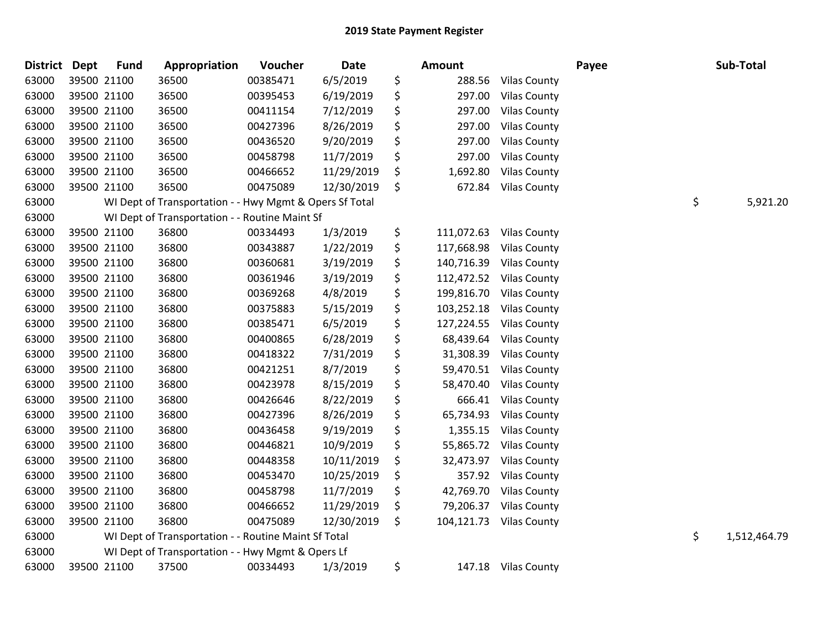| <b>District</b> | <b>Dept</b> | <b>Fund</b> | Appropriation                                           | Voucher  | <b>Date</b> | Amount           |                     | Payee | Sub-Total          |
|-----------------|-------------|-------------|---------------------------------------------------------|----------|-------------|------------------|---------------------|-------|--------------------|
| 63000           |             | 39500 21100 | 36500                                                   | 00385471 | 6/5/2019    | \$<br>288.56     | <b>Vilas County</b> |       |                    |
| 63000           |             | 39500 21100 | 36500                                                   | 00395453 | 6/19/2019   | \$<br>297.00     | <b>Vilas County</b> |       |                    |
| 63000           |             | 39500 21100 | 36500                                                   | 00411154 | 7/12/2019   | \$<br>297.00     | <b>Vilas County</b> |       |                    |
| 63000           |             | 39500 21100 | 36500                                                   | 00427396 | 8/26/2019   | \$<br>297.00     | <b>Vilas County</b> |       |                    |
| 63000           |             | 39500 21100 | 36500                                                   | 00436520 | 9/20/2019   | \$<br>297.00     | <b>Vilas County</b> |       |                    |
| 63000           |             | 39500 21100 | 36500                                                   | 00458798 | 11/7/2019   | \$<br>297.00     | <b>Vilas County</b> |       |                    |
| 63000           |             | 39500 21100 | 36500                                                   | 00466652 | 11/29/2019  | \$<br>1,692.80   | <b>Vilas County</b> |       |                    |
| 63000           |             | 39500 21100 | 36500                                                   | 00475089 | 12/30/2019  | \$<br>672.84     | <b>Vilas County</b> |       |                    |
| 63000           |             |             | WI Dept of Transportation - - Hwy Mgmt & Opers Sf Total |          |             |                  |                     |       | \$<br>5,921.20     |
| 63000           |             |             | WI Dept of Transportation - - Routine Maint Sf          |          |             |                  |                     |       |                    |
| 63000           |             | 39500 21100 | 36800                                                   | 00334493 | 1/3/2019    | \$<br>111,072.63 | <b>Vilas County</b> |       |                    |
| 63000           |             | 39500 21100 | 36800                                                   | 00343887 | 1/22/2019   | \$<br>117,668.98 | <b>Vilas County</b> |       |                    |
| 63000           |             | 39500 21100 | 36800                                                   | 00360681 | 3/19/2019   | \$<br>140,716.39 | <b>Vilas County</b> |       |                    |
| 63000           |             | 39500 21100 | 36800                                                   | 00361946 | 3/19/2019   | \$<br>112,472.52 | <b>Vilas County</b> |       |                    |
| 63000           |             | 39500 21100 | 36800                                                   | 00369268 | 4/8/2019    | \$<br>199,816.70 | <b>Vilas County</b> |       |                    |
| 63000           |             | 39500 21100 | 36800                                                   | 00375883 | 5/15/2019   | \$<br>103,252.18 | <b>Vilas County</b> |       |                    |
| 63000           |             | 39500 21100 | 36800                                                   | 00385471 | 6/5/2019    | \$<br>127,224.55 | <b>Vilas County</b> |       |                    |
| 63000           |             | 39500 21100 | 36800                                                   | 00400865 | 6/28/2019   | \$<br>68,439.64  | <b>Vilas County</b> |       |                    |
| 63000           |             | 39500 21100 | 36800                                                   | 00418322 | 7/31/2019   | \$<br>31,308.39  | <b>Vilas County</b> |       |                    |
| 63000           |             | 39500 21100 | 36800                                                   | 00421251 | 8/7/2019    | \$<br>59,470.51  | <b>Vilas County</b> |       |                    |
| 63000           |             | 39500 21100 | 36800                                                   | 00423978 | 8/15/2019   | \$<br>58,470.40  | <b>Vilas County</b> |       |                    |
| 63000           |             | 39500 21100 | 36800                                                   | 00426646 | 8/22/2019   | \$<br>666.41     | <b>Vilas County</b> |       |                    |
| 63000           |             | 39500 21100 | 36800                                                   | 00427396 | 8/26/2019   | \$<br>65,734.93  | <b>Vilas County</b> |       |                    |
| 63000           |             | 39500 21100 | 36800                                                   | 00436458 | 9/19/2019   | \$<br>1,355.15   | <b>Vilas County</b> |       |                    |
| 63000           |             | 39500 21100 | 36800                                                   | 00446821 | 10/9/2019   | \$<br>55,865.72  | <b>Vilas County</b> |       |                    |
| 63000           |             | 39500 21100 | 36800                                                   | 00448358 | 10/11/2019  | \$<br>32,473.97  | <b>Vilas County</b> |       |                    |
| 63000           |             | 39500 21100 | 36800                                                   | 00453470 | 10/25/2019  | \$<br>357.92     | <b>Vilas County</b> |       |                    |
| 63000           |             | 39500 21100 | 36800                                                   | 00458798 | 11/7/2019   | \$<br>42,769.70  | <b>Vilas County</b> |       |                    |
| 63000           |             | 39500 21100 | 36800                                                   | 00466652 | 11/29/2019  | \$<br>79,206.37  | <b>Vilas County</b> |       |                    |
| 63000           |             | 39500 21100 | 36800                                                   | 00475089 | 12/30/2019  | \$<br>104,121.73 | <b>Vilas County</b> |       |                    |
| 63000           |             |             | WI Dept of Transportation - - Routine Maint Sf Total    |          |             |                  |                     |       | \$<br>1,512,464.79 |
| 63000           |             |             | WI Dept of Transportation - - Hwy Mgmt & Opers Lf       |          |             |                  |                     |       |                    |
| 63000           |             | 39500 21100 | 37500                                                   | 00334493 | 1/3/2019    | \$               | 147.18 Vilas County |       |                    |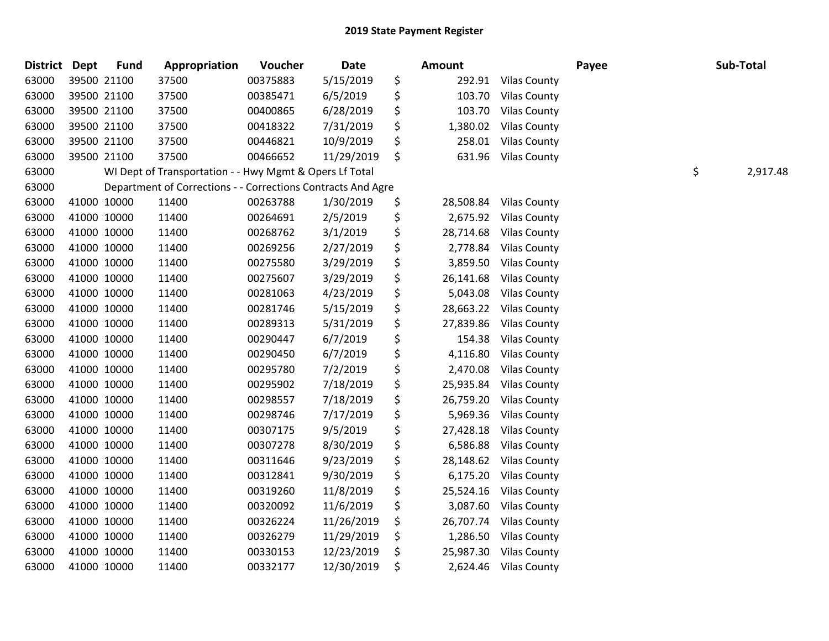| <b>District</b> | <b>Dept</b> | <b>Fund</b> | Appropriation                                                | Voucher  | Date       | Amount          |                     | Payee | Sub-Total      |
|-----------------|-------------|-------------|--------------------------------------------------------------|----------|------------|-----------------|---------------------|-------|----------------|
| 63000           |             | 39500 21100 | 37500                                                        | 00375883 | 5/15/2019  | \$<br>292.91    | <b>Vilas County</b> |       |                |
| 63000           |             | 39500 21100 | 37500                                                        | 00385471 | 6/5/2019   | \$<br>103.70    | <b>Vilas County</b> |       |                |
| 63000           |             | 39500 21100 | 37500                                                        | 00400865 | 6/28/2019  | \$<br>103.70    | <b>Vilas County</b> |       |                |
| 63000           |             | 39500 21100 | 37500                                                        | 00418322 | 7/31/2019  | \$<br>1,380.02  | <b>Vilas County</b> |       |                |
| 63000           |             | 39500 21100 | 37500                                                        | 00446821 | 10/9/2019  | \$<br>258.01    | <b>Vilas County</b> |       |                |
| 63000           |             | 39500 21100 | 37500                                                        | 00466652 | 11/29/2019 | \$<br>631.96    | <b>Vilas County</b> |       |                |
| 63000           |             |             | WI Dept of Transportation - - Hwy Mgmt & Opers Lf Total      |          |            |                 |                     |       | \$<br>2,917.48 |
| 63000           |             |             | Department of Corrections - - Corrections Contracts And Agre |          |            |                 |                     |       |                |
| 63000           |             | 41000 10000 | 11400                                                        | 00263788 | 1/30/2019  | \$<br>28,508.84 | <b>Vilas County</b> |       |                |
| 63000           |             | 41000 10000 | 11400                                                        | 00264691 | 2/5/2019   | \$<br>2,675.92  | <b>Vilas County</b> |       |                |
| 63000           |             | 41000 10000 | 11400                                                        | 00268762 | 3/1/2019   | \$<br>28,714.68 | <b>Vilas County</b> |       |                |
| 63000           |             | 41000 10000 | 11400                                                        | 00269256 | 2/27/2019  | \$<br>2,778.84  | <b>Vilas County</b> |       |                |
| 63000           |             | 41000 10000 | 11400                                                        | 00275580 | 3/29/2019  | \$<br>3,859.50  | <b>Vilas County</b> |       |                |
| 63000           |             | 41000 10000 | 11400                                                        | 00275607 | 3/29/2019  | \$<br>26,141.68 | <b>Vilas County</b> |       |                |
| 63000           |             | 41000 10000 | 11400                                                        | 00281063 | 4/23/2019  | \$<br>5,043.08  | <b>Vilas County</b> |       |                |
| 63000           |             | 41000 10000 | 11400                                                        | 00281746 | 5/15/2019  | \$<br>28,663.22 | <b>Vilas County</b> |       |                |
| 63000           |             | 41000 10000 | 11400                                                        | 00289313 | 5/31/2019  | \$<br>27,839.86 | <b>Vilas County</b> |       |                |
| 63000           |             | 41000 10000 | 11400                                                        | 00290447 | 6/7/2019   | \$<br>154.38    | <b>Vilas County</b> |       |                |
| 63000           |             | 41000 10000 | 11400                                                        | 00290450 | 6/7/2019   | \$<br>4,116.80  | <b>Vilas County</b> |       |                |
| 63000           |             | 41000 10000 | 11400                                                        | 00295780 | 7/2/2019   | \$<br>2,470.08  | <b>Vilas County</b> |       |                |
| 63000           |             | 41000 10000 | 11400                                                        | 00295902 | 7/18/2019  | \$<br>25,935.84 | <b>Vilas County</b> |       |                |
| 63000           |             | 41000 10000 | 11400                                                        | 00298557 | 7/18/2019  | \$<br>26,759.20 | <b>Vilas County</b> |       |                |
| 63000           |             | 41000 10000 | 11400                                                        | 00298746 | 7/17/2019  | \$<br>5,969.36  | <b>Vilas County</b> |       |                |
| 63000           |             | 41000 10000 | 11400                                                        | 00307175 | 9/5/2019   | \$<br>27,428.18 | <b>Vilas County</b> |       |                |
| 63000           |             | 41000 10000 | 11400                                                        | 00307278 | 8/30/2019  | \$<br>6,586.88  | <b>Vilas County</b> |       |                |
| 63000           |             | 41000 10000 | 11400                                                        | 00311646 | 9/23/2019  | \$<br>28,148.62 | <b>Vilas County</b> |       |                |
| 63000           |             | 41000 10000 | 11400                                                        | 00312841 | 9/30/2019  | \$<br>6,175.20  | <b>Vilas County</b> |       |                |
| 63000           |             | 41000 10000 | 11400                                                        | 00319260 | 11/8/2019  | \$<br>25,524.16 | <b>Vilas County</b> |       |                |
| 63000           |             | 41000 10000 | 11400                                                        | 00320092 | 11/6/2019  | \$<br>3,087.60  | <b>Vilas County</b> |       |                |
| 63000           |             | 41000 10000 | 11400                                                        | 00326224 | 11/26/2019 | \$<br>26,707.74 | <b>Vilas County</b> |       |                |
| 63000           |             | 41000 10000 | 11400                                                        | 00326279 | 11/29/2019 | \$<br>1,286.50  | <b>Vilas County</b> |       |                |
| 63000           |             | 41000 10000 | 11400                                                        | 00330153 | 12/23/2019 | \$<br>25,987.30 | <b>Vilas County</b> |       |                |
| 63000           |             | 41000 10000 | 11400                                                        | 00332177 | 12/30/2019 | \$<br>2,624.46  | <b>Vilas County</b> |       |                |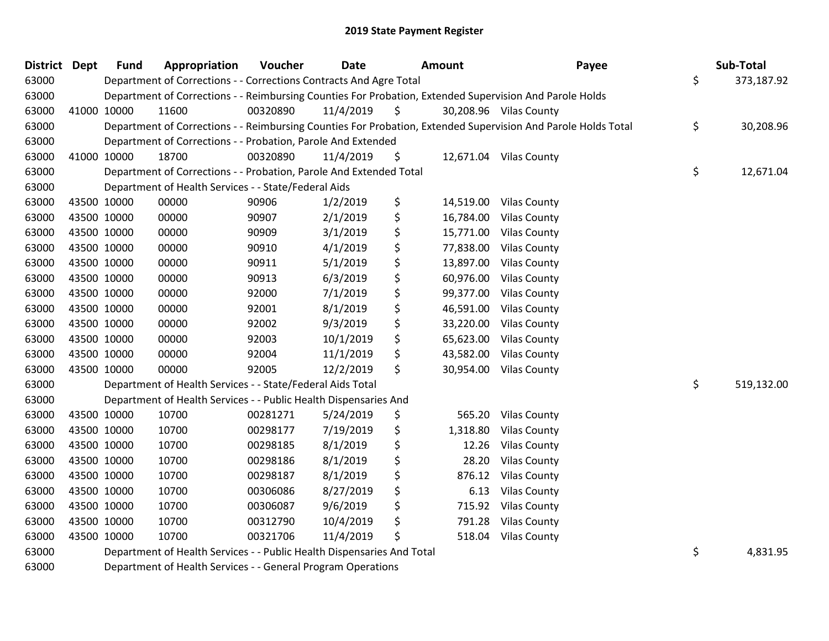| <b>District</b> | Dept | <b>Fund</b> | Appropriation                                                          | Voucher  | <b>Date</b> | Amount          | Payee                                                                                                         | Sub-Total        |
|-----------------|------|-------------|------------------------------------------------------------------------|----------|-------------|-----------------|---------------------------------------------------------------------------------------------------------------|------------------|
| 63000           |      |             | Department of Corrections - - Corrections Contracts And Agre Total     |          |             |                 |                                                                                                               | \$<br>373,187.92 |
| 63000           |      |             |                                                                        |          |             |                 | Department of Corrections - - Reimbursing Counties For Probation, Extended Supervision And Parole Holds       |                  |
| 63000           |      | 41000 10000 | 11600                                                                  | 00320890 | 11/4/2019   | \$              | 30,208.96 Vilas County                                                                                        |                  |
| 63000           |      |             |                                                                        |          |             |                 | Department of Corrections - - Reimbursing Counties For Probation, Extended Supervision And Parole Holds Total | \$<br>30,208.96  |
| 63000           |      |             | Department of Corrections - - Probation, Parole And Extended           |          |             |                 |                                                                                                               |                  |
| 63000           |      | 41000 10000 | 18700                                                                  | 00320890 | 11/4/2019   | \$              | 12,671.04 Vilas County                                                                                        |                  |
| 63000           |      |             | Department of Corrections - - Probation, Parole And Extended Total     |          |             |                 |                                                                                                               | \$<br>12,671.04  |
| 63000           |      |             | Department of Health Services - - State/Federal Aids                   |          |             |                 |                                                                                                               |                  |
| 63000           |      | 43500 10000 | 00000                                                                  | 90906    | 1/2/2019    | \$<br>14,519.00 | <b>Vilas County</b>                                                                                           |                  |
| 63000           |      | 43500 10000 | 00000                                                                  | 90907    | 2/1/2019    | \$<br>16,784.00 | <b>Vilas County</b>                                                                                           |                  |
| 63000           |      | 43500 10000 | 00000                                                                  | 90909    | 3/1/2019    | \$<br>15,771.00 | <b>Vilas County</b>                                                                                           |                  |
| 63000           |      | 43500 10000 | 00000                                                                  | 90910    | 4/1/2019    | \$<br>77,838.00 | <b>Vilas County</b>                                                                                           |                  |
| 63000           |      | 43500 10000 | 00000                                                                  | 90911    | 5/1/2019    | \$<br>13,897.00 | <b>Vilas County</b>                                                                                           |                  |
| 63000           |      | 43500 10000 | 00000                                                                  | 90913    | 6/3/2019    | \$<br>60,976.00 | <b>Vilas County</b>                                                                                           |                  |
| 63000           |      | 43500 10000 | 00000                                                                  | 92000    | 7/1/2019    | \$<br>99,377.00 | <b>Vilas County</b>                                                                                           |                  |
| 63000           |      | 43500 10000 | 00000                                                                  | 92001    | 8/1/2019    | \$<br>46,591.00 | <b>Vilas County</b>                                                                                           |                  |
| 63000           |      | 43500 10000 | 00000                                                                  | 92002    | 9/3/2019    | \$<br>33,220.00 | <b>Vilas County</b>                                                                                           |                  |
| 63000           |      | 43500 10000 | 00000                                                                  | 92003    | 10/1/2019   | \$<br>65,623.00 | <b>Vilas County</b>                                                                                           |                  |
| 63000           |      | 43500 10000 | 00000                                                                  | 92004    | 11/1/2019   | \$<br>43,582.00 | <b>Vilas County</b>                                                                                           |                  |
| 63000           |      | 43500 10000 | 00000                                                                  | 92005    | 12/2/2019   | \$<br>30,954.00 | <b>Vilas County</b>                                                                                           |                  |
| 63000           |      |             | Department of Health Services - - State/Federal Aids Total             |          |             |                 |                                                                                                               | \$<br>519,132.00 |
| 63000           |      |             | Department of Health Services - - Public Health Dispensaries And       |          |             |                 |                                                                                                               |                  |
| 63000           |      | 43500 10000 | 10700                                                                  | 00281271 | 5/24/2019   | \$<br>565.20    | <b>Vilas County</b>                                                                                           |                  |
| 63000           |      | 43500 10000 | 10700                                                                  | 00298177 | 7/19/2019   | \$<br>1,318.80  | <b>Vilas County</b>                                                                                           |                  |
| 63000           |      | 43500 10000 | 10700                                                                  | 00298185 | 8/1/2019    | \$<br>12.26     | <b>Vilas County</b>                                                                                           |                  |
| 63000           |      | 43500 10000 | 10700                                                                  | 00298186 | 8/1/2019    | \$<br>28.20     | <b>Vilas County</b>                                                                                           |                  |
| 63000           |      | 43500 10000 | 10700                                                                  | 00298187 | 8/1/2019    | \$<br>876.12    | <b>Vilas County</b>                                                                                           |                  |
| 63000           |      | 43500 10000 | 10700                                                                  | 00306086 | 8/27/2019   | \$<br>6.13      | <b>Vilas County</b>                                                                                           |                  |
| 63000           |      | 43500 10000 | 10700                                                                  | 00306087 | 9/6/2019    | \$<br>715.92    | <b>Vilas County</b>                                                                                           |                  |
| 63000           |      | 43500 10000 | 10700                                                                  | 00312790 | 10/4/2019   | \$<br>791.28    | <b>Vilas County</b>                                                                                           |                  |
| 63000           |      | 43500 10000 | 10700                                                                  | 00321706 | 11/4/2019   | \$<br>518.04    | <b>Vilas County</b>                                                                                           |                  |
| 63000           |      |             | Department of Health Services - - Public Health Dispensaries And Total |          |             |                 |                                                                                                               | \$<br>4,831.95   |
| 63000           |      |             | Department of Health Services - - General Program Operations           |          |             |                 |                                                                                                               |                  |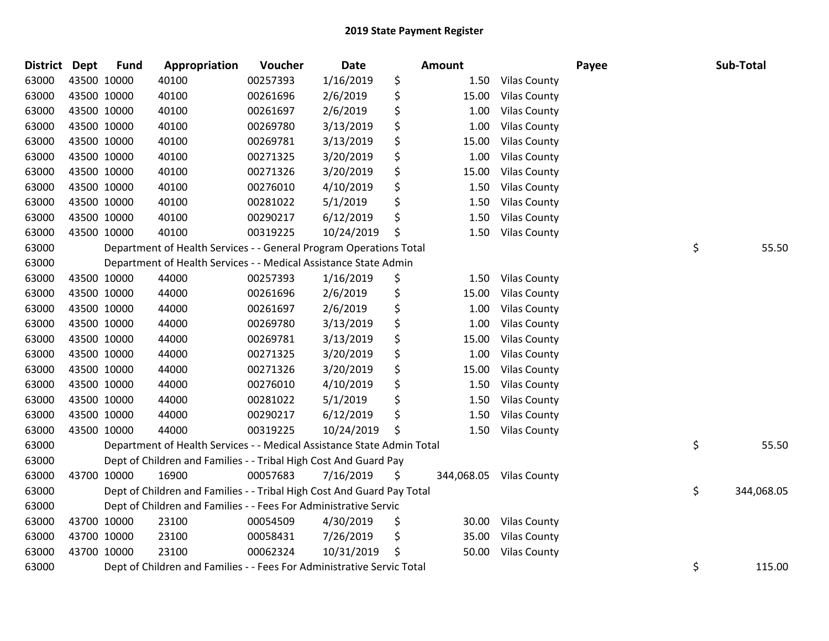| <b>District</b> | Dept        | <b>Fund</b> | Appropriation                                                          | Voucher  | <b>Date</b> | <b>Amount</b>    |                     | Payee | Sub-Total        |
|-----------------|-------------|-------------|------------------------------------------------------------------------|----------|-------------|------------------|---------------------|-------|------------------|
| 63000           | 43500 10000 |             | 40100                                                                  | 00257393 | 1/16/2019   | \$<br>1.50       | <b>Vilas County</b> |       |                  |
| 63000           | 43500 10000 |             | 40100                                                                  | 00261696 | 2/6/2019    | \$<br>15.00      | <b>Vilas County</b> |       |                  |
| 63000           | 43500 10000 |             | 40100                                                                  | 00261697 | 2/6/2019    | \$<br>1.00       | <b>Vilas County</b> |       |                  |
| 63000           | 43500 10000 |             | 40100                                                                  | 00269780 | 3/13/2019   | \$<br>1.00       | <b>Vilas County</b> |       |                  |
| 63000           | 43500 10000 |             | 40100                                                                  | 00269781 | 3/13/2019   | \$<br>15.00      | <b>Vilas County</b> |       |                  |
| 63000           | 43500 10000 |             | 40100                                                                  | 00271325 | 3/20/2019   | \$<br>1.00       | <b>Vilas County</b> |       |                  |
| 63000           | 43500 10000 |             | 40100                                                                  | 00271326 | 3/20/2019   | \$<br>15.00      | <b>Vilas County</b> |       |                  |
| 63000           | 43500 10000 |             | 40100                                                                  | 00276010 | 4/10/2019   | \$<br>1.50       | <b>Vilas County</b> |       |                  |
| 63000           | 43500 10000 |             | 40100                                                                  | 00281022 | 5/1/2019    | \$<br>1.50       | <b>Vilas County</b> |       |                  |
| 63000           | 43500 10000 |             | 40100                                                                  | 00290217 | 6/12/2019   | \$<br>1.50       | <b>Vilas County</b> |       |                  |
| 63000           | 43500 10000 |             | 40100                                                                  | 00319225 | 10/24/2019  | \$<br>1.50       | <b>Vilas County</b> |       |                  |
| 63000           |             |             | Department of Health Services - - General Program Operations Total     |          |             |                  |                     |       | \$<br>55.50      |
| 63000           |             |             | Department of Health Services - - Medical Assistance State Admin       |          |             |                  |                     |       |                  |
| 63000           | 43500 10000 |             | 44000                                                                  | 00257393 | 1/16/2019   | \$<br>1.50       | <b>Vilas County</b> |       |                  |
| 63000           | 43500 10000 |             | 44000                                                                  | 00261696 | 2/6/2019    | \$<br>15.00      | <b>Vilas County</b> |       |                  |
| 63000           | 43500 10000 |             | 44000                                                                  | 00261697 | 2/6/2019    | \$<br>1.00       | <b>Vilas County</b> |       |                  |
| 63000           | 43500 10000 |             | 44000                                                                  | 00269780 | 3/13/2019   | \$<br>1.00       | <b>Vilas County</b> |       |                  |
| 63000           | 43500 10000 |             | 44000                                                                  | 00269781 | 3/13/2019   | \$<br>15.00      | <b>Vilas County</b> |       |                  |
| 63000           | 43500 10000 |             | 44000                                                                  | 00271325 | 3/20/2019   | \$<br>1.00       | <b>Vilas County</b> |       |                  |
| 63000           | 43500 10000 |             | 44000                                                                  | 00271326 | 3/20/2019   | \$<br>15.00      | <b>Vilas County</b> |       |                  |
| 63000           | 43500 10000 |             | 44000                                                                  | 00276010 | 4/10/2019   | \$<br>1.50       | <b>Vilas County</b> |       |                  |
| 63000           | 43500 10000 |             | 44000                                                                  | 00281022 | 5/1/2019    | \$<br>1.50       | <b>Vilas County</b> |       |                  |
| 63000           | 43500 10000 |             | 44000                                                                  | 00290217 | 6/12/2019   | \$<br>1.50       | <b>Vilas County</b> |       |                  |
| 63000           | 43500 10000 |             | 44000                                                                  | 00319225 | 10/24/2019  | \$<br>1.50       | <b>Vilas County</b> |       |                  |
| 63000           |             |             | Department of Health Services - - Medical Assistance State Admin Total |          |             |                  |                     |       | \$<br>55.50      |
| 63000           |             |             | Dept of Children and Families - - Tribal High Cost And Guard Pay       |          |             |                  |                     |       |                  |
| 63000           | 43700 10000 |             | 16900                                                                  | 00057683 | 7/16/2019   | \$<br>344,068.05 | <b>Vilas County</b> |       |                  |
| 63000           |             |             | Dept of Children and Families - - Tribal High Cost And Guard Pay Total |          |             |                  |                     |       | \$<br>344,068.05 |
| 63000           |             |             | Dept of Children and Families - - Fees For Administrative Servic       |          |             |                  |                     |       |                  |
| 63000           | 43700 10000 |             | 23100                                                                  | 00054509 | 4/30/2019   | \$<br>30.00      | <b>Vilas County</b> |       |                  |
| 63000           | 43700 10000 |             | 23100                                                                  | 00058431 | 7/26/2019   | \$<br>35.00      | <b>Vilas County</b> |       |                  |
| 63000           | 43700 10000 |             | 23100                                                                  | 00062324 | 10/31/2019  | \$<br>50.00      | <b>Vilas County</b> |       |                  |
| 63000           |             |             | Dept of Children and Families - - Fees For Administrative Servic Total |          |             |                  |                     |       | \$<br>115.00     |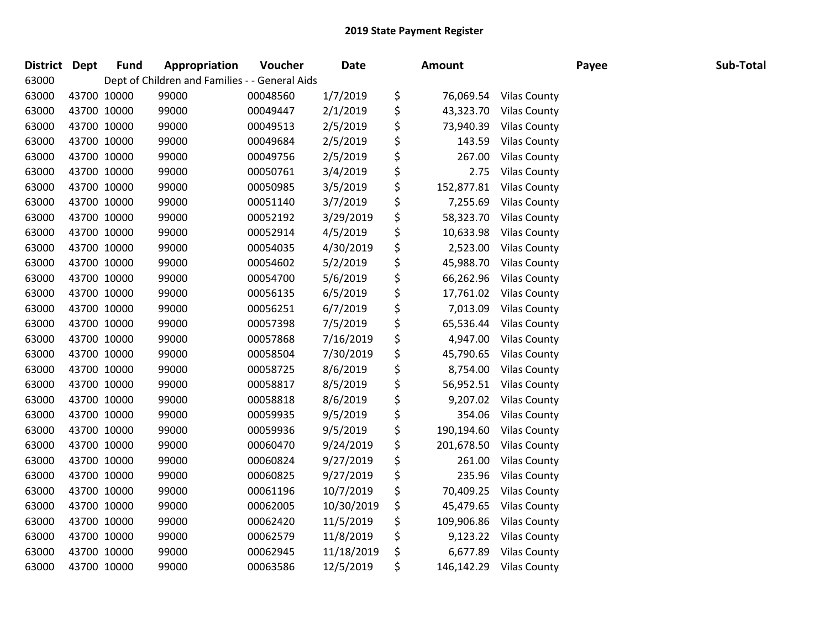| District Dept |             | <b>Fund</b> | Appropriation                                  | Voucher  | Date       | Amount           |                        | Payee | Sub-Total |
|---------------|-------------|-------------|------------------------------------------------|----------|------------|------------------|------------------------|-------|-----------|
| 63000         |             |             | Dept of Children and Families - - General Aids |          |            |                  |                        |       |           |
| 63000         | 43700 10000 |             | 99000                                          | 00048560 | 1/7/2019   | \$               | 76,069.54 Vilas County |       |           |
| 63000         | 43700 10000 |             | 99000                                          | 00049447 | 2/1/2019   | \$<br>43,323.70  | <b>Vilas County</b>    |       |           |
| 63000         | 43700 10000 |             | 99000                                          | 00049513 | 2/5/2019   | \$<br>73,940.39  | <b>Vilas County</b>    |       |           |
| 63000         | 43700 10000 |             | 99000                                          | 00049684 | 2/5/2019   | \$<br>143.59     | <b>Vilas County</b>    |       |           |
| 63000         | 43700 10000 |             | 99000                                          | 00049756 | 2/5/2019   | \$<br>267.00     | <b>Vilas County</b>    |       |           |
| 63000         | 43700 10000 |             | 99000                                          | 00050761 | 3/4/2019   | \$<br>2.75       | <b>Vilas County</b>    |       |           |
| 63000         | 43700 10000 |             | 99000                                          | 00050985 | 3/5/2019   | \$<br>152,877.81 | <b>Vilas County</b>    |       |           |
| 63000         | 43700 10000 |             | 99000                                          | 00051140 | 3/7/2019   | \$<br>7,255.69   | <b>Vilas County</b>    |       |           |
| 63000         | 43700 10000 |             | 99000                                          | 00052192 | 3/29/2019  | \$<br>58,323.70  | <b>Vilas County</b>    |       |           |
| 63000         | 43700 10000 |             | 99000                                          | 00052914 | 4/5/2019   | \$<br>10,633.98  | <b>Vilas County</b>    |       |           |
| 63000         | 43700 10000 |             | 99000                                          | 00054035 | 4/30/2019  | \$               | 2,523.00 Vilas County  |       |           |
| 63000         | 43700 10000 |             | 99000                                          | 00054602 | 5/2/2019   | \$               | 45,988.70 Vilas County |       |           |
| 63000         | 43700 10000 |             | 99000                                          | 00054700 | 5/6/2019   | \$<br>66,262.96  | <b>Vilas County</b>    |       |           |
| 63000         | 43700 10000 |             | 99000                                          | 00056135 | 6/5/2019   | \$<br>17,761.02  | <b>Vilas County</b>    |       |           |
| 63000         | 43700 10000 |             | 99000                                          | 00056251 | 6/7/2019   | \$<br>7,013.09   | <b>Vilas County</b>    |       |           |
| 63000         | 43700 10000 |             | 99000                                          | 00057398 | 7/5/2019   | \$<br>65,536.44  | <b>Vilas County</b>    |       |           |
| 63000         | 43700 10000 |             | 99000                                          | 00057868 | 7/16/2019  | \$<br>4,947.00   | <b>Vilas County</b>    |       |           |
| 63000         | 43700 10000 |             | 99000                                          | 00058504 | 7/30/2019  | \$<br>45,790.65  | <b>Vilas County</b>    |       |           |
| 63000         | 43700 10000 |             | 99000                                          | 00058725 | 8/6/2019   | \$<br>8,754.00   | <b>Vilas County</b>    |       |           |
| 63000         | 43700 10000 |             | 99000                                          | 00058817 | 8/5/2019   | \$<br>56,952.51  | <b>Vilas County</b>    |       |           |
| 63000         | 43700 10000 |             | 99000                                          | 00058818 | 8/6/2019   | \$               | 9,207.02 Vilas County  |       |           |
| 63000         | 43700 10000 |             | 99000                                          | 00059935 | 9/5/2019   | \$               | 354.06 Vilas County    |       |           |
| 63000         | 43700 10000 |             | 99000                                          | 00059936 | 9/5/2019   | \$<br>190,194.60 | <b>Vilas County</b>    |       |           |
| 63000         | 43700 10000 |             | 99000                                          | 00060470 | 9/24/2019  | \$<br>201,678.50 | <b>Vilas County</b>    |       |           |
| 63000         | 43700 10000 |             | 99000                                          | 00060824 | 9/27/2019  | \$<br>261.00     | <b>Vilas County</b>    |       |           |
| 63000         | 43700 10000 |             | 99000                                          | 00060825 | 9/27/2019  | \$               | 235.96 Vilas County    |       |           |
| 63000         | 43700 10000 |             | 99000                                          | 00061196 | 10/7/2019  | \$<br>70,409.25  | <b>Vilas County</b>    |       |           |
| 63000         | 43700 10000 |             | 99000                                          | 00062005 | 10/30/2019 | \$<br>45,479.65  | <b>Vilas County</b>    |       |           |
| 63000         | 43700 10000 |             | 99000                                          | 00062420 | 11/5/2019  | \$<br>109,906.86 | <b>Vilas County</b>    |       |           |
| 63000         | 43700 10000 |             | 99000                                          | 00062579 | 11/8/2019  | \$               | 9,123.22 Vilas County  |       |           |
| 63000         | 43700 10000 |             | 99000                                          | 00062945 | 11/18/2019 | \$               | 6,677.89 Vilas County  |       |           |
| 63000         | 43700 10000 |             | 99000                                          | 00063586 | 12/5/2019  | \$<br>146,142.29 | <b>Vilas County</b>    |       |           |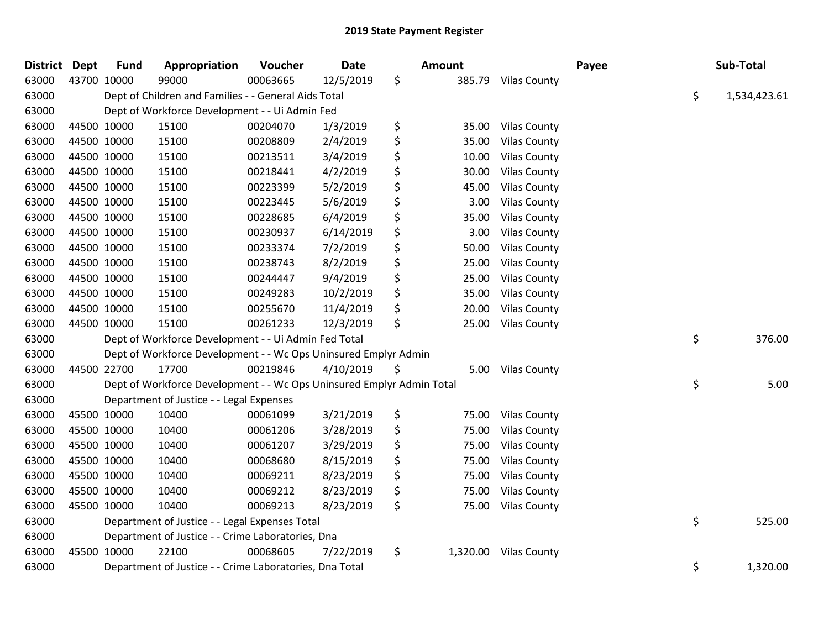| <b>District</b> | <b>Dept</b> | <b>Fund</b> | Appropriation                                                         | Voucher  | <b>Date</b> | <b>Amount</b>  |                     | Payee | Sub-Total          |
|-----------------|-------------|-------------|-----------------------------------------------------------------------|----------|-------------|----------------|---------------------|-------|--------------------|
| 63000           |             | 43700 10000 | 99000                                                                 | 00063665 | 12/5/2019   | \$<br>385.79   | <b>Vilas County</b> |       |                    |
| 63000           |             |             | Dept of Children and Families - - General Aids Total                  |          |             |                |                     |       | \$<br>1,534,423.61 |
| 63000           |             |             | Dept of Workforce Development - - Ui Admin Fed                        |          |             |                |                     |       |                    |
| 63000           |             | 44500 10000 | 15100                                                                 | 00204070 | 1/3/2019    | \$<br>35.00    | <b>Vilas County</b> |       |                    |
| 63000           |             | 44500 10000 | 15100                                                                 | 00208809 | 2/4/2019    | \$<br>35.00    | <b>Vilas County</b> |       |                    |
| 63000           |             | 44500 10000 | 15100                                                                 | 00213511 | 3/4/2019    | \$<br>10.00    | <b>Vilas County</b> |       |                    |
| 63000           |             | 44500 10000 | 15100                                                                 | 00218441 | 4/2/2019    | \$<br>30.00    | <b>Vilas County</b> |       |                    |
| 63000           |             | 44500 10000 | 15100                                                                 | 00223399 | 5/2/2019    | \$<br>45.00    | <b>Vilas County</b> |       |                    |
| 63000           |             | 44500 10000 | 15100                                                                 | 00223445 | 5/6/2019    | \$<br>3.00     | <b>Vilas County</b> |       |                    |
| 63000           |             | 44500 10000 | 15100                                                                 | 00228685 | 6/4/2019    | \$<br>35.00    | <b>Vilas County</b> |       |                    |
| 63000           |             | 44500 10000 | 15100                                                                 | 00230937 | 6/14/2019   | \$<br>3.00     | <b>Vilas County</b> |       |                    |
| 63000           |             | 44500 10000 | 15100                                                                 | 00233374 | 7/2/2019    | \$<br>50.00    | <b>Vilas County</b> |       |                    |
| 63000           |             | 44500 10000 | 15100                                                                 | 00238743 | 8/2/2019    | \$<br>25.00    | <b>Vilas County</b> |       |                    |
| 63000           |             | 44500 10000 | 15100                                                                 | 00244447 | 9/4/2019    | \$<br>25.00    | <b>Vilas County</b> |       |                    |
| 63000           |             | 44500 10000 | 15100                                                                 | 00249283 | 10/2/2019   | \$<br>35.00    | <b>Vilas County</b> |       |                    |
| 63000           |             | 44500 10000 | 15100                                                                 | 00255670 | 11/4/2019   | \$<br>20.00    | <b>Vilas County</b> |       |                    |
| 63000           |             | 44500 10000 | 15100                                                                 | 00261233 | 12/3/2019   | \$<br>25.00    | <b>Vilas County</b> |       |                    |
| 63000           |             |             | Dept of Workforce Development - - Ui Admin Fed Total                  |          |             |                |                     |       | \$<br>376.00       |
| 63000           |             |             | Dept of Workforce Development - - Wc Ops Uninsured Emplyr Admin       |          |             |                |                     |       |                    |
| 63000           |             | 44500 22700 | 17700                                                                 | 00219846 | 4/10/2019   | \$<br>5.00     | <b>Vilas County</b> |       |                    |
| 63000           |             |             | Dept of Workforce Development - - Wc Ops Uninsured Emplyr Admin Total |          |             |                |                     |       | \$<br>5.00         |
| 63000           |             |             | Department of Justice - - Legal Expenses                              |          |             |                |                     |       |                    |
| 63000           |             | 45500 10000 | 10400                                                                 | 00061099 | 3/21/2019   | \$<br>75.00    | <b>Vilas County</b> |       |                    |
| 63000           |             | 45500 10000 | 10400                                                                 | 00061206 | 3/28/2019   | \$<br>75.00    | <b>Vilas County</b> |       |                    |
| 63000           |             | 45500 10000 | 10400                                                                 | 00061207 | 3/29/2019   | \$<br>75.00    | <b>Vilas County</b> |       |                    |
| 63000           |             | 45500 10000 | 10400                                                                 | 00068680 | 8/15/2019   | \$<br>75.00    | <b>Vilas County</b> |       |                    |
| 63000           |             | 45500 10000 | 10400                                                                 | 00069211 | 8/23/2019   | \$<br>75.00    | <b>Vilas County</b> |       |                    |
| 63000           |             | 45500 10000 | 10400                                                                 | 00069212 | 8/23/2019   | \$<br>75.00    | <b>Vilas County</b> |       |                    |
| 63000           |             | 45500 10000 | 10400                                                                 | 00069213 | 8/23/2019   | \$<br>75.00    | <b>Vilas County</b> |       |                    |
| 63000           |             |             | Department of Justice - - Legal Expenses Total                        |          |             |                |                     |       | \$<br>525.00       |
| 63000           |             |             | Department of Justice - - Crime Laboratories, Dna                     |          |             |                |                     |       |                    |
| 63000           |             | 45500 10000 | 22100                                                                 | 00068605 | 7/22/2019   | \$<br>1,320.00 | <b>Vilas County</b> |       |                    |
| 63000           |             |             | Department of Justice - - Crime Laboratories, Dna Total               |          |             |                |                     |       | \$<br>1,320.00     |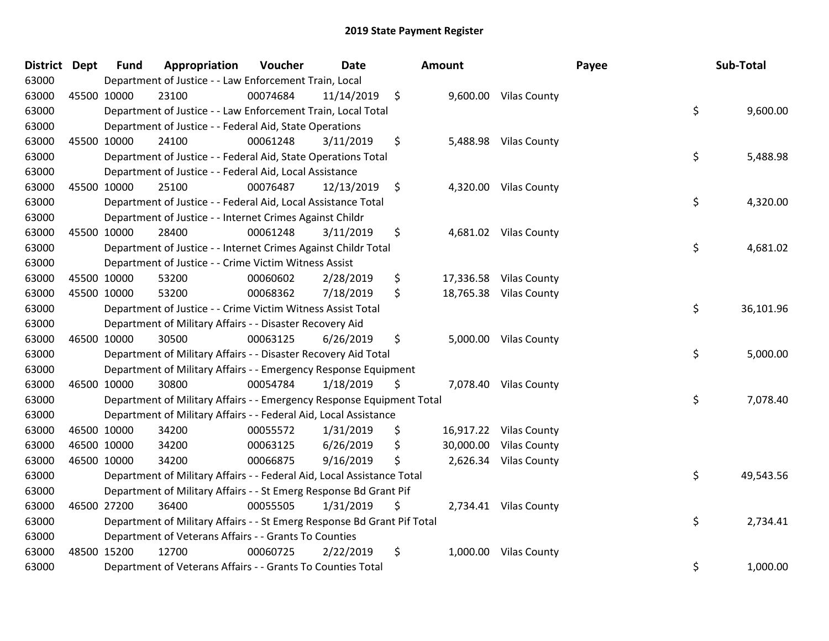| District Dept |             | <b>Fund</b> | Appropriation                                                           | Voucher  | <b>Date</b> | Amount        |           |                        | Payee | Sub-Total |
|---------------|-------------|-------------|-------------------------------------------------------------------------|----------|-------------|---------------|-----------|------------------------|-------|-----------|
| 63000         |             |             | Department of Justice - - Law Enforcement Train, Local                  |          |             |               |           |                        |       |           |
| 63000         | 45500 10000 |             | 23100                                                                   | 00074684 | 11/14/2019  | $\ddot{\phi}$ |           | 9,600.00 Vilas County  |       |           |
| 63000         |             |             | Department of Justice - - Law Enforcement Train, Local Total            |          |             |               |           |                        | \$    | 9,600.00  |
| 63000         |             |             | Department of Justice - - Federal Aid, State Operations                 |          |             |               |           |                        |       |           |
| 63000         | 45500 10000 |             | 24100                                                                   | 00061248 | 3/11/2019   | \$            | 5,488.98  | <b>Vilas County</b>    |       |           |
| 63000         |             |             | Department of Justice - - Federal Aid, State Operations Total           |          |             |               |           |                        | \$    | 5,488.98  |
| 63000         |             |             | Department of Justice - - Federal Aid, Local Assistance                 |          |             |               |           |                        |       |           |
| 63000         | 45500 10000 |             | 25100                                                                   | 00076487 | 12/13/2019  | $\ddot{\phi}$ |           | 4,320.00 Vilas County  |       |           |
| 63000         |             |             | Department of Justice - - Federal Aid, Local Assistance Total           |          |             |               |           |                        | \$    | 4,320.00  |
| 63000         |             |             | Department of Justice - - Internet Crimes Against Childr                |          |             |               |           |                        |       |           |
| 63000         | 45500 10000 |             | 28400                                                                   | 00061248 | 3/11/2019   | \$            |           | 4,681.02 Vilas County  |       |           |
| 63000         |             |             | Department of Justice - - Internet Crimes Against Childr Total          |          |             |               |           |                        | \$    | 4,681.02  |
| 63000         |             |             | Department of Justice - - Crime Victim Witness Assist                   |          |             |               |           |                        |       |           |
| 63000         | 45500 10000 |             | 53200                                                                   | 00060602 | 2/28/2019   | \$            |           | 17,336.58 Vilas County |       |           |
| 63000         | 45500 10000 |             | 53200                                                                   | 00068362 | 7/18/2019   | \$            |           | 18,765.38 Vilas County |       |           |
| 63000         |             |             | Department of Justice - - Crime Victim Witness Assist Total             |          |             |               |           |                        | \$    | 36,101.96 |
| 63000         |             |             | Department of Military Affairs - - Disaster Recovery Aid                |          |             |               |           |                        |       |           |
| 63000         | 46500 10000 |             | 30500                                                                   | 00063125 | 6/26/2019   | \$            |           | 5,000.00 Vilas County  |       |           |
| 63000         |             |             | Department of Military Affairs - - Disaster Recovery Aid Total          |          |             |               |           |                        | \$    | 5,000.00  |
| 63000         |             |             | Department of Military Affairs - - Emergency Response Equipment         |          |             |               |           |                        |       |           |
| 63000         | 46500 10000 |             | 30800                                                                   | 00054784 | 1/18/2019   | \$            |           | 7,078.40 Vilas County  |       |           |
| 63000         |             |             | Department of Military Affairs - - Emergency Response Equipment Total   |          |             |               |           |                        | \$    | 7,078.40  |
| 63000         |             |             | Department of Military Affairs - - Federal Aid, Local Assistance        |          |             |               |           |                        |       |           |
| 63000         | 46500 10000 |             | 34200                                                                   | 00055572 | 1/31/2019   | \$            |           | 16,917.22 Vilas County |       |           |
| 63000         | 46500 10000 |             | 34200                                                                   | 00063125 | 6/26/2019   | \$            | 30,000.00 | <b>Vilas County</b>    |       |           |
| 63000         | 46500 10000 |             | 34200                                                                   | 00066875 | 9/16/2019   | \$            | 2,626.34  | <b>Vilas County</b>    |       |           |
| 63000         |             |             | Department of Military Affairs - - Federal Aid, Local Assistance Total  |          |             |               |           |                        | \$    | 49,543.56 |
| 63000         |             |             | Department of Military Affairs - - St Emerg Response Bd Grant Pif       |          |             |               |           |                        |       |           |
| 63000         | 46500 27200 |             | 36400                                                                   | 00055505 | 1/31/2019   | \$            |           | 2,734.41 Vilas County  |       |           |
| 63000         |             |             | Department of Military Affairs - - St Emerg Response Bd Grant Pif Total |          |             |               |           |                        | \$    | 2,734.41  |
| 63000         |             |             | Department of Veterans Affairs - - Grants To Counties                   |          |             |               |           |                        |       |           |
| 63000         | 48500 15200 |             | 12700                                                                   | 00060725 | 2/22/2019   | \$            | 1,000.00  | <b>Vilas County</b>    |       |           |
| 63000         |             |             | Department of Veterans Affairs - - Grants To Counties Total             |          |             |               |           |                        | \$    | 1,000.00  |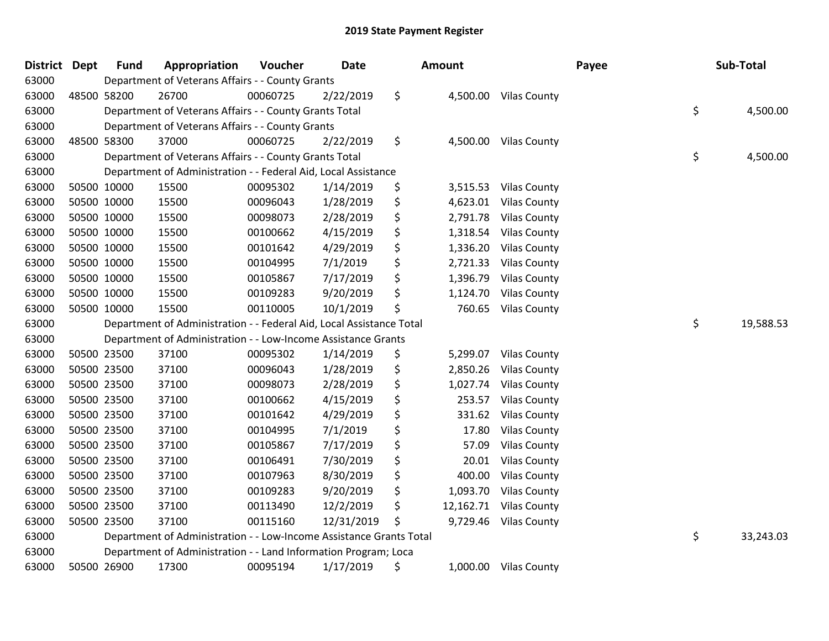| District Dept | <b>Fund</b> | Appropriation                                                        | Voucher  | Date       |    | <b>Amount</b> |                       | Payee | Sub-Total       |
|---------------|-------------|----------------------------------------------------------------------|----------|------------|----|---------------|-----------------------|-------|-----------------|
| 63000         |             | Department of Veterans Affairs - - County Grants                     |          |            |    |               |                       |       |                 |
| 63000         | 48500 58200 | 26700                                                                | 00060725 | 2/22/2019  | \$ |               | 4,500.00 Vilas County |       |                 |
| 63000         |             | Department of Veterans Affairs - - County Grants Total               |          |            |    |               |                       |       | \$<br>4,500.00  |
| 63000         |             | Department of Veterans Affairs - - County Grants                     |          |            |    |               |                       |       |                 |
| 63000         | 48500 58300 | 37000                                                                | 00060725 | 2/22/2019  | \$ |               | 4,500.00 Vilas County |       |                 |
| 63000         |             | Department of Veterans Affairs - - County Grants Total               |          |            |    |               |                       |       | \$<br>4,500.00  |
| 63000         |             | Department of Administration - - Federal Aid, Local Assistance       |          |            |    |               |                       |       |                 |
| 63000         | 50500 10000 | 15500                                                                | 00095302 | 1/14/2019  | \$ | 3,515.53      | <b>Vilas County</b>   |       |                 |
| 63000         | 50500 10000 | 15500                                                                | 00096043 | 1/28/2019  | \$ | 4,623.01      | <b>Vilas County</b>   |       |                 |
| 63000         | 50500 10000 | 15500                                                                | 00098073 | 2/28/2019  | \$ | 2,791.78      | <b>Vilas County</b>   |       |                 |
| 63000         | 50500 10000 | 15500                                                                | 00100662 | 4/15/2019  | \$ | 1,318.54      | <b>Vilas County</b>   |       |                 |
| 63000         | 50500 10000 | 15500                                                                | 00101642 | 4/29/2019  | \$ | 1,336.20      | <b>Vilas County</b>   |       |                 |
| 63000         | 50500 10000 | 15500                                                                | 00104995 | 7/1/2019   | \$ | 2,721.33      | <b>Vilas County</b>   |       |                 |
| 63000         | 50500 10000 | 15500                                                                | 00105867 | 7/17/2019  | \$ | 1,396.79      | <b>Vilas County</b>   |       |                 |
| 63000         | 50500 10000 | 15500                                                                | 00109283 | 9/20/2019  | \$ | 1,124.70      | <b>Vilas County</b>   |       |                 |
| 63000         | 50500 10000 | 15500                                                                | 00110005 | 10/1/2019  | \$ | 760.65        | <b>Vilas County</b>   |       |                 |
| 63000         |             | Department of Administration - - Federal Aid, Local Assistance Total |          |            |    |               |                       |       | \$<br>19,588.53 |
| 63000         |             | Department of Administration - - Low-Income Assistance Grants        |          |            |    |               |                       |       |                 |
| 63000         | 50500 23500 | 37100                                                                | 00095302 | 1/14/2019  | \$ | 5,299.07      | <b>Vilas County</b>   |       |                 |
| 63000         | 50500 23500 | 37100                                                                | 00096043 | 1/28/2019  | \$ | 2,850.26      | <b>Vilas County</b>   |       |                 |
| 63000         | 50500 23500 | 37100                                                                | 00098073 | 2/28/2019  | \$ | 1,027.74      | <b>Vilas County</b>   |       |                 |
| 63000         | 50500 23500 | 37100                                                                | 00100662 | 4/15/2019  | \$ | 253.57        | <b>Vilas County</b>   |       |                 |
| 63000         | 50500 23500 | 37100                                                                | 00101642 | 4/29/2019  | \$ | 331.62        | <b>Vilas County</b>   |       |                 |
| 63000         | 50500 23500 | 37100                                                                | 00104995 | 7/1/2019   | \$ | 17.80         | <b>Vilas County</b>   |       |                 |
| 63000         | 50500 23500 | 37100                                                                | 00105867 | 7/17/2019  | \$ | 57.09         | <b>Vilas County</b>   |       |                 |
| 63000         | 50500 23500 | 37100                                                                | 00106491 | 7/30/2019  | \$ | 20.01         | <b>Vilas County</b>   |       |                 |
| 63000         | 50500 23500 | 37100                                                                | 00107963 | 8/30/2019  | \$ | 400.00        | <b>Vilas County</b>   |       |                 |
| 63000         | 50500 23500 | 37100                                                                | 00109283 | 9/20/2019  | \$ | 1,093.70      | <b>Vilas County</b>   |       |                 |
| 63000         | 50500 23500 | 37100                                                                | 00113490 | 12/2/2019  | \$ | 12,162.71     | <b>Vilas County</b>   |       |                 |
| 63000         | 50500 23500 | 37100                                                                | 00115160 | 12/31/2019 | Ś  | 9,729.46      | <b>Vilas County</b>   |       |                 |
| 63000         |             | Department of Administration - - Low-Income Assistance Grants Total  |          |            |    |               |                       |       | \$<br>33,243.03 |
| 63000         |             | Department of Administration - - Land Information Program; Loca      |          |            |    |               |                       |       |                 |
| 63000         | 50500 26900 | 17300                                                                | 00095194 | 1/17/2019  | \$ |               | 1,000.00 Vilas County |       |                 |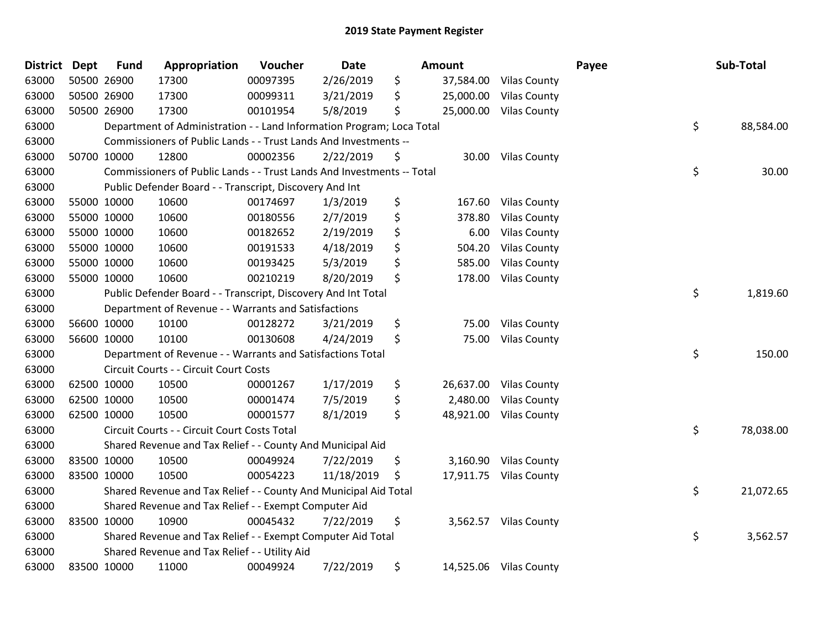| <b>District</b> | <b>Dept</b> | <b>Fund</b> | Appropriation                                                          | Voucher  | <b>Date</b> | Amount          |                        | Payee | Sub-Total       |
|-----------------|-------------|-------------|------------------------------------------------------------------------|----------|-------------|-----------------|------------------------|-------|-----------------|
| 63000           |             | 50500 26900 | 17300                                                                  | 00097395 | 2/26/2019   | \$<br>37,584.00 | <b>Vilas County</b>    |       |                 |
| 63000           |             | 50500 26900 | 17300                                                                  | 00099311 | 3/21/2019   | \$<br>25,000.00 | <b>Vilas County</b>    |       |                 |
| 63000           |             | 50500 26900 | 17300                                                                  | 00101954 | 5/8/2019    | \$<br>25,000.00 | <b>Vilas County</b>    |       |                 |
| 63000           |             |             | Department of Administration - - Land Information Program; Loca Total  |          |             |                 |                        |       | \$<br>88,584.00 |
| 63000           |             |             | Commissioners of Public Lands - - Trust Lands And Investments --       |          |             |                 |                        |       |                 |
| 63000           |             | 50700 10000 | 12800                                                                  | 00002356 | 2/22/2019   | \$<br>30.00     | <b>Vilas County</b>    |       |                 |
| 63000           |             |             | Commissioners of Public Lands - - Trust Lands And Investments -- Total |          |             |                 |                        |       | \$<br>30.00     |
| 63000           |             |             | Public Defender Board - - Transcript, Discovery And Int                |          |             |                 |                        |       |                 |
| 63000           |             | 55000 10000 | 10600                                                                  | 00174697 | 1/3/2019    | \$<br>167.60    | <b>Vilas County</b>    |       |                 |
| 63000           |             | 55000 10000 | 10600                                                                  | 00180556 | 2/7/2019    | \$<br>378.80    | <b>Vilas County</b>    |       |                 |
| 63000           |             | 55000 10000 | 10600                                                                  | 00182652 | 2/19/2019   | \$<br>6.00      | <b>Vilas County</b>    |       |                 |
| 63000           |             | 55000 10000 | 10600                                                                  | 00191533 | 4/18/2019   | \$<br>504.20    | <b>Vilas County</b>    |       |                 |
| 63000           |             | 55000 10000 | 10600                                                                  | 00193425 | 5/3/2019    | \$<br>585.00    | <b>Vilas County</b>    |       |                 |
| 63000           |             | 55000 10000 | 10600                                                                  | 00210219 | 8/20/2019   | \$<br>178.00    | <b>Vilas County</b>    |       |                 |
| 63000           |             |             | Public Defender Board - - Transcript, Discovery And Int Total          |          |             |                 |                        |       | \$<br>1,819.60  |
| 63000           |             |             | Department of Revenue - - Warrants and Satisfactions                   |          |             |                 |                        |       |                 |
| 63000           |             | 56600 10000 | 10100                                                                  | 00128272 | 3/21/2019   | \$<br>75.00     | <b>Vilas County</b>    |       |                 |
| 63000           |             | 56600 10000 | 10100                                                                  | 00130608 | 4/24/2019   | \$<br>75.00     | <b>Vilas County</b>    |       |                 |
| 63000           |             |             | Department of Revenue - - Warrants and Satisfactions Total             |          |             |                 |                        |       | \$<br>150.00    |
| 63000           |             |             | Circuit Courts - - Circuit Court Costs                                 |          |             |                 |                        |       |                 |
| 63000           |             | 62500 10000 | 10500                                                                  | 00001267 | 1/17/2019   | \$              | 26,637.00 Vilas County |       |                 |
| 63000           |             | 62500 10000 | 10500                                                                  | 00001474 | 7/5/2019    | \$<br>2,480.00  | <b>Vilas County</b>    |       |                 |
| 63000           |             | 62500 10000 | 10500                                                                  | 00001577 | 8/1/2019    | \$<br>48,921.00 | <b>Vilas County</b>    |       |                 |
| 63000           |             |             | Circuit Courts - - Circuit Court Costs Total                           |          |             |                 |                        |       | \$<br>78,038.00 |
| 63000           |             |             | Shared Revenue and Tax Relief - - County And Municipal Aid             |          |             |                 |                        |       |                 |
| 63000           |             | 83500 10000 | 10500                                                                  | 00049924 | 7/22/2019   | \$<br>3,160.90  | <b>Vilas County</b>    |       |                 |
| 63000           |             | 83500 10000 | 10500                                                                  | 00054223 | 11/18/2019  | \$              | 17,911.75 Vilas County |       |                 |
| 63000           |             |             | Shared Revenue and Tax Relief - - County And Municipal Aid Total       |          |             |                 |                        |       | \$<br>21,072.65 |
| 63000           |             |             | Shared Revenue and Tax Relief - - Exempt Computer Aid                  |          |             |                 |                        |       |                 |
| 63000           |             | 83500 10000 | 10900                                                                  | 00045432 | 7/22/2019   | \$              | 3,562.57 Vilas County  |       |                 |
| 63000           |             |             | Shared Revenue and Tax Relief - - Exempt Computer Aid Total            |          |             |                 |                        |       | \$<br>3,562.57  |
| 63000           |             |             | Shared Revenue and Tax Relief - - Utility Aid                          |          |             |                 |                        |       |                 |
| 63000           |             | 83500 10000 | 11000                                                                  | 00049924 | 7/22/2019   | \$              | 14,525.06 Vilas County |       |                 |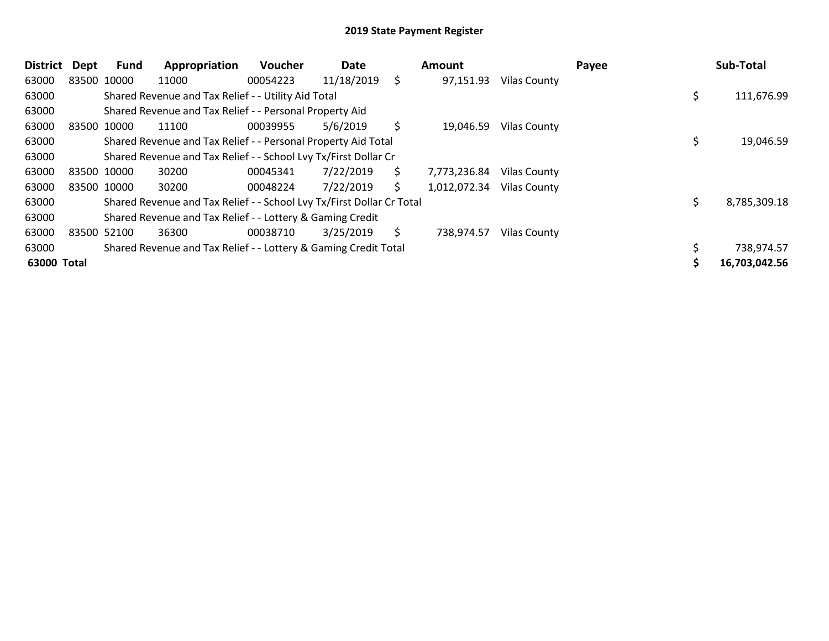| <b>District</b> | Dept        | <b>Fund</b> | Appropriation                                                         | <b>Voucher</b> | Date       |     | Amount       |                     | Payee | Sub-Total     |
|-----------------|-------------|-------------|-----------------------------------------------------------------------|----------------|------------|-----|--------------|---------------------|-------|---------------|
| 63000           | 83500 10000 |             | 11000                                                                 | 00054223       | 11/18/2019 | \$  | 97,151.93    | Vilas County        |       |               |
| 63000           |             |             | Shared Revenue and Tax Relief - - Utility Aid Total                   |                |            |     |              |                     |       | 111,676.99    |
| 63000           |             |             | Shared Revenue and Tax Relief - - Personal Property Aid               |                |            |     |              |                     |       |               |
| 63000           | 83500 10000 |             | 11100                                                                 | 00039955       | 5/6/2019   | \$  | 19,046.59    | <b>Vilas County</b> |       |               |
| 63000           |             |             | Shared Revenue and Tax Relief - - Personal Property Aid Total         |                |            |     |              |                     |       | 19,046.59     |
| 63000           |             |             | Shared Revenue and Tax Relief - - School Lvy Tx/First Dollar Cr       |                |            |     |              |                     |       |               |
| 63000           | 83500 10000 |             | 30200                                                                 | 00045341       | 7/22/2019  | \$. | 7,773,236.84 | Vilas County        |       |               |
| 63000           | 83500 10000 |             | 30200                                                                 | 00048224       | 7/22/2019  | \$. | 1,012,072.34 | <b>Vilas County</b> |       |               |
| 63000           |             |             | Shared Revenue and Tax Relief - - School Lvy Tx/First Dollar Cr Total |                |            |     |              |                     |       | 8,785,309.18  |
| 63000           |             |             | Shared Revenue and Tax Relief - - Lottery & Gaming Credit             |                |            |     |              |                     |       |               |
| 63000           | 83500 52100 |             | 36300                                                                 | 00038710       | 3/25/2019  | \$  | 738,974.57   | <b>Vilas County</b> |       |               |
| 63000           |             |             | Shared Revenue and Tax Relief - - Lottery & Gaming Credit Total       |                |            |     |              |                     |       | 738,974.57    |
| 63000 Total     |             |             |                                                                       |                |            |     |              |                     |       | 16,703,042.56 |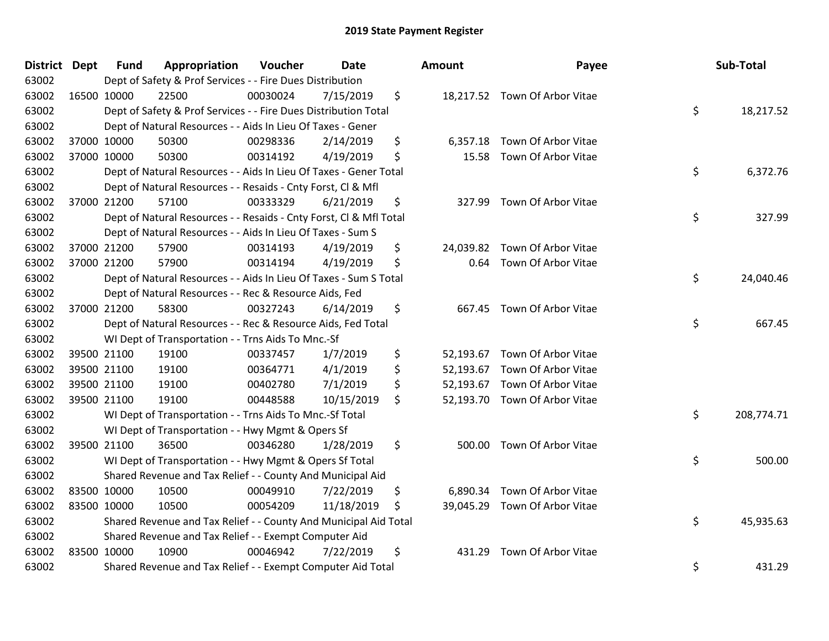| <b>District Dept</b> | <b>Fund</b> | Appropriation                                                      | Voucher  | <b>Date</b> |     | Amount    | Payee                         | Sub-Total        |
|----------------------|-------------|--------------------------------------------------------------------|----------|-------------|-----|-----------|-------------------------------|------------------|
| 63002                |             | Dept of Safety & Prof Services - - Fire Dues Distribution          |          |             |     |           |                               |                  |
| 63002                | 16500 10000 | 22500                                                              | 00030024 | 7/15/2019   | \$  |           | 18,217.52 Town Of Arbor Vitae |                  |
| 63002                |             | Dept of Safety & Prof Services - - Fire Dues Distribution Total    |          |             |     |           |                               | \$<br>18,217.52  |
| 63002                |             | Dept of Natural Resources - - Aids In Lieu Of Taxes - Gener        |          |             |     |           |                               |                  |
| 63002                | 37000 10000 | 50300                                                              | 00298336 | 2/14/2019   | \$  | 6,357.18  | Town Of Arbor Vitae           |                  |
| 63002                | 37000 10000 | 50300                                                              | 00314192 | 4/19/2019   | \$  | 15.58     | Town Of Arbor Vitae           |                  |
| 63002                |             | Dept of Natural Resources - - Aids In Lieu Of Taxes - Gener Total  |          |             |     |           |                               | \$<br>6,372.76   |
| 63002                |             | Dept of Natural Resources - - Resaids - Cnty Forst, Cl & Mfl       |          |             |     |           |                               |                  |
| 63002                | 37000 21200 | 57100                                                              | 00333329 | 6/21/2019   | \$  | 327.99    | Town Of Arbor Vitae           |                  |
| 63002                |             | Dept of Natural Resources - - Resaids - Cnty Forst, CI & Mfl Total |          |             |     |           |                               | \$<br>327.99     |
| 63002                |             | Dept of Natural Resources - - Aids In Lieu Of Taxes - Sum S        |          |             |     |           |                               |                  |
| 63002                | 37000 21200 | 57900                                                              | 00314193 | 4/19/2019   | \$  |           | 24,039.82 Town Of Arbor Vitae |                  |
| 63002                | 37000 21200 | 57900                                                              | 00314194 | 4/19/2019   | \$  | 0.64      | Town Of Arbor Vitae           |                  |
| 63002                |             | Dept of Natural Resources - - Aids In Lieu Of Taxes - Sum S Total  |          |             |     |           |                               | \$<br>24,040.46  |
| 63002                |             | Dept of Natural Resources - - Rec & Resource Aids, Fed             |          |             |     |           |                               |                  |
| 63002                | 37000 21200 | 58300                                                              | 00327243 | 6/14/2019   | \$  | 667.45    | Town Of Arbor Vitae           |                  |
| 63002                |             | Dept of Natural Resources - - Rec & Resource Aids, Fed Total       |          |             |     |           |                               | \$<br>667.45     |
| 63002                |             | WI Dept of Transportation - - Trns Aids To Mnc.-Sf                 |          |             |     |           |                               |                  |
| 63002                | 39500 21100 | 19100                                                              | 00337457 | 1/7/2019    | \$  |           | 52,193.67 Town Of Arbor Vitae |                  |
| 63002                | 39500 21100 | 19100                                                              | 00364771 | 4/1/2019    | \$  | 52,193.67 | Town Of Arbor Vitae           |                  |
| 63002                | 39500 21100 | 19100                                                              | 00402780 | 7/1/2019    | \$  | 52,193.67 | Town Of Arbor Vitae           |                  |
| 63002                | 39500 21100 | 19100                                                              | 00448588 | 10/15/2019  | \$  |           | 52,193.70 Town Of Arbor Vitae |                  |
| 63002                |             | WI Dept of Transportation - - Trns Aids To Mnc.-Sf Total           |          |             |     |           |                               | \$<br>208,774.71 |
| 63002                |             | WI Dept of Transportation - - Hwy Mgmt & Opers Sf                  |          |             |     |           |                               |                  |
| 63002                | 39500 21100 | 36500                                                              | 00346280 | 1/28/2019   | \$  | 500.00    | Town Of Arbor Vitae           |                  |
| 63002                |             | WI Dept of Transportation - - Hwy Mgmt & Opers Sf Total            |          |             |     |           |                               | \$<br>500.00     |
| 63002                |             | Shared Revenue and Tax Relief - - County And Municipal Aid         |          |             |     |           |                               |                  |
| 63002                | 83500 10000 | 10500                                                              | 00049910 | 7/22/2019   | \$  |           | 6,890.34 Town Of Arbor Vitae  |                  |
| 63002                | 83500 10000 | 10500                                                              | 00054209 | 11/18/2019  | \$. |           | 39,045.29 Town Of Arbor Vitae |                  |
| 63002                |             | Shared Revenue and Tax Relief - - County And Municipal Aid Total   |          |             |     |           |                               | \$<br>45,935.63  |
| 63002                |             | Shared Revenue and Tax Relief - - Exempt Computer Aid              |          |             |     |           |                               |                  |
| 63002                | 83500 10000 | 10900                                                              | 00046942 | 7/22/2019   | \$  | 431.29    | Town Of Arbor Vitae           |                  |
| 63002                |             | Shared Revenue and Tax Relief - - Exempt Computer Aid Total        |          |             |     |           |                               | \$<br>431.29     |

| ount      | Payee                         | Sub-Total        |
|-----------|-------------------------------|------------------|
|           | 18,217.52 Town Of Arbor Vitae | \$<br>18,217.52  |
| 6,357.18  | Town Of Arbor Vitae           |                  |
| 15.58     | Town Of Arbor Vitae           |                  |
|           |                               | \$<br>6,372.76   |
| 327.99    | Town Of Arbor Vitae           |                  |
|           |                               | \$<br>327.99     |
|           | 24,039.82 Town Of Arbor Vitae |                  |
| 0.64      | Town Of Arbor Vitae           |                  |
|           |                               | \$<br>24,040.46  |
| 667.45    | Town Of Arbor Vitae           |                  |
|           |                               | \$<br>667.45     |
| 52,193.67 | Town Of Arbor Vitae           |                  |
|           | 52,193.67 Town Of Arbor Vitae |                  |
|           | 52,193.67 Town Of Arbor Vitae |                  |
| 52,193.70 | Town Of Arbor Vitae           |                  |
|           |                               | \$<br>208,774.71 |
| 500.00    | Town Of Arbor Vitae           |                  |
|           |                               | \$<br>500.00     |
|           | 6,890.34 Town Of Arbor Vitae  |                  |
|           | 39,045.29 Town Of Arbor Vitae |                  |
|           |                               | \$<br>45,935.63  |
| 431.29    | Town Of Arbor Vitae           |                  |
|           |                               | \$<br>431.29     |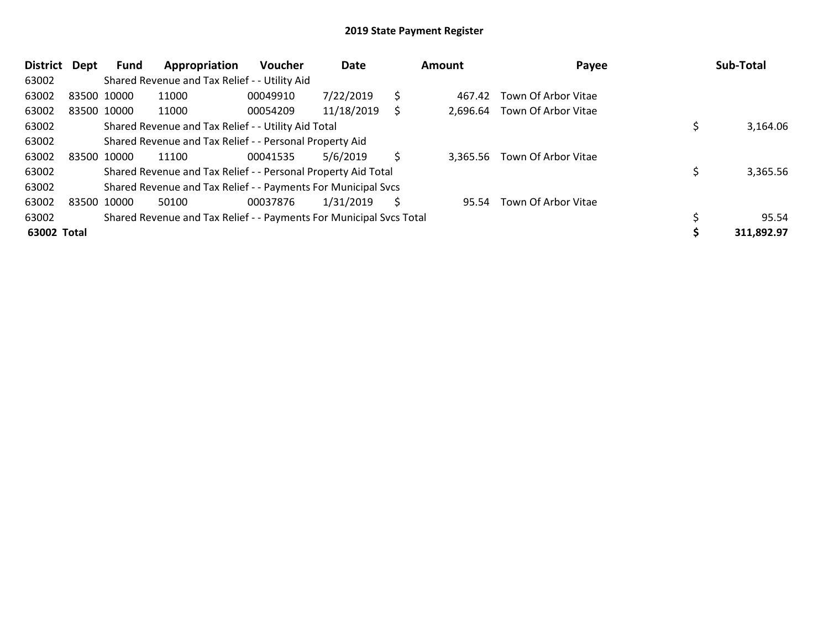| <b>District</b> | Dept  | Fund        | Appropriation                                                       | <b>Voucher</b> | Date       |    | Amount   | Payee               | Sub-Total  |
|-----------------|-------|-------------|---------------------------------------------------------------------|----------------|------------|----|----------|---------------------|------------|
| 63002           |       |             | Shared Revenue and Tax Relief - - Utility Aid                       |                |            |    |          |                     |            |
| 63002           |       | 83500 10000 | 11000                                                               | 00049910       | 7/22/2019  | \$ | 467.42   | Town Of Arbor Vitae |            |
| 63002           |       | 83500 10000 | 11000                                                               | 00054209       | 11/18/2019 | S  | 2,696.64 | Town Of Arbor Vitae |            |
| 63002           |       |             | Shared Revenue and Tax Relief - - Utility Aid Total                 |                |            |    |          |                     | 3,164.06   |
| 63002           |       |             | Shared Revenue and Tax Relief - - Personal Property Aid             |                |            |    |          |                     |            |
| 63002           |       | 83500 10000 | 11100                                                               | 00041535       | 5/6/2019   | Ŝ  | 3.365.56 | Town Of Arbor Vitae |            |
| 63002           |       |             | Shared Revenue and Tax Relief - - Personal Property Aid Total       |                |            |    |          |                     | 3,365.56   |
| 63002           |       |             | Shared Revenue and Tax Relief - - Payments For Municipal Svcs       |                |            |    |          |                     |            |
| 63002           | 83500 | 10000       | 50100                                                               | 00037876       | 1/31/2019  | S  | 95.54    | Town Of Arbor Vitae |            |
| 63002           |       |             | Shared Revenue and Tax Relief - - Payments For Municipal Svcs Total |                |            |    |          |                     | 95.54      |
| 63002 Total     |       |             |                                                                     |                |            |    |          |                     | 311,892.97 |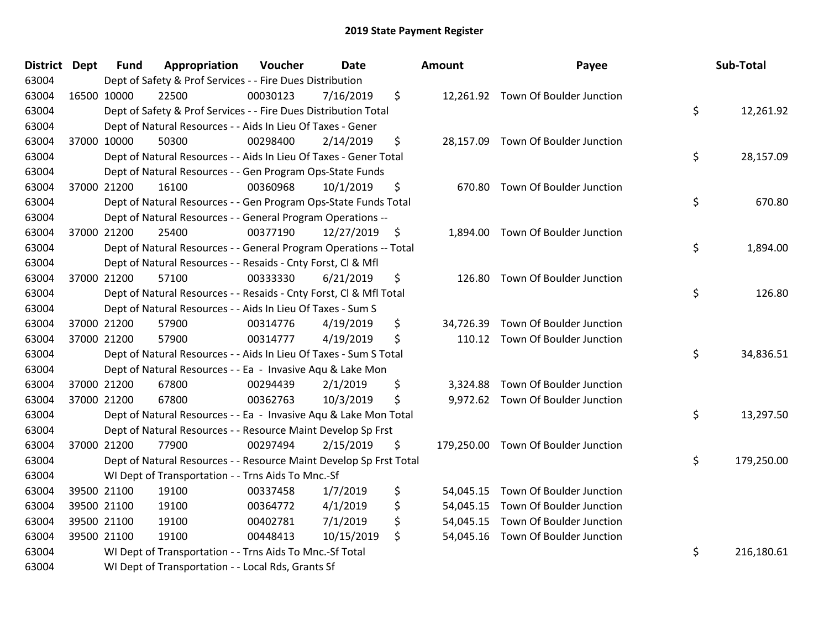| District Dept | Fund        | Appropriation                                                      | Voucher  | <b>Date</b> | Amount          | Payee                               | Sub-Total        |
|---------------|-------------|--------------------------------------------------------------------|----------|-------------|-----------------|-------------------------------------|------------------|
| 63004         |             | Dept of Safety & Prof Services - - Fire Dues Distribution          |          |             |                 |                                     |                  |
| 63004         | 16500 10000 | 22500                                                              | 00030123 | 7/16/2019   | \$              | 12,261.92 Town Of Boulder Junction  |                  |
| 63004         |             | Dept of Safety & Prof Services - - Fire Dues Distribution Total    |          |             |                 |                                     | \$<br>12,261.92  |
| 63004         |             | Dept of Natural Resources - - Aids In Lieu Of Taxes - Gener        |          |             |                 |                                     |                  |
| 63004         | 37000 10000 | 50300                                                              | 00298400 | 2/14/2019   | \$              | 28,157.09 Town Of Boulder Junction  |                  |
| 63004         |             | Dept of Natural Resources - - Aids In Lieu Of Taxes - Gener Total  |          |             |                 |                                     | \$<br>28,157.09  |
| 63004         |             | Dept of Natural Resources - - Gen Program Ops-State Funds          |          |             |                 |                                     |                  |
| 63004         | 37000 21200 | 16100                                                              | 00360968 | 10/1/2019   | \$<br>670.80    | Town Of Boulder Junction            |                  |
| 63004         |             | Dept of Natural Resources - - Gen Program Ops-State Funds Total    |          |             |                 |                                     | \$<br>670.80     |
| 63004         |             | Dept of Natural Resources - - General Program Operations --        |          |             |                 |                                     |                  |
| 63004         | 37000 21200 | 25400                                                              | 00377190 | 12/27/2019  | \$              | 1,894.00 Town Of Boulder Junction   |                  |
| 63004         |             | Dept of Natural Resources - - General Program Operations -- Total  |          |             |                 |                                     | \$<br>1,894.00   |
| 63004         |             | Dept of Natural Resources - - Resaids - Cnty Forst, Cl & Mfl       |          |             |                 |                                     |                  |
| 63004         | 37000 21200 | 57100                                                              | 00333330 | 6/21/2019   | \$<br>126.80    | Town Of Boulder Junction            |                  |
| 63004         |             | Dept of Natural Resources - - Resaids - Cnty Forst, Cl & Mfl Total |          |             |                 |                                     | \$<br>126.80     |
| 63004         |             | Dept of Natural Resources - - Aids In Lieu Of Taxes - Sum S        |          |             |                 |                                     |                  |
| 63004         | 37000 21200 | 57900                                                              | 00314776 | 4/19/2019   | \$<br>34,726.39 | Town Of Boulder Junction            |                  |
| 63004         | 37000 21200 | 57900                                                              | 00314777 | 4/19/2019   | \$              | 110.12 Town Of Boulder Junction     |                  |
| 63004         |             | Dept of Natural Resources - - Aids In Lieu Of Taxes - Sum S Total  |          |             |                 |                                     | \$<br>34,836.51  |
| 63004         |             | Dept of Natural Resources - - Ea - Invasive Aqu & Lake Mon         |          |             |                 |                                     |                  |
| 63004         | 37000 21200 | 67800                                                              | 00294439 | 2/1/2019    | \$<br>3.324.88  | Town Of Boulder Junction            |                  |
| 63004         | 37000 21200 | 67800                                                              | 00362763 | 10/3/2019   | \$              | 9,972.62 Town Of Boulder Junction   |                  |
| 63004         |             | Dept of Natural Resources - - Ea - Invasive Aqu & Lake Mon Total   |          |             |                 |                                     | \$<br>13,297.50  |
| 63004         |             | Dept of Natural Resources - - Resource Maint Develop Sp Frst       |          |             |                 |                                     |                  |
| 63004         | 37000 21200 | 77900                                                              | 00297494 | 2/15/2019   | \$              | 179,250.00 Town Of Boulder Junction |                  |
| 63004         |             | Dept of Natural Resources - - Resource Maint Develop Sp Frst Total |          |             |                 |                                     | \$<br>179,250.00 |
| 63004         |             | WI Dept of Transportation - - Trns Aids To Mnc.-Sf                 |          |             |                 |                                     |                  |
| 63004         | 39500 21100 | 19100                                                              | 00337458 | 1/7/2019    | \$              | 54,045.15 Town Of Boulder Junction  |                  |
| 63004         | 39500 21100 | 19100                                                              | 00364772 | 4/1/2019    | \$<br>54,045.15 | Town Of Boulder Junction            |                  |
| 63004         | 39500 21100 | 19100                                                              | 00402781 | 7/1/2019    | \$<br>54,045.15 | Town Of Boulder Junction            |                  |
| 63004         | 39500 21100 | 19100                                                              | 00448413 | 10/15/2019  | \$              | 54,045.16 Town Of Boulder Junction  |                  |
| 63004         |             | WI Dept of Transportation - - Trns Aids To Mnc.-Sf Total           |          |             |                 |                                     | \$<br>216,180.61 |
| 63004         |             | WI Dept of Transportation - - Local Rds, Grants Sf                 |          |             |                 |                                     |                  |

| າount                                            | Payee                                                                                                        | Sub-Total        |
|--------------------------------------------------|--------------------------------------------------------------------------------------------------------------|------------------|
| 12,261.92                                        | Town Of Boulder Junction                                                                                     | \$<br>12,261.92  |
| 28,157.09                                        | Town Of Boulder Junction                                                                                     | \$<br>28,157.09  |
| 670.80                                           | Town Of Boulder Junction                                                                                     | \$<br>670.80     |
| 1,894.00                                         | Town Of Boulder Junction                                                                                     | \$<br>1,894.00   |
| 126.80                                           | Town Of Boulder Junction                                                                                     | \$<br>126.80     |
| 110.12                                           | 34,726.39 Town Of Boulder Junction<br>Town Of Boulder Junction                                               | \$<br>34,836.51  |
| 9,972.62                                         | 3,324.88 Town Of Boulder Junction<br>Town Of Boulder Junction                                                | \$<br>13,297.50  |
| 179,250.00                                       | Town Of Boulder Junction                                                                                     | \$<br>179,250.00 |
| 54,045.15<br>54,045.15<br>54,045.15<br>54,045.16 | Town Of Boulder Junction<br>Town Of Boulder Junction<br>Town Of Boulder Junction<br>Town Of Boulder Junction | \$<br>216,180.61 |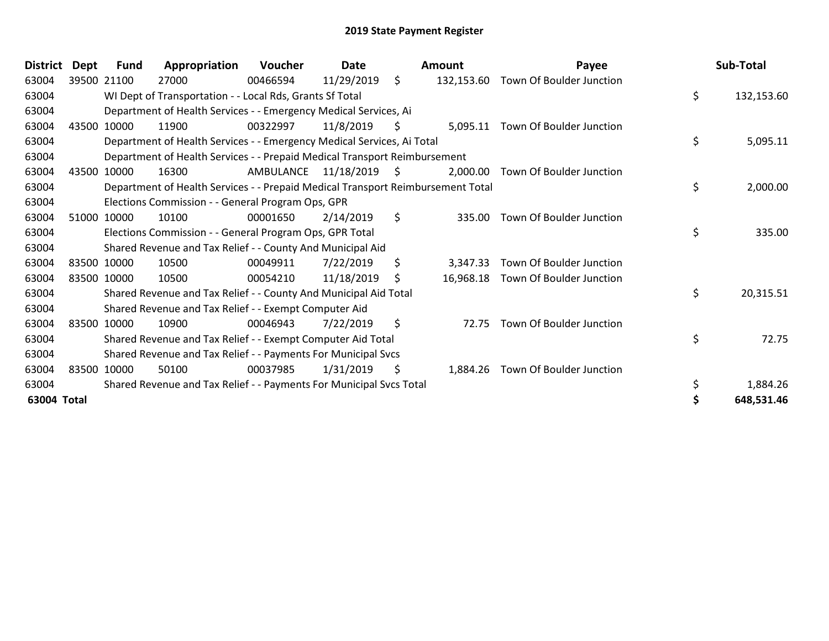| <b>District</b> | <b>Dept</b> | <b>Fund</b> | Appropriation                                                                   | Voucher   | Date          |         | <b>Amount</b> | Payee                    | Sub-Total        |
|-----------------|-------------|-------------|---------------------------------------------------------------------------------|-----------|---------------|---------|---------------|--------------------------|------------------|
| 63004           |             | 39500 21100 | 27000                                                                           | 00466594  | 11/29/2019    | \$      | 132,153.60    | Town Of Boulder Junction |                  |
| 63004           |             |             | WI Dept of Transportation - - Local Rds, Grants Sf Total                        |           |               |         |               |                          | \$<br>132,153.60 |
| 63004           |             |             | Department of Health Services - - Emergency Medical Services, Ai                |           |               |         |               |                          |                  |
| 63004           | 43500       | 10000       | 11900                                                                           | 00322997  | 11/8/2019     | \$.     | 5,095.11      | Town Of Boulder Junction |                  |
| 63004           |             |             | Department of Health Services - - Emergency Medical Services, Ai Total          |           |               |         |               |                          | \$<br>5,095.11   |
| 63004           |             |             | Department of Health Services - - Prepaid Medical Transport Reimbursement       |           |               |         |               |                          |                  |
| 63004           | 43500       | 10000       | 16300                                                                           | AMBULANCE | 11/18/2019 \$ |         | 2,000.00      | Town Of Boulder Junction |                  |
| 63004           |             |             | Department of Health Services - - Prepaid Medical Transport Reimbursement Total |           |               |         |               |                          | \$<br>2,000.00   |
| 63004           |             |             | Elections Commission - - General Program Ops, GPR                               |           |               |         |               |                          |                  |
| 63004           |             | 51000 10000 | 10100                                                                           | 00001650  | 2/14/2019     | $\zeta$ | 335.00        | Town Of Boulder Junction |                  |
| 63004           |             |             | Elections Commission - - General Program Ops, GPR Total                         |           |               |         |               |                          | \$<br>335.00     |
| 63004           |             |             | Shared Revenue and Tax Relief - - County And Municipal Aid                      |           |               |         |               |                          |                  |
| 63004           |             | 83500 10000 | 10500                                                                           | 00049911  | 7/22/2019     | \$.     | 3.347.33      | Town Of Boulder Junction |                  |
| 63004           |             | 83500 10000 | 10500                                                                           | 00054210  | 11/18/2019    | \$      | 16,968.18     | Town Of Boulder Junction |                  |
| 63004           |             |             | Shared Revenue and Tax Relief - - County And Municipal Aid Total                |           |               |         |               |                          | \$<br>20,315.51  |
| 63004           |             |             | Shared Revenue and Tax Relief - - Exempt Computer Aid                           |           |               |         |               |                          |                  |
| 63004           |             | 83500 10000 | 10900                                                                           | 00046943  | 7/22/2019     | \$      | 72.75         | Town Of Boulder Junction |                  |
| 63004           |             |             | Shared Revenue and Tax Relief - - Exempt Computer Aid Total                     |           |               |         |               |                          | \$<br>72.75      |
| 63004           |             |             | Shared Revenue and Tax Relief - - Payments For Municipal Svcs                   |           |               |         |               |                          |                  |
| 63004           |             | 83500 10000 | 50100                                                                           | 00037985  | 1/31/2019     | \$      | 1,884.26      | Town Of Boulder Junction |                  |
| 63004           |             |             | Shared Revenue and Tax Relief - - Payments For Municipal Svcs Total             |           |               |         |               |                          | 1,884.26         |
| 63004 Total     |             |             |                                                                                 |           |               |         |               |                          | 648,531.46       |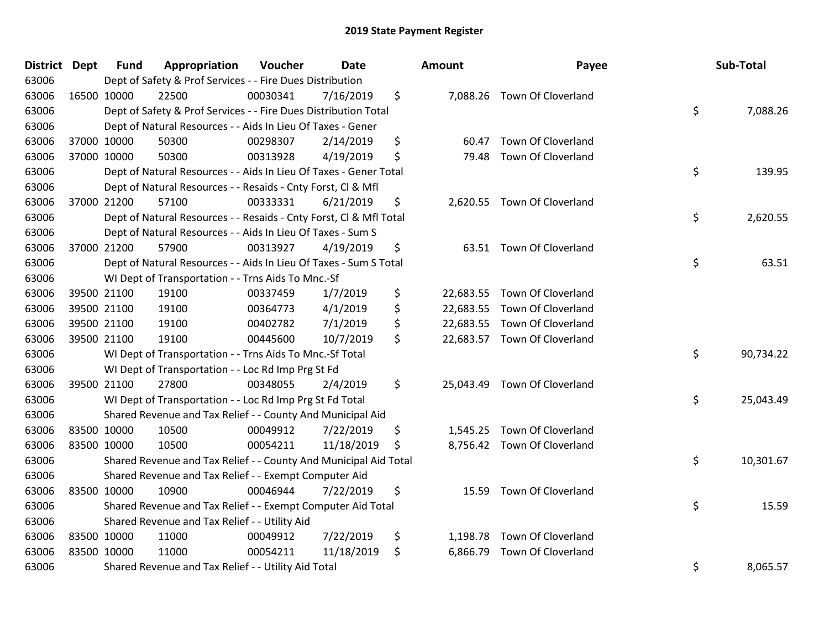| <b>District</b> | <b>Dept</b> | <b>Fund</b> | Appropriation                                                      | Voucher  | Date       | Amount         | Payee                        | Sub-Total       |
|-----------------|-------------|-------------|--------------------------------------------------------------------|----------|------------|----------------|------------------------------|-----------------|
| 63006           |             |             | Dept of Safety & Prof Services - - Fire Dues Distribution          |          |            |                |                              |                 |
| 63006           |             | 16500 10000 | 22500                                                              | 00030341 | 7/16/2019  | \$             | 7,088.26 Town Of Cloverland  |                 |
| 63006           |             |             | Dept of Safety & Prof Services - - Fire Dues Distribution Total    |          |            |                |                              | \$<br>7,088.26  |
| 63006           |             |             | Dept of Natural Resources - - Aids In Lieu Of Taxes - Gener        |          |            |                |                              |                 |
| 63006           |             | 37000 10000 | 50300                                                              | 00298307 | 2/14/2019  | \$<br>60.47    | Town Of Cloverland           |                 |
| 63006           |             | 37000 10000 | 50300                                                              | 00313928 | 4/19/2019  | \$<br>79.48    | Town Of Cloverland           |                 |
| 63006           |             |             | Dept of Natural Resources - - Aids In Lieu Of Taxes - Gener Total  |          |            |                |                              | \$<br>139.95    |
| 63006           |             |             | Dept of Natural Resources - - Resaids - Cnty Forst, Cl & Mfl       |          |            |                |                              |                 |
| 63006           |             | 37000 21200 | 57100                                                              | 00333331 | 6/21/2019  | \$             | 2,620.55 Town Of Cloverland  |                 |
| 63006           |             |             | Dept of Natural Resources - - Resaids - Cnty Forst, CI & Mfl Total |          |            |                |                              | \$<br>2,620.55  |
| 63006           |             |             | Dept of Natural Resources - - Aids In Lieu Of Taxes - Sum S        |          |            |                |                              |                 |
| 63006           |             | 37000 21200 | 57900                                                              | 00313927 | 4/19/2019  | \$             | 63.51 Town Of Cloverland     |                 |
| 63006           |             |             | Dept of Natural Resources - - Aids In Lieu Of Taxes - Sum S Total  |          |            |                |                              | \$<br>63.51     |
| 63006           |             |             | WI Dept of Transportation - - Trns Aids To Mnc.-Sf                 |          |            |                |                              |                 |
| 63006           |             | 39500 21100 | 19100                                                              | 00337459 | 1/7/2019   | \$             | 22,683.55 Town Of Cloverland |                 |
| 63006           |             | 39500 21100 | 19100                                                              | 00364773 | 4/1/2019   | \$             | 22,683.55 Town Of Cloverland |                 |
| 63006           |             | 39500 21100 | 19100                                                              | 00402782 | 7/1/2019   | \$             | 22,683.55 Town Of Cloverland |                 |
| 63006           |             | 39500 21100 | 19100                                                              | 00445600 | 10/7/2019  | \$             | 22,683.57 Town Of Cloverland |                 |
| 63006           |             |             | WI Dept of Transportation - - Trns Aids To Mnc.-Sf Total           |          |            |                |                              | \$<br>90,734.22 |
| 63006           |             |             | WI Dept of Transportation - - Loc Rd Imp Prg St Fd                 |          |            |                |                              |                 |
| 63006           |             | 39500 21100 | 27800                                                              | 00348055 | 2/4/2019   | \$             | 25,043.49 Town Of Cloverland |                 |
| 63006           |             |             | WI Dept of Transportation - - Loc Rd Imp Prg St Fd Total           |          |            |                |                              | \$<br>25,043.49 |
| 63006           |             |             | Shared Revenue and Tax Relief - - County And Municipal Aid         |          |            |                |                              |                 |
| 63006           |             | 83500 10000 | 10500                                                              | 00049912 | 7/22/2019  | \$             | 1,545.25 Town Of Cloverland  |                 |
| 63006           |             | 83500 10000 | 10500                                                              | 00054211 | 11/18/2019 | \$             | 8,756.42 Town Of Cloverland  |                 |
| 63006           |             |             | Shared Revenue and Tax Relief - - County And Municipal Aid Total   |          |            |                |                              | \$<br>10,301.67 |
| 63006           |             |             | Shared Revenue and Tax Relief - - Exempt Computer Aid              |          |            |                |                              |                 |
| 63006           | 83500 10000 |             | 10900                                                              | 00046944 | 7/22/2019  | \$<br>15.59    | Town Of Cloverland           |                 |
| 63006           |             |             | Shared Revenue and Tax Relief - - Exempt Computer Aid Total        |          |            |                |                              | \$<br>15.59     |
| 63006           |             |             | Shared Revenue and Tax Relief - - Utility Aid                      |          |            |                |                              |                 |
| 63006           |             | 83500 10000 | 11000                                                              | 00049912 | 7/22/2019  | \$             | 1,198.78 Town Of Cloverland  |                 |
| 63006           |             | 83500 10000 | 11000                                                              | 00054211 | 11/18/2019 | \$<br>6,866.79 | Town Of Cloverland           |                 |
| 63006           |             |             | Shared Revenue and Tax Relief - - Utility Aid Total                |          |            |                |                              | \$<br>8,065.57  |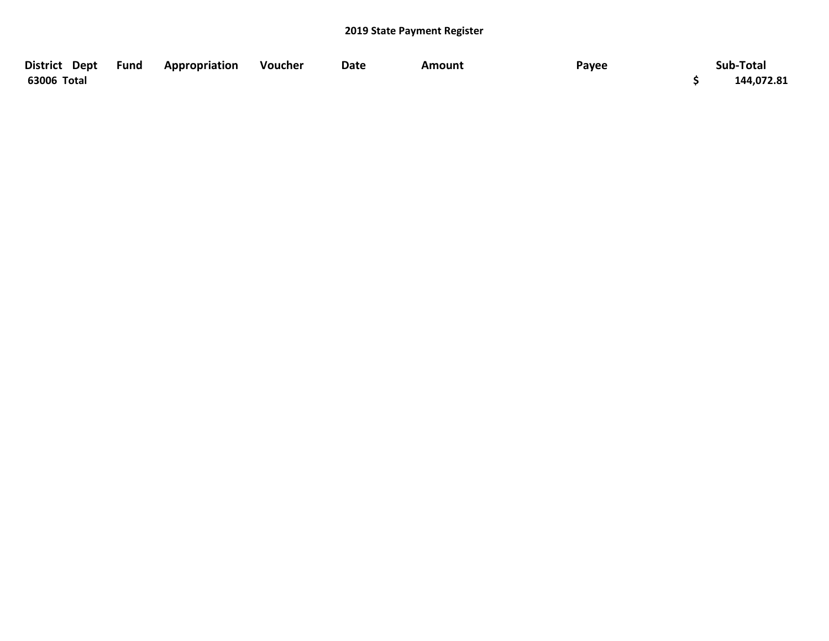| District Dept Fund | Appropriation | Voucher | <b>Date</b> | Amount | Payee | Sub-Total  |
|--------------------|---------------|---------|-------------|--------|-------|------------|
| 63006 Total        |               |         |             |        |       | 144,072.81 |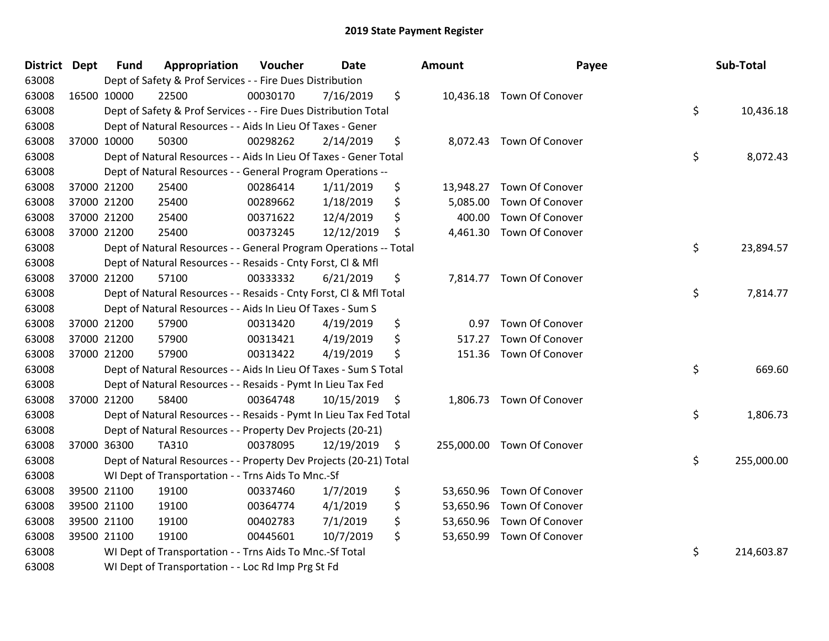| District Dept | <b>Fund</b> | Appropriation                                                      | Voucher  | <b>Date</b> |    | Amount     | Payee                     |    | Sub-Total  |
|---------------|-------------|--------------------------------------------------------------------|----------|-------------|----|------------|---------------------------|----|------------|
| 63008         |             | Dept of Safety & Prof Services - - Fire Dues Distribution          |          |             |    |            |                           |    |            |
| 63008         | 16500 10000 | 22500                                                              | 00030170 | 7/16/2019   | \$ |            | 10,436.18 Town Of Conover |    |            |
| 63008         |             | Dept of Safety & Prof Services - - Fire Dues Distribution Total    |          |             |    |            |                           | \$ | 10,436.18  |
| 63008         |             | Dept of Natural Resources - - Aids In Lieu Of Taxes - Gener        |          |             |    |            |                           |    |            |
| 63008         | 37000 10000 | 50300                                                              | 00298262 | 2/14/2019   | \$ | 8,072.43   | Town Of Conover           |    |            |
| 63008         |             | Dept of Natural Resources - - Aids In Lieu Of Taxes - Gener Total  |          |             |    |            |                           | \$ | 8,072.43   |
| 63008         |             | Dept of Natural Resources - - General Program Operations --        |          |             |    |            |                           |    |            |
| 63008         | 37000 21200 | 25400                                                              | 00286414 | 1/11/2019   | \$ | 13,948.27  | Town Of Conover           |    |            |
| 63008         | 37000 21200 | 25400                                                              | 00289662 | 1/18/2019   | \$ | 5,085.00   | Town Of Conover           |    |            |
| 63008         | 37000 21200 | 25400                                                              | 00371622 | 12/4/2019   | \$ | 400.00     | Town Of Conover           |    |            |
| 63008         | 37000 21200 | 25400                                                              | 00373245 | 12/12/2019  | \$ | 4,461.30   | Town Of Conover           |    |            |
| 63008         |             | Dept of Natural Resources - - General Program Operations -- Total  |          |             |    |            |                           | \$ | 23,894.57  |
| 63008         |             | Dept of Natural Resources - - Resaids - Cnty Forst, Cl & Mfl       |          |             |    |            |                           |    |            |
| 63008         | 37000 21200 | 57100                                                              | 00333332 | 6/21/2019   | \$ |            | 7,814.77 Town Of Conover  |    |            |
| 63008         |             | Dept of Natural Resources - - Resaids - Cnty Forst, CI & Mfl Total |          |             |    |            |                           | \$ | 7,814.77   |
| 63008         |             | Dept of Natural Resources - - Aids In Lieu Of Taxes - Sum S        |          |             |    |            |                           |    |            |
| 63008         | 37000 21200 | 57900                                                              | 00313420 | 4/19/2019   | \$ | 0.97       | Town Of Conover           |    |            |
| 63008         | 37000 21200 | 57900                                                              | 00313421 | 4/19/2019   | \$ | 517.27     | Town Of Conover           |    |            |
| 63008         | 37000 21200 | 57900                                                              | 00313422 | 4/19/2019   | \$ | 151.36     | Town Of Conover           |    |            |
| 63008         |             | Dept of Natural Resources - - Aids In Lieu Of Taxes - Sum S Total  |          |             |    |            |                           | \$ | 669.60     |
| 63008         |             | Dept of Natural Resources - - Resaids - Pymt In Lieu Tax Fed       |          |             |    |            |                           |    |            |
| 63008         | 37000 21200 | 58400                                                              | 00364748 | 10/15/2019  | \$ |            | 1,806.73 Town Of Conover  |    |            |
| 63008         |             | Dept of Natural Resources - - Resaids - Pymt In Lieu Tax Fed Total |          |             |    |            |                           | \$ | 1,806.73   |
| 63008         |             | Dept of Natural Resources - - Property Dev Projects (20-21)        |          |             |    |            |                           |    |            |
| 63008         | 37000 36300 | TA310                                                              | 00378095 | 12/19/2019  | \$ | 255,000.00 | Town Of Conover           |    |            |
| 63008         |             | Dept of Natural Resources - - Property Dev Projects (20-21) Total  |          |             |    |            |                           | \$ | 255,000.00 |
| 63008         |             | WI Dept of Transportation - - Trns Aids To Mnc.-Sf                 |          |             |    |            |                           |    |            |
| 63008         | 39500 21100 | 19100                                                              | 00337460 | 1/7/2019    | \$ | 53,650.96  | Town Of Conover           |    |            |
| 63008         | 39500 21100 | 19100                                                              | 00364774 | 4/1/2019    | \$ | 53,650.96  | Town Of Conover           |    |            |
| 63008         | 39500 21100 | 19100                                                              | 00402783 | 7/1/2019    | \$ | 53,650.96  | Town Of Conover           |    |            |
| 63008         | 39500 21100 | 19100                                                              | 00445601 | 10/7/2019   | \$ | 53,650.99  | Town Of Conover           |    |            |
| 63008         |             | WI Dept of Transportation - - Trns Aids To Mnc.-Sf Total           |          |             |    |            |                           | \$ | 214,603.87 |
| 63008         |             | WI Dept of Transportation - - Loc Rd Imp Prg St Fd                 |          |             |    |            |                           |    |            |

| ount      | Payee                      | Sub-Total        |
|-----------|----------------------------|------------------|
| 10,436.18 | Town Of Conover            | \$<br>10,436.18  |
| 8,072.43  | Town Of Conover            | \$<br>8,072.43   |
| 13,948.27 | Town Of Conover            |                  |
|           | 5,085.00 Town Of Conover   |                  |
| 400.00    | Town Of Conover            |                  |
| 4,461.30  | Town Of Conover            | \$               |
|           |                            | 23,894.57        |
| 7,814.77  | Town Of Conover            | \$<br>7,814.77   |
| 0.97      | Town Of Conover            |                  |
| 517.27    | Town Of Conover            |                  |
| 151.36    | Town Of Conover            |                  |
|           |                            | \$<br>669.60     |
| 1,806.73  | Town Of Conover            |                  |
|           |                            | \$<br>1,806.73   |
|           | 255,000.00 Town Of Conover | \$<br>255,000.00 |
| 53,650.96 | Town Of Conover            |                  |
|           | 53,650.96 Town Of Conover  |                  |
| 53,650.96 | Town Of Conover            |                  |
| 53,650.99 | Town Of Conover            |                  |
|           |                            | \$<br>214,603.87 |
|           |                            |                  |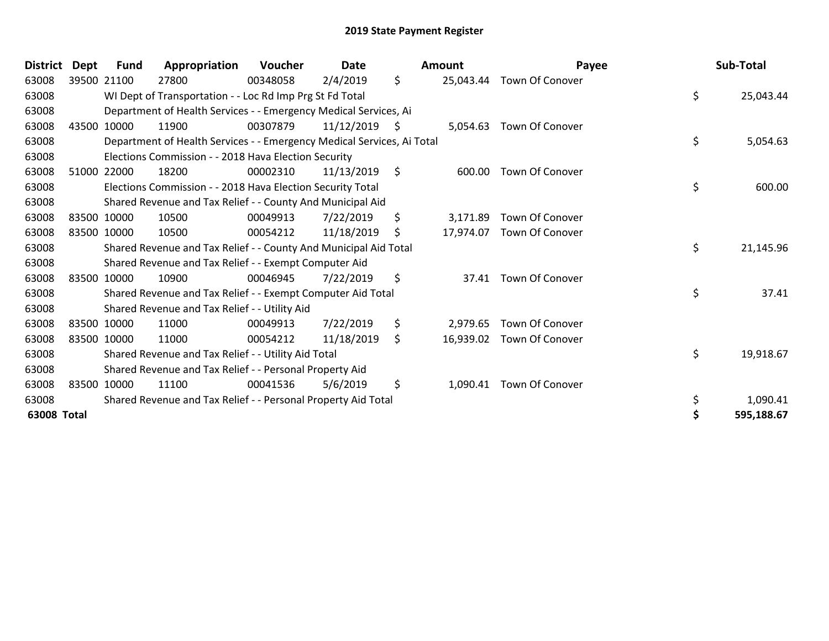| <b>District</b>    | <b>Dept</b> | <b>Fund</b> | Appropriation                                                          | Voucher  | <b>Date</b>     | <b>Amount</b>   | Payee                     | Sub-Total       |
|--------------------|-------------|-------------|------------------------------------------------------------------------|----------|-----------------|-----------------|---------------------------|-----------------|
| 63008              |             | 39500 21100 | 27800                                                                  | 00348058 | 2/4/2019        | \$<br>25,043.44 | <b>Town Of Conover</b>    |                 |
| 63008              |             |             | WI Dept of Transportation - - Loc Rd Imp Prg St Fd Total               |          |                 |                 |                           | \$<br>25,043.44 |
| 63008              |             |             | Department of Health Services - - Emergency Medical Services, Ai       |          |                 |                 |                           |                 |
| 63008              |             | 43500 10000 | 11900                                                                  | 00307879 | $11/12/2019$ \$ | 5,054.63        | <b>Town Of Conover</b>    |                 |
| 63008              |             |             | Department of Health Services - - Emergency Medical Services, Ai Total |          |                 |                 |                           | \$<br>5,054.63  |
| 63008              |             |             | Elections Commission - - 2018 Hava Election Security                   |          |                 |                 |                           |                 |
| 63008              |             | 51000 22000 | 18200                                                                  | 00002310 | 11/13/2019      | \$<br>600.00    | <b>Town Of Conover</b>    |                 |
| 63008              |             |             | Elections Commission - - 2018 Hava Election Security Total             |          |                 |                 |                           | \$<br>600.00    |
| 63008              |             |             | Shared Revenue and Tax Relief - - County And Municipal Aid             |          |                 |                 |                           |                 |
| 63008              |             | 83500 10000 | 10500                                                                  | 00049913 | 7/22/2019       | \$<br>3,171.89  | Town Of Conover           |                 |
| 63008              |             | 83500 10000 | 10500                                                                  | 00054212 | 11/18/2019      | \$              | 17,974.07 Town Of Conover |                 |
| 63008              |             |             | Shared Revenue and Tax Relief - - County And Municipal Aid Total       |          |                 |                 |                           | \$<br>21,145.96 |
| 63008              |             |             | Shared Revenue and Tax Relief - - Exempt Computer Aid                  |          |                 |                 |                           |                 |
| 63008              |             | 83500 10000 | 10900                                                                  | 00046945 | 7/22/2019       | \$              | 37.41 Town Of Conover     |                 |
| 63008              |             |             | Shared Revenue and Tax Relief - - Exempt Computer Aid Total            |          |                 |                 |                           | \$<br>37.41     |
| 63008              |             |             | Shared Revenue and Tax Relief - - Utility Aid                          |          |                 |                 |                           |                 |
| 63008              |             | 83500 10000 | 11000                                                                  | 00049913 | 7/22/2019       | \$<br>2,979.65  | <b>Town Of Conover</b>    |                 |
| 63008              |             | 83500 10000 | 11000                                                                  | 00054212 | 11/18/2019      | \$              | 16,939.02 Town Of Conover |                 |
| 63008              |             |             | Shared Revenue and Tax Relief - - Utility Aid Total                    |          |                 |                 |                           | \$<br>19,918.67 |
| 63008              |             |             | Shared Revenue and Tax Relief - - Personal Property Aid                |          |                 |                 |                           |                 |
| 63008              |             | 83500 10000 | 11100                                                                  | 00041536 | 5/6/2019        | \$              | 1,090.41 Town Of Conover  |                 |
| 63008              |             |             | Shared Revenue and Tax Relief - - Personal Property Aid Total          |          |                 |                 |                           | \$<br>1,090.41  |
| <b>63008 Total</b> |             |             |                                                                        |          |                 |                 |                           | 595,188.67      |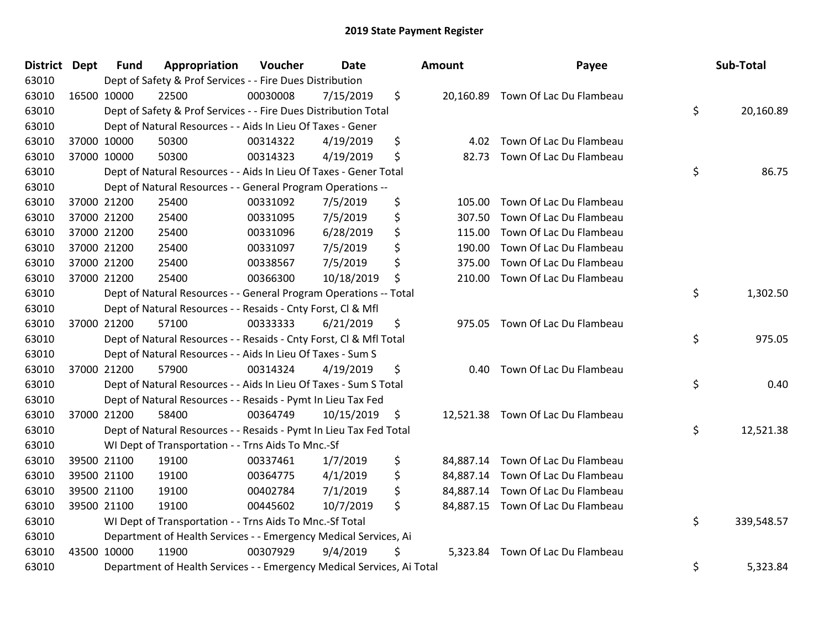| District Dept | <b>Fund</b> | Appropriation                                                          | Voucher  | <b>Date</b> |               | Amount    | Payee                             | Sub-Total        |
|---------------|-------------|------------------------------------------------------------------------|----------|-------------|---------------|-----------|-----------------------------------|------------------|
| 63010         |             | Dept of Safety & Prof Services - - Fire Dues Distribution              |          |             |               |           |                                   |                  |
| 63010         | 16500 10000 | 22500                                                                  | 00030008 | 7/15/2019   | $\frac{1}{2}$ |           | 20,160.89 Town Of Lac Du Flambeau |                  |
| 63010         |             | Dept of Safety & Prof Services - - Fire Dues Distribution Total        |          |             |               |           |                                   | \$<br>20,160.89  |
| 63010         |             | Dept of Natural Resources - - Aids In Lieu Of Taxes - Gener            |          |             |               |           |                                   |                  |
| 63010         | 37000 10000 | 50300                                                                  | 00314322 | 4/19/2019   | \$            | 4.02      | Town Of Lac Du Flambeau           |                  |
| 63010         | 37000 10000 | 50300                                                                  | 00314323 | 4/19/2019   | \$            | 82.73     | Town Of Lac Du Flambeau           |                  |
| 63010         |             | Dept of Natural Resources - - Aids In Lieu Of Taxes - Gener Total      |          |             |               |           |                                   | \$<br>86.75      |
| 63010         |             | Dept of Natural Resources - - General Program Operations --            |          |             |               |           |                                   |                  |
| 63010         | 37000 21200 | 25400                                                                  | 00331092 | 7/5/2019    | \$            | 105.00    | Town Of Lac Du Flambeau           |                  |
| 63010         | 37000 21200 | 25400                                                                  | 00331095 | 7/5/2019    | \$            | 307.50    | Town Of Lac Du Flambeau           |                  |
| 63010         | 37000 21200 | 25400                                                                  | 00331096 | 6/28/2019   | \$            | 115.00    | Town Of Lac Du Flambeau           |                  |
| 63010         | 37000 21200 | 25400                                                                  | 00331097 | 7/5/2019    | \$            | 190.00    | Town Of Lac Du Flambeau           |                  |
| 63010         | 37000 21200 | 25400                                                                  | 00338567 | 7/5/2019    | \$            | 375.00    | Town Of Lac Du Flambeau           |                  |
| 63010         | 37000 21200 | 25400                                                                  | 00366300 | 10/18/2019  | \$            | 210.00    | Town Of Lac Du Flambeau           |                  |
| 63010         |             | Dept of Natural Resources - - General Program Operations -- Total      |          |             |               |           |                                   | \$<br>1,302.50   |
| 63010         |             | Dept of Natural Resources - - Resaids - Cnty Forst, Cl & Mfl           |          |             |               |           |                                   |                  |
| 63010         | 37000 21200 | 57100                                                                  | 00333333 | 6/21/2019   | \$            | 975.05    | Town Of Lac Du Flambeau           |                  |
| 63010         |             | Dept of Natural Resources - - Resaids - Cnty Forst, Cl & Mfl Total     |          |             |               |           |                                   | \$<br>975.05     |
| 63010         |             | Dept of Natural Resources - - Aids In Lieu Of Taxes - Sum S            |          |             |               |           |                                   |                  |
| 63010         | 37000 21200 | 57900                                                                  | 00314324 | 4/19/2019   | \$            | 0.40      | Town Of Lac Du Flambeau           |                  |
| 63010         |             | Dept of Natural Resources - - Aids In Lieu Of Taxes - Sum S Total      |          |             |               |           |                                   | \$<br>0.40       |
| 63010         |             | Dept of Natural Resources - - Resaids - Pymt In Lieu Tax Fed           |          |             |               |           |                                   |                  |
| 63010         | 37000 21200 | 58400                                                                  | 00364749 | 10/15/2019  | \$            |           | 12,521.38 Town Of Lac Du Flambeau |                  |
| 63010         |             | Dept of Natural Resources - - Resaids - Pymt In Lieu Tax Fed Total     |          |             |               |           |                                   | \$<br>12,521.38  |
| 63010         |             | WI Dept of Transportation - - Trns Aids To Mnc.-Sf                     |          |             |               |           |                                   |                  |
| 63010         | 39500 21100 | 19100                                                                  | 00337461 | 1/7/2019    | \$            | 84,887.14 | Town Of Lac Du Flambeau           |                  |
| 63010         | 39500 21100 | 19100                                                                  | 00364775 | 4/1/2019    | \$            |           | 84,887.14 Town Of Lac Du Flambeau |                  |
| 63010         | 39500 21100 | 19100                                                                  | 00402784 | 7/1/2019    | \$            |           | 84,887.14 Town Of Lac Du Flambeau |                  |
| 63010         | 39500 21100 | 19100                                                                  | 00445602 | 10/7/2019   | \$            |           | 84,887.15 Town Of Lac Du Flambeau |                  |
| 63010         |             | WI Dept of Transportation - - Trns Aids To Mnc.-Sf Total               |          |             |               |           |                                   | \$<br>339,548.57 |
| 63010         |             | Department of Health Services - - Emergency Medical Services, Ai       |          |             |               |           |                                   |                  |
| 63010         | 43500 10000 | 11900                                                                  | 00307929 | 9/4/2019    | Ś             | 5,323.84  | Town Of Lac Du Flambeau           |                  |
| 63010         |             | Department of Health Services - - Emergency Medical Services, Ai Total |          |             |               |           |                                   | \$<br>5,323.84   |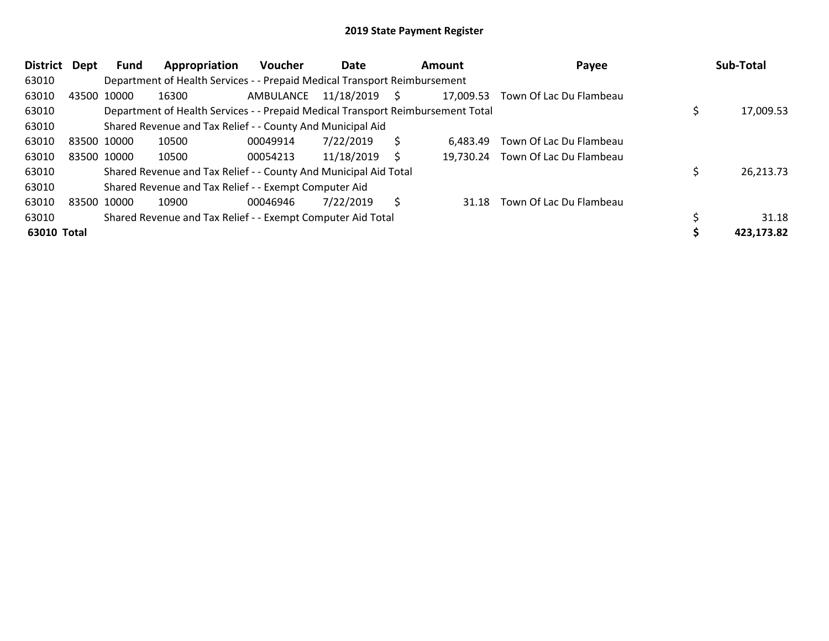| <b>District</b> | <b>Dept</b> | Fund | Appropriation                                                                   | <b>Voucher</b> | Date       |    | Amount    | Payee                   | Sub-Total  |
|-----------------|-------------|------|---------------------------------------------------------------------------------|----------------|------------|----|-----------|-------------------------|------------|
| 63010           |             |      | Department of Health Services - - Prepaid Medical Transport Reimbursement       |                |            |    |           |                         |            |
| 63010           | 43500 10000 |      | 16300                                                                           | AMBULANCE      | 11/18/2019 | S. | 17,009.53 | Town Of Lac Du Flambeau |            |
| 63010           |             |      | Department of Health Services - - Prepaid Medical Transport Reimbursement Total |                |            |    |           |                         | 17,009.53  |
| 63010           |             |      | Shared Revenue and Tax Relief - - County And Municipal Aid                      |                |            |    |           |                         |            |
| 63010           | 83500 10000 |      | 10500                                                                           | 00049914       | 7/22/2019  | S  | 6.483.49  | Town Of Lac Du Flambeau |            |
| 63010           | 83500 10000 |      | 10500                                                                           | 00054213       | 11/18/2019 | S  | 19,730.24 | Town Of Lac Du Flambeau |            |
| 63010           |             |      | Shared Revenue and Tax Relief - - County And Municipal Aid Total                |                |            |    |           |                         | 26,213.73  |
| 63010           |             |      | Shared Revenue and Tax Relief - - Exempt Computer Aid                           |                |            |    |           |                         |            |
| 63010           | 83500 10000 |      | 10900                                                                           | 00046946       | 7/22/2019  | Š. | 31.18     | Town Of Lac Du Flambeau |            |
| 63010           |             |      | Shared Revenue and Tax Relief - - Exempt Computer Aid Total                     |                |            |    |           |                         | 31.18      |
| 63010 Total     |             |      |                                                                                 |                |            |    |           |                         | 423,173.82 |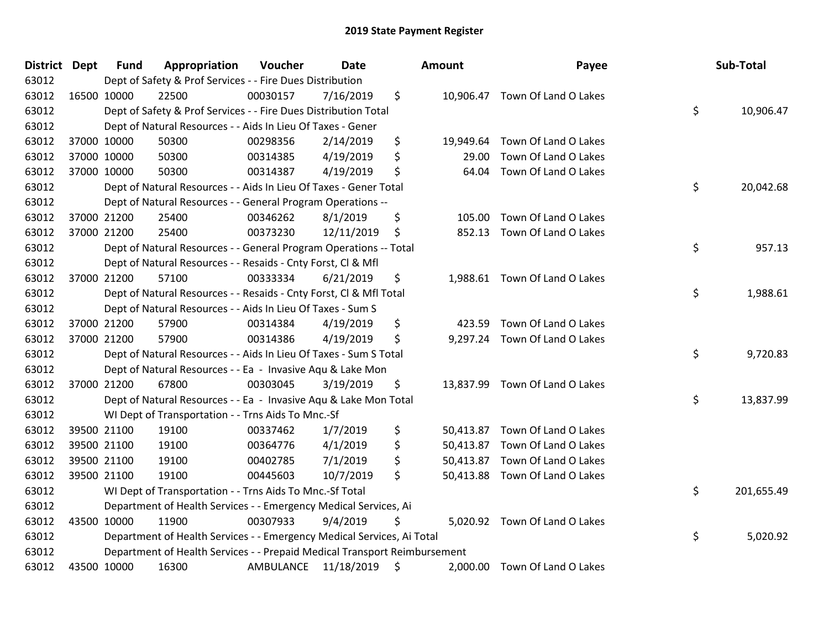| District Dept | <b>Fund</b> | Appropriation                                                             | Voucher   | <b>Date</b> | <b>Amount</b>   | Payee                          | Sub-Total        |
|---------------|-------------|---------------------------------------------------------------------------|-----------|-------------|-----------------|--------------------------------|------------------|
| 63012         |             | Dept of Safety & Prof Services - - Fire Dues Distribution                 |           |             |                 |                                |                  |
| 63012         | 16500 10000 | 22500                                                                     | 00030157  | 7/16/2019   | \$              | 10,906.47 Town Of Land O Lakes |                  |
| 63012         |             | Dept of Safety & Prof Services - - Fire Dues Distribution Total           |           |             |                 |                                | \$<br>10,906.47  |
| 63012         |             | Dept of Natural Resources - - Aids In Lieu Of Taxes - Gener               |           |             |                 |                                |                  |
| 63012         | 37000 10000 | 50300                                                                     | 00298356  | 2/14/2019   | \$<br>19,949.64 | Town Of Land O Lakes           |                  |
| 63012         | 37000 10000 | 50300                                                                     | 00314385  | 4/19/2019   | \$<br>29.00     | Town Of Land O Lakes           |                  |
| 63012         | 37000 10000 | 50300                                                                     | 00314387  | 4/19/2019   | \$<br>64.04     | Town Of Land O Lakes           |                  |
| 63012         |             | Dept of Natural Resources - - Aids In Lieu Of Taxes - Gener Total         |           |             |                 |                                | \$<br>20,042.68  |
| 63012         |             | Dept of Natural Resources - - General Program Operations --               |           |             |                 |                                |                  |
| 63012         | 37000 21200 | 25400                                                                     | 00346262  | 8/1/2019    | \$<br>105.00    | Town Of Land O Lakes           |                  |
| 63012         | 37000 21200 | 25400                                                                     | 00373230  | 12/11/2019  | \$<br>852.13    | Town Of Land O Lakes           |                  |
| 63012         |             | Dept of Natural Resources - - General Program Operations -- Total         |           |             |                 |                                | \$<br>957.13     |
| 63012         |             | Dept of Natural Resources - - Resaids - Cnty Forst, Cl & Mfl              |           |             |                 |                                |                  |
| 63012         | 37000 21200 | 57100                                                                     | 00333334  | 6/21/2019   | \$<br>1,988.61  | Town Of Land O Lakes           |                  |
| 63012         |             | Dept of Natural Resources - - Resaids - Cnty Forst, Cl & Mfl Total        |           |             |                 |                                | \$<br>1,988.61   |
| 63012         |             | Dept of Natural Resources - - Aids In Lieu Of Taxes - Sum S               |           |             |                 |                                |                  |
| 63012         | 37000 21200 | 57900                                                                     | 00314384  | 4/19/2019   | \$<br>423.59    | Town Of Land O Lakes           |                  |
| 63012         | 37000 21200 | 57900                                                                     | 00314386  | 4/19/2019   | \$              | 9,297.24 Town Of Land O Lakes  |                  |
| 63012         |             | Dept of Natural Resources - - Aids In Lieu Of Taxes - Sum S Total         |           |             |                 |                                | \$<br>9,720.83   |
| 63012         |             | Dept of Natural Resources - - Ea - Invasive Aqu & Lake Mon                |           |             |                 |                                |                  |
| 63012         | 37000 21200 | 67800                                                                     | 00303045  | 3/19/2019   | \$              | 13,837.99 Town Of Land O Lakes |                  |
| 63012         |             | Dept of Natural Resources - - Ea - Invasive Aqu & Lake Mon Total          |           |             |                 |                                | \$<br>13,837.99  |
| 63012         |             | WI Dept of Transportation - - Trns Aids To Mnc.-Sf                        |           |             |                 |                                |                  |
| 63012         | 39500 21100 | 19100                                                                     | 00337462  | 1/7/2019    | \$<br>50,413.87 | Town Of Land O Lakes           |                  |
| 63012         | 39500 21100 | 19100                                                                     | 00364776  | 4/1/2019    | \$<br>50,413.87 | Town Of Land O Lakes           |                  |
| 63012         | 39500 21100 | 19100                                                                     | 00402785  | 7/1/2019    | \$<br>50,413.87 | Town Of Land O Lakes           |                  |
| 63012         | 39500 21100 | 19100                                                                     | 00445603  | 10/7/2019   | \$              | 50,413.88 Town Of Land O Lakes |                  |
| 63012         |             | WI Dept of Transportation - - Trns Aids To Mnc.-Sf Total                  |           |             |                 |                                | \$<br>201,655.49 |
| 63012         |             | Department of Health Services - - Emergency Medical Services, Ai          |           |             |                 |                                |                  |
| 63012         | 43500 10000 | 11900                                                                     | 00307933  | 9/4/2019    | \$              | 5,020.92 Town Of Land O Lakes  |                  |
| 63012         |             | Department of Health Services - - Emergency Medical Services, Ai Total    |           |             |                 |                                | \$<br>5,020.92   |
| 63012         |             | Department of Health Services - - Prepaid Medical Transport Reimbursement |           |             |                 |                                |                  |
| 63012         | 43500 10000 | 16300                                                                     | AMBULANCE | 11/18/2019  | \$<br>2,000.00  | Town Of Land O Lakes           |                  |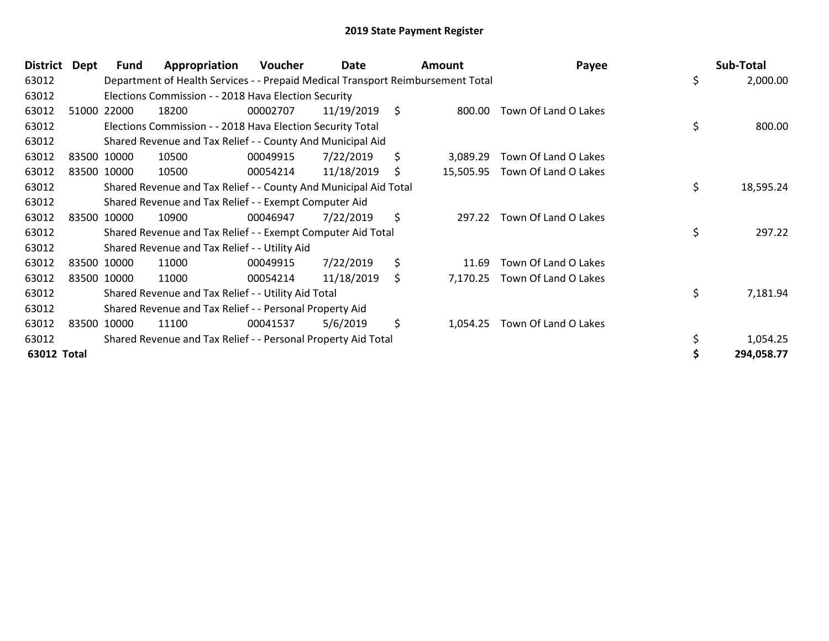| <b>District</b> | Dept | Fund        | Appropriation                                                                   | Voucher  | Date       |     | <b>Amount</b> | Payee                | Sub-Total       |
|-----------------|------|-------------|---------------------------------------------------------------------------------|----------|------------|-----|---------------|----------------------|-----------------|
| 63012           |      |             | Department of Health Services - - Prepaid Medical Transport Reimbursement Total |          |            |     |               |                      | \$<br>2,000.00  |
| 63012           |      |             | Elections Commission - - 2018 Hava Election Security                            |          |            |     |               |                      |                 |
| 63012           |      | 51000 22000 | 18200                                                                           | 00002707 | 11/19/2019 | \$  | 800.00        | Town Of Land O Lakes |                 |
| 63012           |      |             | Elections Commission - - 2018 Hava Election Security Total                      |          |            |     |               |                      | \$<br>800.00    |
| 63012           |      |             | Shared Revenue and Tax Relief - - County And Municipal Aid                      |          |            |     |               |                      |                 |
| 63012           |      | 83500 10000 | 10500                                                                           | 00049915 | 7/22/2019  | \$. | 3,089.29      | Town Of Land O Lakes |                 |
| 63012           |      | 83500 10000 | 10500                                                                           | 00054214 | 11/18/2019 | S   | 15,505.95     | Town Of Land O Lakes |                 |
| 63012           |      |             | Shared Revenue and Tax Relief - - County And Municipal Aid Total                |          |            |     |               |                      | \$<br>18,595.24 |
| 63012           |      |             | Shared Revenue and Tax Relief - - Exempt Computer Aid                           |          |            |     |               |                      |                 |
| 63012           |      | 83500 10000 | 10900                                                                           | 00046947 | 7/22/2019  | \$  | 297.22        | Town Of Land O Lakes |                 |
| 63012           |      |             | Shared Revenue and Tax Relief - - Exempt Computer Aid Total                     |          |            |     |               |                      | \$<br>297.22    |
| 63012           |      |             | Shared Revenue and Tax Relief - - Utility Aid                                   |          |            |     |               |                      |                 |
| 63012           |      | 83500 10000 | 11000                                                                           | 00049915 | 7/22/2019  | \$  | 11.69         | Town Of Land O Lakes |                 |
| 63012           |      | 83500 10000 | 11000                                                                           | 00054214 | 11/18/2019 | \$  | 7,170.25      | Town Of Land O Lakes |                 |
| 63012           |      |             | Shared Revenue and Tax Relief - - Utility Aid Total                             |          |            |     |               |                      | \$<br>7,181.94  |
| 63012           |      |             | Shared Revenue and Tax Relief - - Personal Property Aid                         |          |            |     |               |                      |                 |
| 63012           |      | 83500 10000 | 11100                                                                           | 00041537 | 5/6/2019   | \$  | 1,054.25      | Town Of Land O Lakes |                 |
| 63012           |      |             | Shared Revenue and Tax Relief - - Personal Property Aid Total                   |          |            |     |               |                      | \$<br>1,054.25  |
| 63012 Total     |      |             |                                                                                 |          |            |     |               |                      | 294,058.77      |
|                 |      |             |                                                                                 |          |            |     |               |                      |                 |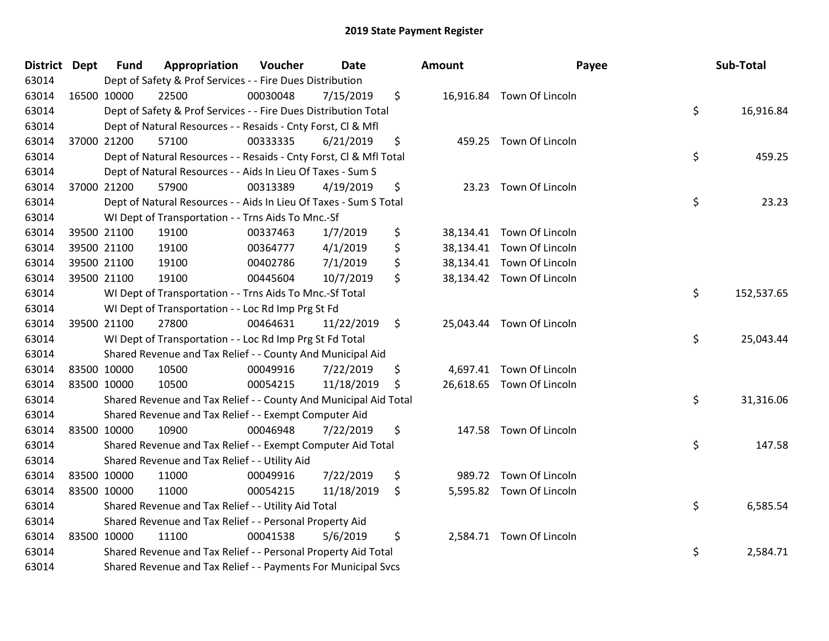| District Dept | <b>Fund</b> | Appropriation                                                      | Voucher  | <b>Date</b> | Amount       | Payee                     | Sub-Total        |
|---------------|-------------|--------------------------------------------------------------------|----------|-------------|--------------|---------------------------|------------------|
| 63014         |             | Dept of Safety & Prof Services - - Fire Dues Distribution          |          |             |              |                           |                  |
| 63014         | 16500 10000 | 22500                                                              | 00030048 | 7/15/2019   | \$           | 16,916.84 Town Of Lincoln |                  |
| 63014         |             | Dept of Safety & Prof Services - - Fire Dues Distribution Total    |          |             |              |                           | \$<br>16,916.84  |
| 63014         |             | Dept of Natural Resources - - Resaids - Cnty Forst, CI & Mfl       |          |             |              |                           |                  |
| 63014         | 37000 21200 | 57100                                                              | 00333335 | 6/21/2019   | \$<br>459.25 | Town Of Lincoln           |                  |
| 63014         |             | Dept of Natural Resources - - Resaids - Cnty Forst, CI & Mfl Total |          |             |              |                           | \$<br>459.25     |
| 63014         |             | Dept of Natural Resources - - Aids In Lieu Of Taxes - Sum S        |          |             |              |                           |                  |
| 63014         | 37000 21200 | 57900                                                              | 00313389 | 4/19/2019   | \$<br>23.23  | Town Of Lincoln           |                  |
| 63014         |             | Dept of Natural Resources - - Aids In Lieu Of Taxes - Sum S Total  |          |             |              |                           | \$<br>23.23      |
| 63014         |             | WI Dept of Transportation - - Trns Aids To Mnc.-Sf                 |          |             |              |                           |                  |
| 63014         | 39500 21100 | 19100                                                              | 00337463 | 1/7/2019    | \$           | 38,134.41 Town Of Lincoln |                  |
| 63014         | 39500 21100 | 19100                                                              | 00364777 | 4/1/2019    | \$           | 38,134.41 Town Of Lincoln |                  |
| 63014         | 39500 21100 | 19100                                                              | 00402786 | 7/1/2019    | \$           | 38,134.41 Town Of Lincoln |                  |
| 63014         | 39500 21100 | 19100                                                              | 00445604 | 10/7/2019   | \$           | 38,134.42 Town Of Lincoln |                  |
| 63014         |             | WI Dept of Transportation - - Trns Aids To Mnc.-Sf Total           |          |             |              |                           | \$<br>152,537.65 |
| 63014         |             | WI Dept of Transportation - - Loc Rd Imp Prg St Fd                 |          |             |              |                           |                  |
| 63014         | 39500 21100 | 27800                                                              | 00464631 | 11/22/2019  | \$           | 25,043.44 Town Of Lincoln |                  |
| 63014         |             | WI Dept of Transportation - - Loc Rd Imp Prg St Fd Total           |          |             |              |                           | \$<br>25,043.44  |
| 63014         |             | Shared Revenue and Tax Relief - - County And Municipal Aid         |          |             |              |                           |                  |
| 63014         | 83500 10000 | 10500                                                              | 00049916 | 7/22/2019   | \$           | 4,697.41 Town Of Lincoln  |                  |
| 63014         | 83500 10000 | 10500                                                              | 00054215 | 11/18/2019  | \$           | 26,618.65 Town Of Lincoln |                  |
| 63014         |             | Shared Revenue and Tax Relief - - County And Municipal Aid Total   |          |             |              |                           | \$<br>31,316.06  |
| 63014         |             | Shared Revenue and Tax Relief - - Exempt Computer Aid              |          |             |              |                           |                  |
| 63014         | 83500 10000 | 10900                                                              | 00046948 | 7/22/2019   | \$<br>147.58 | Town Of Lincoln           |                  |
| 63014         |             | Shared Revenue and Tax Relief - - Exempt Computer Aid Total        |          |             |              |                           | \$<br>147.58     |
| 63014         |             | Shared Revenue and Tax Relief - - Utility Aid                      |          |             |              |                           |                  |
| 63014         | 83500 10000 | 11000                                                              | 00049916 | 7/22/2019   | \$<br>989.72 | Town Of Lincoln           |                  |
| 63014         | 83500 10000 | 11000                                                              | 00054215 | 11/18/2019  | \$           | 5,595.82 Town Of Lincoln  |                  |
| 63014         |             | Shared Revenue and Tax Relief - - Utility Aid Total                |          |             |              |                           | \$<br>6,585.54   |
| 63014         |             | Shared Revenue and Tax Relief - - Personal Property Aid            |          |             |              |                           |                  |
| 63014         | 83500 10000 | 11100                                                              | 00041538 | 5/6/2019    | \$           | 2,584.71 Town Of Lincoln  |                  |
| 63014         |             | Shared Revenue and Tax Relief - - Personal Property Aid Total      |          |             |              |                           | \$<br>2,584.71   |
| 63014         |             | Shared Revenue and Tax Relief - - Payments For Municipal Svcs      |          |             |              |                           |                  |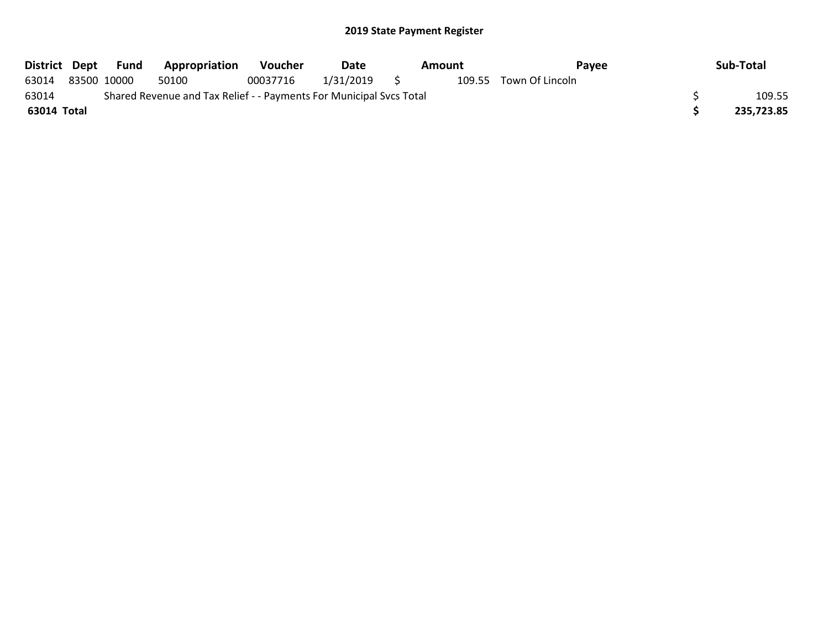| District Dept |                                                                     | Fund        | <b>Appropriation</b> | <b>Voucher</b> | Date         |  | Amount | Payee                  |  | Sub-Total  |
|---------------|---------------------------------------------------------------------|-------------|----------------------|----------------|--------------|--|--------|------------------------|--|------------|
| 63014         |                                                                     | 83500 10000 | 50100                | 00037716       | 1/31/2019 \$ |  |        | 109.55 Town Of Lincoln |  |            |
| 63014         | Shared Revenue and Tax Relief - - Payments For Municipal Svcs Total |             |                      |                |              |  |        |                        |  | 109.55     |
| 63014 Total   |                                                                     |             |                      |                |              |  |        |                        |  | 235,723.85 |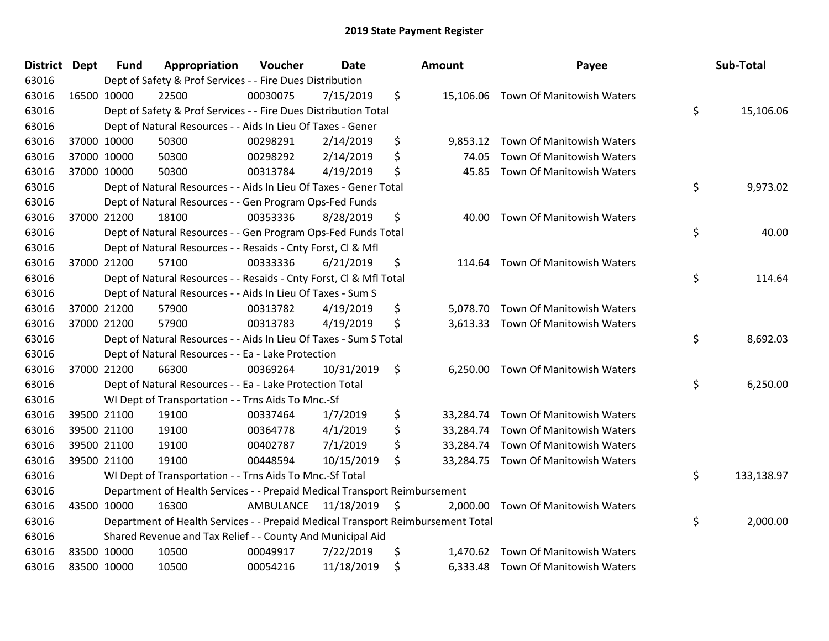| <b>District Dept</b> | <b>Fund</b> | Appropriation                                                                   | Voucher              | <b>Date</b> | <b>Amount</b>   | Payee                               | Sub-Total        |
|----------------------|-------------|---------------------------------------------------------------------------------|----------------------|-------------|-----------------|-------------------------------------|------------------|
| 63016                |             | Dept of Safety & Prof Services - - Fire Dues Distribution                       |                      |             |                 |                                     |                  |
| 63016                | 16500 10000 | 22500                                                                           | 00030075             | 7/15/2019   | \$              | 15,106.06 Town Of Manitowish Waters |                  |
| 63016                |             | Dept of Safety & Prof Services - - Fire Dues Distribution Total                 |                      |             |                 |                                     | \$<br>15,106.06  |
| 63016                |             | Dept of Natural Resources - - Aids In Lieu Of Taxes - Gener                     |                      |             |                 |                                     |                  |
| 63016                | 37000 10000 | 50300                                                                           | 00298291             | 2/14/2019   | \$<br>9,853.12  | Town Of Manitowish Waters           |                  |
| 63016                | 37000 10000 | 50300                                                                           | 00298292             | 2/14/2019   | \$<br>74.05     | Town Of Manitowish Waters           |                  |
| 63016                | 37000 10000 | 50300                                                                           | 00313784             | 4/19/2019   | \$<br>45.85     | Town Of Manitowish Waters           |                  |
| 63016                |             | Dept of Natural Resources - - Aids In Lieu Of Taxes - Gener Total               |                      |             |                 |                                     | \$<br>9,973.02   |
| 63016                |             | Dept of Natural Resources - - Gen Program Ops-Fed Funds                         |                      |             |                 |                                     |                  |
| 63016                | 37000 21200 | 18100                                                                           | 00353336             | 8/28/2019   | \$<br>40.00     | Town Of Manitowish Waters           |                  |
| 63016                |             | Dept of Natural Resources - - Gen Program Ops-Fed Funds Total                   |                      |             |                 |                                     | \$<br>40.00      |
| 63016                |             | Dept of Natural Resources - - Resaids - Cnty Forst, Cl & Mfl                    |                      |             |                 |                                     |                  |
| 63016                | 37000 21200 | 57100                                                                           | 00333336             | 6/21/2019   | \$<br>114.64    | Town Of Manitowish Waters           |                  |
| 63016                |             | Dept of Natural Resources - - Resaids - Cnty Forst, CI & Mfl Total              |                      |             |                 |                                     | \$<br>114.64     |
| 63016                |             | Dept of Natural Resources - - Aids In Lieu Of Taxes - Sum S                     |                      |             |                 |                                     |                  |
| 63016                | 37000 21200 | 57900                                                                           | 00313782             | 4/19/2019   | \$<br>5.078.70  | Town Of Manitowish Waters           |                  |
| 63016                | 37000 21200 | 57900                                                                           | 00313783             | 4/19/2019   | \$<br>3,613.33  | Town Of Manitowish Waters           |                  |
| 63016                |             | Dept of Natural Resources - - Aids In Lieu Of Taxes - Sum S Total               |                      |             |                 |                                     | \$<br>8,692.03   |
| 63016                |             | Dept of Natural Resources - - Ea - Lake Protection                              |                      |             |                 |                                     |                  |
| 63016                | 37000 21200 | 66300                                                                           | 00369264             | 10/31/2019  | \$<br>6,250.00  | Town Of Manitowish Waters           |                  |
| 63016                |             | Dept of Natural Resources - - Ea - Lake Protection Total                        |                      |             |                 |                                     | \$<br>6,250.00   |
| 63016                |             | WI Dept of Transportation - - Trns Aids To Mnc.-Sf                              |                      |             |                 |                                     |                  |
| 63016                | 39500 21100 | 19100                                                                           | 00337464             | 1/7/2019    | \$              | 33,284.74 Town Of Manitowish Waters |                  |
| 63016                | 39500 21100 | 19100                                                                           | 00364778             | 4/1/2019    | \$<br>33,284.74 | Town Of Manitowish Waters           |                  |
| 63016                | 39500 21100 | 19100                                                                           | 00402787             | 7/1/2019    | \$<br>33,284.74 | Town Of Manitowish Waters           |                  |
| 63016                | 39500 21100 | 19100                                                                           | 00448594             | 10/15/2019  | \$              | 33,284.75 Town Of Manitowish Waters |                  |
| 63016                |             | WI Dept of Transportation - - Trns Aids To Mnc.-Sf Total                        |                      |             |                 |                                     | \$<br>133,138.97 |
| 63016                |             | Department of Health Services - - Prepaid Medical Transport Reimbursement       |                      |             |                 |                                     |                  |
| 63016                | 43500 10000 | 16300                                                                           | AMBULANCE 11/18/2019 |             | \$<br>2,000.00  | Town Of Manitowish Waters           |                  |
| 63016                |             | Department of Health Services - - Prepaid Medical Transport Reimbursement Total |                      |             |                 |                                     | \$<br>2,000.00   |
| 63016                |             | Shared Revenue and Tax Relief - - County And Municipal Aid                      |                      |             |                 |                                     |                  |
| 63016                | 83500 10000 | 10500                                                                           | 00049917             | 7/22/2019   | \$<br>1,470.62  | Town Of Manitowish Waters           |                  |
| 63016                | 83500 10000 | 10500                                                                           | 00054216             | 11/18/2019  | \$              | 6,333.48 Town Of Manitowish Waters  |                  |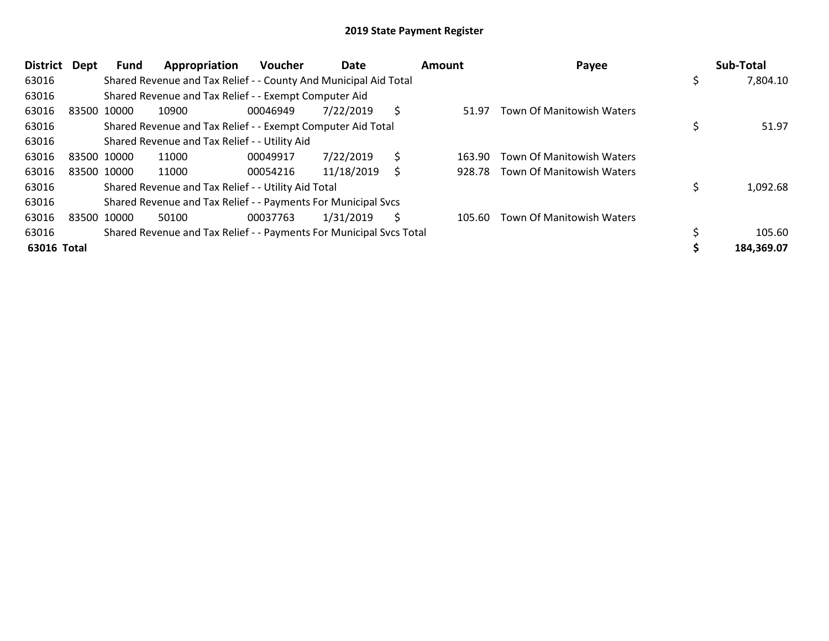| <b>District</b> | Dept | Fund        | Appropriation                                                       | <b>Voucher</b> | Date       |    | Amount | Payee                            |     | Sub-Total  |
|-----------------|------|-------------|---------------------------------------------------------------------|----------------|------------|----|--------|----------------------------------|-----|------------|
| 63016           |      |             | Shared Revenue and Tax Relief - - County And Municipal Aid Total    |                |            |    |        |                                  | \$. | 7,804.10   |
| 63016           |      |             | Shared Revenue and Tax Relief - - Exempt Computer Aid               |                |            |    |        |                                  |     |            |
| 63016           |      | 83500 10000 | 10900                                                               | 00046949       | 7/22/2019  | S  | 51.97  | <b>Town Of Manitowish Waters</b> |     |            |
| 63016           |      |             | Shared Revenue and Tax Relief - - Exempt Computer Aid Total         |                |            |    |        |                                  |     | 51.97      |
| 63016           |      |             | Shared Revenue and Tax Relief - - Utility Aid                       |                |            |    |        |                                  |     |            |
| 63016           |      | 83500 10000 | 11000                                                               | 00049917       | 7/22/2019  | \$ | 163.90 | <b>Town Of Manitowish Waters</b> |     |            |
| 63016           |      | 83500 10000 | 11000                                                               | 00054216       | 11/18/2019 |    | 928.78 | Town Of Manitowish Waters        |     |            |
| 63016           |      |             | Shared Revenue and Tax Relief - - Utility Aid Total                 |                |            |    |        |                                  |     | 1,092.68   |
| 63016           |      |             | Shared Revenue and Tax Relief - - Payments For Municipal Svcs       |                |            |    |        |                                  |     |            |
| 63016           |      | 83500 10000 | 50100                                                               | 00037763       | 1/31/2019  | S  | 105.60 | <b>Town Of Manitowish Waters</b> |     |            |
| 63016           |      |             | Shared Revenue and Tax Relief - - Payments For Municipal Svcs Total |                |            |    |        |                                  |     | 105.60     |
| 63016 Total     |      |             |                                                                     |                |            |    |        |                                  |     | 184,369.07 |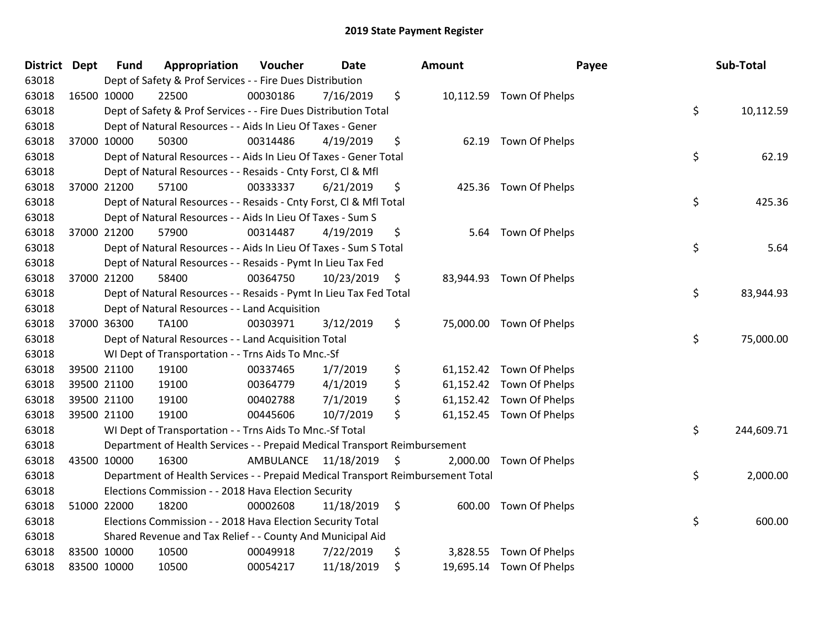| District Dept |             | <b>Fund</b> | Appropriation                                                                   | Voucher              | <b>Date</b> |                    | <b>Amount</b> | Payee                    | Sub-Total        |
|---------------|-------------|-------------|---------------------------------------------------------------------------------|----------------------|-------------|--------------------|---------------|--------------------------|------------------|
| 63018         |             |             | Dept of Safety & Prof Services - - Fire Dues Distribution                       |                      |             |                    |               |                          |                  |
| 63018         | 16500 10000 |             | 22500                                                                           | 00030186             | 7/16/2019   | \$                 |               | 10,112.59 Town Of Phelps |                  |
| 63018         |             |             | Dept of Safety & Prof Services - - Fire Dues Distribution Total                 |                      |             |                    |               |                          | \$<br>10,112.59  |
| 63018         |             |             | Dept of Natural Resources - - Aids In Lieu Of Taxes - Gener                     |                      |             |                    |               |                          |                  |
| 63018         |             | 37000 10000 | 50300                                                                           | 00314486             | 4/19/2019   | \$                 | 62.19         | Town Of Phelps           |                  |
| 63018         |             |             | Dept of Natural Resources - - Aids In Lieu Of Taxes - Gener Total               |                      |             |                    |               |                          | \$<br>62.19      |
| 63018         |             |             | Dept of Natural Resources - - Resaids - Cnty Forst, CI & Mfl                    |                      |             |                    |               |                          |                  |
| 63018         |             | 37000 21200 | 57100                                                                           | 00333337             | 6/21/2019   | \$                 |               | 425.36 Town Of Phelps    |                  |
| 63018         |             |             | Dept of Natural Resources - - Resaids - Cnty Forst, CI & Mfl Total              |                      |             |                    |               |                          | \$<br>425.36     |
| 63018         |             |             | Dept of Natural Resources - - Aids In Lieu Of Taxes - Sum S                     |                      |             |                    |               |                          |                  |
| 63018         |             | 37000 21200 | 57900                                                                           | 00314487             | 4/19/2019   | \$                 | 5.64          | Town Of Phelps           |                  |
| 63018         |             |             | Dept of Natural Resources - - Aids In Lieu Of Taxes - Sum S Total               |                      |             |                    |               |                          | \$<br>5.64       |
| 63018         |             |             | Dept of Natural Resources - - Resaids - Pymt In Lieu Tax Fed                    |                      |             |                    |               |                          |                  |
| 63018         |             | 37000 21200 | 58400                                                                           | 00364750             | 10/23/2019  | \$                 | 83,944.93     | Town Of Phelps           |                  |
| 63018         |             |             | Dept of Natural Resources - - Resaids - Pymt In Lieu Tax Fed Total              |                      |             |                    |               |                          | \$<br>83,944.93  |
| 63018         |             |             | Dept of Natural Resources - - Land Acquisition                                  |                      |             |                    |               |                          |                  |
| 63018         |             | 37000 36300 | <b>TA100</b>                                                                    | 00303971             | 3/12/2019   | \$                 |               | 75,000.00 Town Of Phelps |                  |
| 63018         |             |             | Dept of Natural Resources - - Land Acquisition Total                            |                      |             |                    |               |                          | \$<br>75,000.00  |
| 63018         |             |             | WI Dept of Transportation - - Trns Aids To Mnc.-Sf                              |                      |             |                    |               |                          |                  |
| 63018         |             | 39500 21100 | 19100                                                                           | 00337465             | 1/7/2019    | \$                 |               | 61,152.42 Town Of Phelps |                  |
| 63018         |             | 39500 21100 | 19100                                                                           | 00364779             | 4/1/2019    | \$                 |               | 61,152.42 Town Of Phelps |                  |
| 63018         |             | 39500 21100 | 19100                                                                           | 00402788             | 7/1/2019    | \$                 |               | 61,152.42 Town Of Phelps |                  |
| 63018         |             | 39500 21100 | 19100                                                                           | 00445606             | 10/7/2019   | \$                 |               | 61,152.45 Town Of Phelps |                  |
| 63018         |             |             | WI Dept of Transportation - - Trns Aids To Mnc.-Sf Total                        |                      |             |                    |               |                          | \$<br>244,609.71 |
| 63018         |             |             | Department of Health Services - - Prepaid Medical Transport Reimbursement       |                      |             |                    |               |                          |                  |
| 63018         | 43500 10000 |             | 16300                                                                           | AMBULANCE 11/18/2019 |             | $\ddot{\varsigma}$ | 2,000.00      | Town Of Phelps           |                  |
| 63018         |             |             | Department of Health Services - - Prepaid Medical Transport Reimbursement Total |                      |             |                    |               |                          | \$<br>2,000.00   |
| 63018         |             |             | Elections Commission - - 2018 Hava Election Security                            |                      |             |                    |               |                          |                  |
| 63018         |             | 51000 22000 | 18200                                                                           | 00002608             | 11/18/2019  | \$                 | 600.00        | Town Of Phelps           |                  |
| 63018         |             |             | Elections Commission - - 2018 Hava Election Security Total                      |                      |             |                    |               |                          | \$<br>600.00     |
| 63018         |             |             | Shared Revenue and Tax Relief - - County And Municipal Aid                      |                      |             |                    |               |                          |                  |
| 63018         | 83500 10000 |             | 10500                                                                           | 00049918             | 7/22/2019   | \$                 | 3,828.55      | Town Of Phelps           |                  |
| 63018         | 83500 10000 |             | 10500                                                                           | 00054217             | 11/18/2019  | \$                 |               | 19,695.14 Town Of Phelps |                  |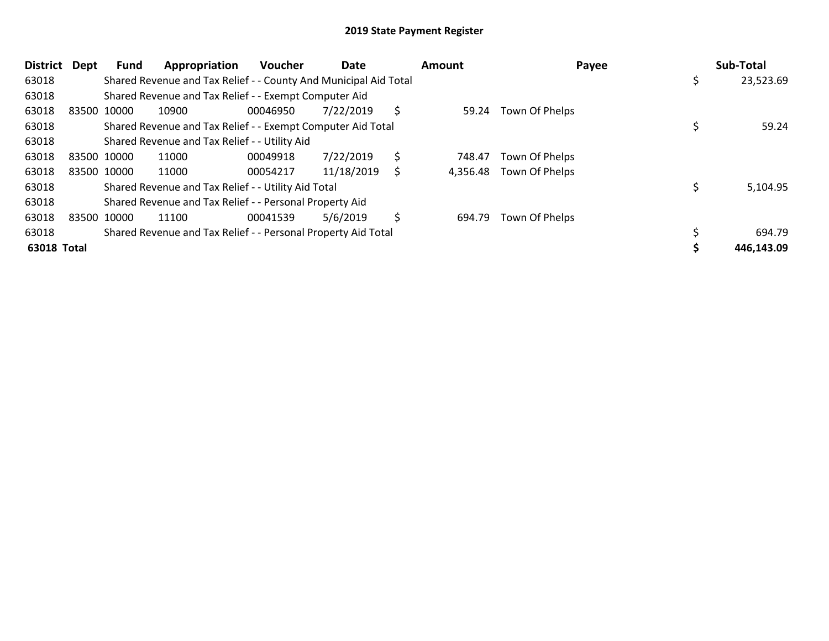| District Dept |             | Fund        | Appropriation                                                    | <b>Voucher</b> | Date       |    | Amount   | Payee          | Sub-Total       |
|---------------|-------------|-------------|------------------------------------------------------------------|----------------|------------|----|----------|----------------|-----------------|
| 63018         |             |             | Shared Revenue and Tax Relief - - County And Municipal Aid Total |                |            |    |          |                | \$<br>23,523.69 |
| 63018         |             |             | Shared Revenue and Tax Relief - - Exempt Computer Aid            |                |            |    |          |                |                 |
| 63018         | 83500 10000 |             | 10900                                                            | 00046950       | 7/22/2019  | \$ | 59.24    | Town Of Phelps |                 |
| 63018         |             |             | Shared Revenue and Tax Relief - - Exempt Computer Aid Total      |                |            |    |          |                | 59.24           |
| 63018         |             |             | Shared Revenue and Tax Relief - - Utility Aid                    |                |            |    |          |                |                 |
| 63018         | 83500 10000 |             | 11000                                                            | 00049918       | 7/22/2019  | \$ | 748.47   | Town Of Phelps |                 |
| 63018         |             | 83500 10000 | 11000                                                            | 00054217       | 11/18/2019 | Ś  | 4,356.48 | Town Of Phelps |                 |
| 63018         |             |             | Shared Revenue and Tax Relief - - Utility Aid Total              |                |            |    |          |                | 5,104.95        |
| 63018         |             |             | Shared Revenue and Tax Relief - - Personal Property Aid          |                |            |    |          |                |                 |
| 63018         | 83500 10000 |             | 11100                                                            | 00041539       | 5/6/2019   | \$ | 694.79   | Town Of Phelps |                 |
| 63018         |             |             | Shared Revenue and Tax Relief - - Personal Property Aid Total    |                |            |    |          |                | 694.79          |
| 63018 Total   |             |             |                                                                  |                |            |    |          |                | 446,143.09      |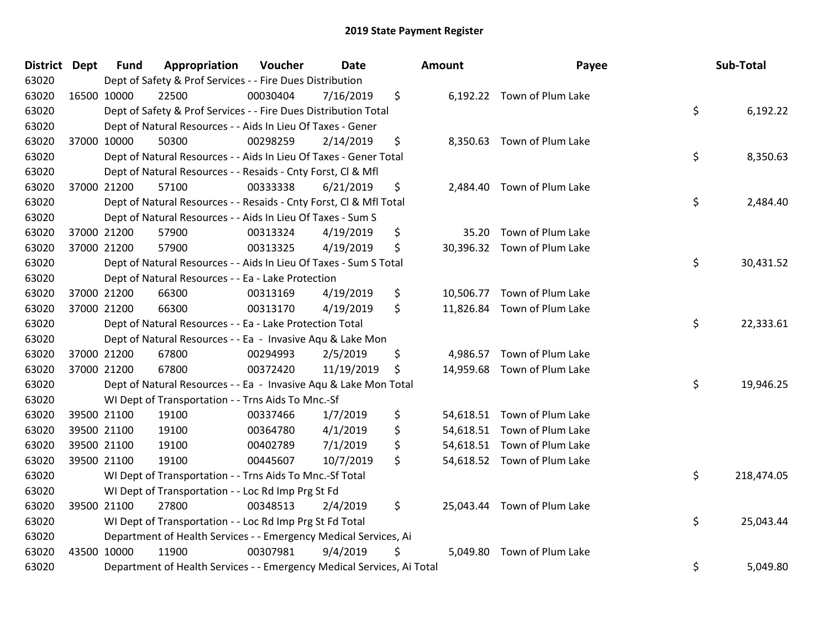| District Dept | <b>Fund</b> | Appropriation                                                          | Voucher  | <b>Date</b> | <b>Amount</b> | Payee                       | Sub-Total        |
|---------------|-------------|------------------------------------------------------------------------|----------|-------------|---------------|-----------------------------|------------------|
| 63020         |             | Dept of Safety & Prof Services - - Fire Dues Distribution              |          |             |               |                             |                  |
| 63020         | 16500 10000 | 22500                                                                  | 00030404 | 7/16/2019   | \$            | 6,192.22 Town of Plum Lake  |                  |
| 63020         |             | Dept of Safety & Prof Services - - Fire Dues Distribution Total        |          |             |               |                             | \$<br>6,192.22   |
| 63020         |             | Dept of Natural Resources - - Aids In Lieu Of Taxes - Gener            |          |             |               |                             |                  |
| 63020         | 37000 10000 | 50300                                                                  | 00298259 | 2/14/2019   | \$            | 8,350.63 Town of Plum Lake  |                  |
| 63020         |             | Dept of Natural Resources - - Aids In Lieu Of Taxes - Gener Total      |          |             |               |                             | \$<br>8,350.63   |
| 63020         |             | Dept of Natural Resources - - Resaids - Cnty Forst, Cl & Mfl           |          |             |               |                             |                  |
| 63020         | 37000 21200 | 57100                                                                  | 00333338 | 6/21/2019   | \$            | 2,484.40 Town of Plum Lake  |                  |
| 63020         |             | Dept of Natural Resources - - Resaids - Cnty Forst, CI & Mfl Total     |          |             |               |                             | \$<br>2,484.40   |
| 63020         |             | Dept of Natural Resources - - Aids In Lieu Of Taxes - Sum S            |          |             |               |                             |                  |
| 63020         | 37000 21200 | 57900                                                                  | 00313324 | 4/19/2019   | \$            | 35.20 Town of Plum Lake     |                  |
| 63020         | 37000 21200 | 57900                                                                  | 00313325 | 4/19/2019   | \$            | 30,396.32 Town of Plum Lake |                  |
| 63020         |             | Dept of Natural Resources - - Aids In Lieu Of Taxes - Sum S Total      |          |             |               |                             | \$<br>30,431.52  |
| 63020         |             | Dept of Natural Resources - - Ea - Lake Protection                     |          |             |               |                             |                  |
| 63020         | 37000 21200 | 66300                                                                  | 00313169 | 4/19/2019   | \$            | 10,506.77 Town of Plum Lake |                  |
| 63020         | 37000 21200 | 66300                                                                  | 00313170 | 4/19/2019   | \$            | 11,826.84 Town of Plum Lake |                  |
| 63020         |             | Dept of Natural Resources - - Ea - Lake Protection Total               |          |             |               |                             | \$<br>22,333.61  |
| 63020         |             | Dept of Natural Resources - - Ea - Invasive Aqu & Lake Mon             |          |             |               |                             |                  |
| 63020         | 37000 21200 | 67800                                                                  | 00294993 | 2/5/2019    | \$            | 4,986.57 Town of Plum Lake  |                  |
| 63020         | 37000 21200 | 67800                                                                  | 00372420 | 11/19/2019  | \$            | 14,959.68 Town of Plum Lake |                  |
| 63020         |             | Dept of Natural Resources - - Ea - Invasive Aqu & Lake Mon Total       |          |             |               |                             | \$<br>19,946.25  |
| 63020         |             | WI Dept of Transportation - - Trns Aids To Mnc.-Sf                     |          |             |               |                             |                  |
| 63020         | 39500 21100 | 19100                                                                  | 00337466 | 1/7/2019    | \$            | 54,618.51 Town of Plum Lake |                  |
| 63020         | 39500 21100 | 19100                                                                  | 00364780 | 4/1/2019    | \$            | 54,618.51 Town of Plum Lake |                  |
| 63020         | 39500 21100 | 19100                                                                  | 00402789 | 7/1/2019    | \$            | 54,618.51 Town of Plum Lake |                  |
| 63020         | 39500 21100 | 19100                                                                  | 00445607 | 10/7/2019   | \$            | 54,618.52 Town of Plum Lake |                  |
| 63020         |             | WI Dept of Transportation - - Trns Aids To Mnc.-Sf Total               |          |             |               |                             | \$<br>218,474.05 |
| 63020         |             | WI Dept of Transportation - - Loc Rd Imp Prg St Fd                     |          |             |               |                             |                  |
| 63020         | 39500 21100 | 27800                                                                  | 00348513 | 2/4/2019    | \$            | 25,043.44 Town of Plum Lake |                  |
| 63020         |             | WI Dept of Transportation - - Loc Rd Imp Prg St Fd Total               |          |             |               |                             | \$<br>25,043.44  |
| 63020         |             | Department of Health Services - - Emergency Medical Services, Ai       |          |             |               |                             |                  |
| 63020         | 43500 10000 | 11900                                                                  | 00307981 | 9/4/2019    | \$            | 5,049.80 Town of Plum Lake  |                  |
| 63020         |             | Department of Health Services - - Emergency Medical Services, Ai Total |          |             |               |                             | \$<br>5,049.80   |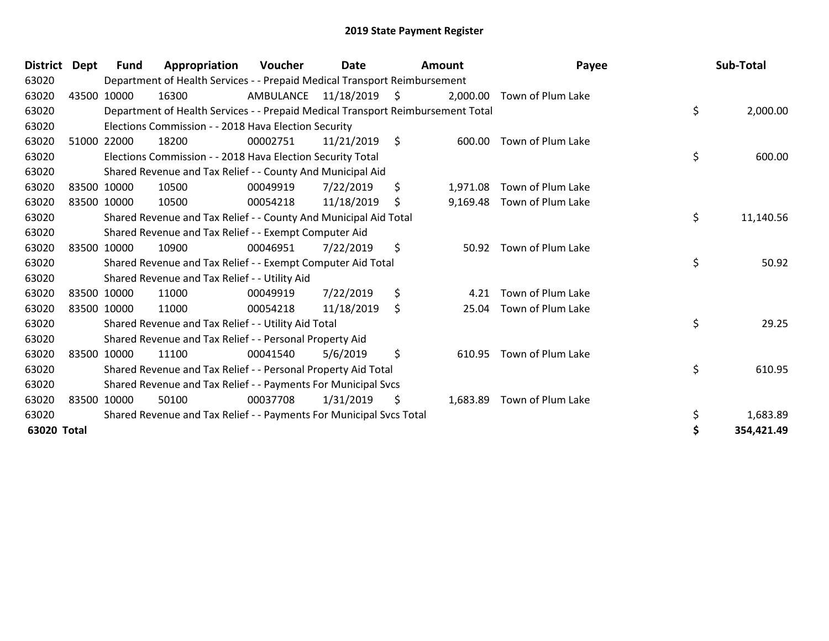| District    | Dept | <b>Fund</b> | Appropriation                                                                   | <b>Voucher</b> | Date          | Amount         | Payee             | Sub-Total       |
|-------------|------|-------------|---------------------------------------------------------------------------------|----------------|---------------|----------------|-------------------|-----------------|
| 63020       |      |             | Department of Health Services - - Prepaid Medical Transport Reimbursement       |                |               |                |                   |                 |
| 63020       |      | 43500 10000 | 16300                                                                           | AMBULANCE      | 11/18/2019 \$ | 2,000.00       | Town of Plum Lake |                 |
| 63020       |      |             | Department of Health Services - - Prepaid Medical Transport Reimbursement Total |                |               |                |                   | \$<br>2,000.00  |
| 63020       |      |             | Elections Commission - - 2018 Hava Election Security                            |                |               |                |                   |                 |
| 63020       |      | 51000 22000 | 18200                                                                           | 00002751       | 11/21/2019    | \$<br>600.00   | Town of Plum Lake |                 |
| 63020       |      |             | Elections Commission - - 2018 Hava Election Security Total                      |                |               |                |                   | \$<br>600.00    |
| 63020       |      |             | Shared Revenue and Tax Relief - - County And Municipal Aid                      |                |               |                |                   |                 |
| 63020       |      | 83500 10000 | 10500                                                                           | 00049919       | 7/22/2019     | \$<br>1,971.08 | Town of Plum Lake |                 |
| 63020       |      | 83500 10000 | 10500                                                                           | 00054218       | 11/18/2019    | \$<br>9,169.48 | Town of Plum Lake |                 |
| 63020       |      |             | Shared Revenue and Tax Relief - - County And Municipal Aid Total                |                |               |                |                   | \$<br>11,140.56 |
| 63020       |      |             | Shared Revenue and Tax Relief - - Exempt Computer Aid                           |                |               |                |                   |                 |
| 63020       |      | 83500 10000 | 10900                                                                           | 00046951       | 7/22/2019     | \$<br>50.92    | Town of Plum Lake |                 |
| 63020       |      |             | Shared Revenue and Tax Relief - - Exempt Computer Aid Total                     |                |               |                |                   | \$<br>50.92     |
| 63020       |      |             | Shared Revenue and Tax Relief - - Utility Aid                                   |                |               |                |                   |                 |
| 63020       |      | 83500 10000 | 11000                                                                           | 00049919       | 7/22/2019     | \$<br>4.21     | Town of Plum Lake |                 |
| 63020       |      | 83500 10000 | 11000                                                                           | 00054218       | 11/18/2019    | \$<br>25.04    | Town of Plum Lake |                 |
| 63020       |      |             | Shared Revenue and Tax Relief - - Utility Aid Total                             |                |               |                |                   | \$<br>29.25     |
| 63020       |      |             | Shared Revenue and Tax Relief - - Personal Property Aid                         |                |               |                |                   |                 |
| 63020       |      | 83500 10000 | 11100                                                                           | 00041540       | 5/6/2019      | \$<br>610.95   | Town of Plum Lake |                 |
| 63020       |      |             | Shared Revenue and Tax Relief - - Personal Property Aid Total                   |                |               |                |                   | \$<br>610.95    |
| 63020       |      |             | Shared Revenue and Tax Relief - - Payments For Municipal Svcs                   |                |               |                |                   |                 |
| 63020       |      | 83500 10000 | 50100                                                                           | 00037708       | 1/31/2019     | \$<br>1,683.89 | Town of Plum Lake |                 |
| 63020       |      |             | Shared Revenue and Tax Relief - - Payments For Municipal Svcs Total             |                |               |                |                   | \$<br>1,683.89  |
| 63020 Total |      |             |                                                                                 |                |               |                |                   | 354,421.49      |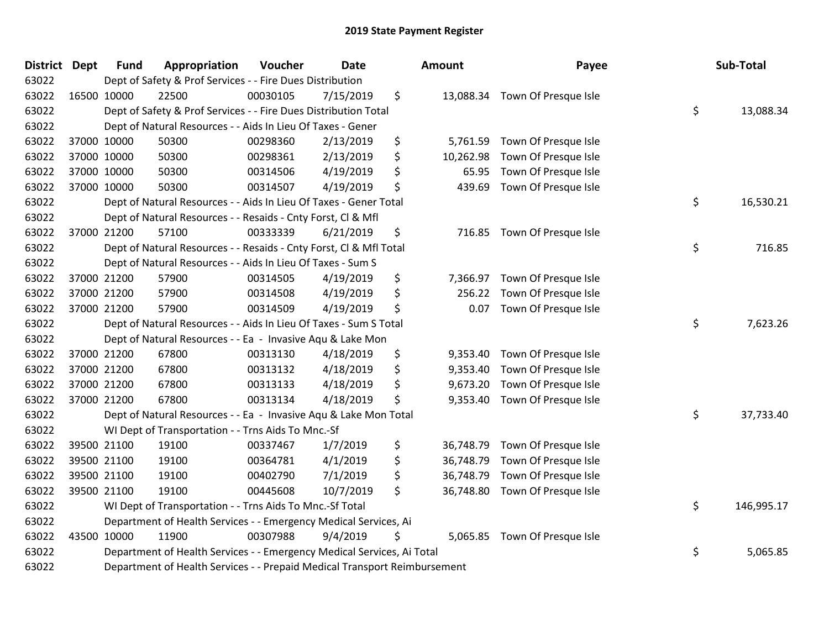| District Dept | <b>Fund</b> | Appropriation                                                             | Voucher  | Date      | <b>Amount</b>   | Payee                          | Sub-Total        |
|---------------|-------------|---------------------------------------------------------------------------|----------|-----------|-----------------|--------------------------------|------------------|
| 63022         |             | Dept of Safety & Prof Services - - Fire Dues Distribution                 |          |           |                 |                                |                  |
| 63022         | 16500 10000 | 22500                                                                     | 00030105 | 7/15/2019 | \$              | 13,088.34 Town Of Presque Isle |                  |
| 63022         |             | Dept of Safety & Prof Services - - Fire Dues Distribution Total           |          |           |                 |                                | \$<br>13,088.34  |
| 63022         |             | Dept of Natural Resources - - Aids In Lieu Of Taxes - Gener               |          |           |                 |                                |                  |
| 63022         | 37000 10000 | 50300                                                                     | 00298360 | 2/13/2019 | \$<br>5,761.59  | Town Of Presque Isle           |                  |
| 63022         | 37000 10000 | 50300                                                                     | 00298361 | 2/13/2019 | \$<br>10,262.98 | Town Of Presque Isle           |                  |
| 63022         | 37000 10000 | 50300                                                                     | 00314506 | 4/19/2019 | \$<br>65.95     | Town Of Presque Isle           |                  |
| 63022         | 37000 10000 | 50300                                                                     | 00314507 | 4/19/2019 | \$<br>439.69    | Town Of Presque Isle           |                  |
| 63022         |             | Dept of Natural Resources - - Aids In Lieu Of Taxes - Gener Total         |          |           |                 |                                | \$<br>16,530.21  |
| 63022         |             | Dept of Natural Resources - - Resaids - Cnty Forst, Cl & Mfl              |          |           |                 |                                |                  |
| 63022         | 37000 21200 | 57100                                                                     | 00333339 | 6/21/2019 | \$              | 716.85 Town Of Presque Isle    |                  |
| 63022         |             | Dept of Natural Resources - - Resaids - Cnty Forst, Cl & Mfl Total        |          |           |                 |                                | \$<br>716.85     |
| 63022         |             | Dept of Natural Resources - - Aids In Lieu Of Taxes - Sum S               |          |           |                 |                                |                  |
| 63022         | 37000 21200 | 57900                                                                     | 00314505 | 4/19/2019 | \$<br>7,366.97  | Town Of Presque Isle           |                  |
| 63022         | 37000 21200 | 57900                                                                     | 00314508 | 4/19/2019 | \$<br>256.22    | Town Of Presque Isle           |                  |
| 63022         | 37000 21200 | 57900                                                                     | 00314509 | 4/19/2019 | \$<br>0.07      | Town Of Presque Isle           |                  |
| 63022         |             | Dept of Natural Resources - - Aids In Lieu Of Taxes - Sum S Total         |          |           |                 |                                | \$<br>7,623.26   |
| 63022         |             | Dept of Natural Resources - - Ea - Invasive Aqu & Lake Mon                |          |           |                 |                                |                  |
| 63022         | 37000 21200 | 67800                                                                     | 00313130 | 4/18/2019 | \$<br>9,353.40  | Town Of Presque Isle           |                  |
| 63022         | 37000 21200 | 67800                                                                     | 00313132 | 4/18/2019 | \$<br>9,353.40  | Town Of Presque Isle           |                  |
| 63022         | 37000 21200 | 67800                                                                     | 00313133 | 4/18/2019 | \$<br>9,673.20  | Town Of Presque Isle           |                  |
| 63022         | 37000 21200 | 67800                                                                     | 00313134 | 4/18/2019 | \$<br>9,353.40  | Town Of Presque Isle           |                  |
| 63022         |             | Dept of Natural Resources - - Ea - Invasive Aqu & Lake Mon Total          |          |           |                 |                                | \$<br>37,733.40  |
| 63022         |             | WI Dept of Transportation - - Trns Aids To Mnc.-Sf                        |          |           |                 |                                |                  |
| 63022         | 39500 21100 | 19100                                                                     | 00337467 | 1/7/2019  | \$<br>36,748.79 | Town Of Presque Isle           |                  |
| 63022         | 39500 21100 | 19100                                                                     | 00364781 | 4/1/2019  | \$<br>36,748.79 | Town Of Presque Isle           |                  |
| 63022         | 39500 21100 | 19100                                                                     | 00402790 | 7/1/2019  | \$<br>36,748.79 | Town Of Presque Isle           |                  |
| 63022         | 39500 21100 | 19100                                                                     | 00445608 | 10/7/2019 | \$<br>36,748.80 | Town Of Presque Isle           |                  |
| 63022         |             | WI Dept of Transportation - - Trns Aids To Mnc.-Sf Total                  |          |           |                 |                                | \$<br>146,995.17 |
| 63022         |             | Department of Health Services - - Emergency Medical Services, Ai          |          |           |                 |                                |                  |
| 63022         | 43500 10000 | 11900                                                                     | 00307988 | 9/4/2019  | \$<br>5,065.85  | Town Of Presque Isle           |                  |
| 63022         |             | Department of Health Services - - Emergency Medical Services, Ai Total    |          |           |                 |                                | \$<br>5,065.85   |
| 63022         |             | Department of Health Services - - Prepaid Medical Transport Reimbursement |          |           |                 |                                |                  |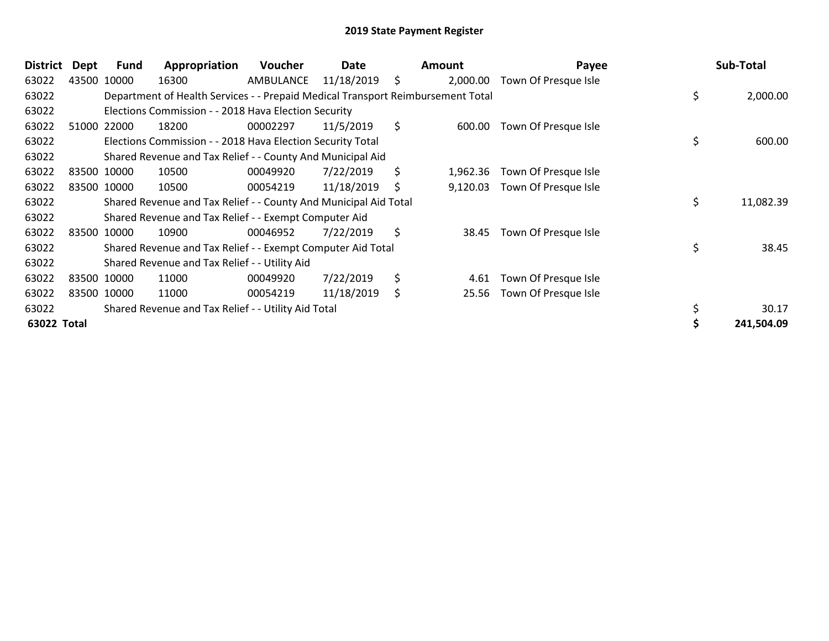| <b>District</b> | Dept | Fund        | Appropriation                                                                   | <b>Voucher</b> | Date       |    | Amount   | Payee                | Sub-Total       |
|-----------------|------|-------------|---------------------------------------------------------------------------------|----------------|------------|----|----------|----------------------|-----------------|
| 63022           |      | 43500 10000 | 16300                                                                           | AMBULANCE      | 11/18/2019 | \$ | 2,000.00 | Town Of Presque Isle |                 |
| 63022           |      |             | Department of Health Services - - Prepaid Medical Transport Reimbursement Total |                |            |    |          |                      | \$<br>2,000.00  |
| 63022           |      |             | Elections Commission - - 2018 Hava Election Security                            |                |            |    |          |                      |                 |
| 63022           |      | 51000 22000 | 18200                                                                           | 00002297       | 11/5/2019  | \$ | 600.00   | Town Of Presque Isle |                 |
| 63022           |      |             | Elections Commission - - 2018 Hava Election Security Total                      |                |            |    |          |                      | \$<br>600.00    |
| 63022           |      |             | Shared Revenue and Tax Relief - - County And Municipal Aid                      |                |            |    |          |                      |                 |
| 63022           |      | 83500 10000 | 10500                                                                           | 00049920       | 7/22/2019  | \$ | 1,962.36 | Town Of Presque Isle |                 |
| 63022           |      | 83500 10000 | 10500                                                                           | 00054219       | 11/18/2019 | S  | 9,120.03 | Town Of Presque Isle |                 |
| 63022           |      |             | Shared Revenue and Tax Relief - - County And Municipal Aid Total                |                |            |    |          |                      | \$<br>11,082.39 |
| 63022           |      |             | Shared Revenue and Tax Relief - - Exempt Computer Aid                           |                |            |    |          |                      |                 |
| 63022           |      | 83500 10000 | 10900                                                                           | 00046952       | 7/22/2019  | \$ | 38.45    | Town Of Presque Isle |                 |
| 63022           |      |             | Shared Revenue and Tax Relief - - Exempt Computer Aid Total                     |                |            |    |          |                      | \$<br>38.45     |
| 63022           |      |             | Shared Revenue and Tax Relief - - Utility Aid                                   |                |            |    |          |                      |                 |
| 63022           |      | 83500 10000 | 11000                                                                           | 00049920       | 7/22/2019  | \$ | 4.61     | Town Of Presque Isle |                 |
| 63022           |      | 83500 10000 | 11000                                                                           | 00054219       | 11/18/2019 | \$ | 25.56    | Town Of Presque Isle |                 |
| 63022           |      |             | Shared Revenue and Tax Relief - - Utility Aid Total                             |                |            |    |          |                      | 30.17           |
| 63022 Total     |      |             |                                                                                 |                |            |    |          |                      | 241,504.09      |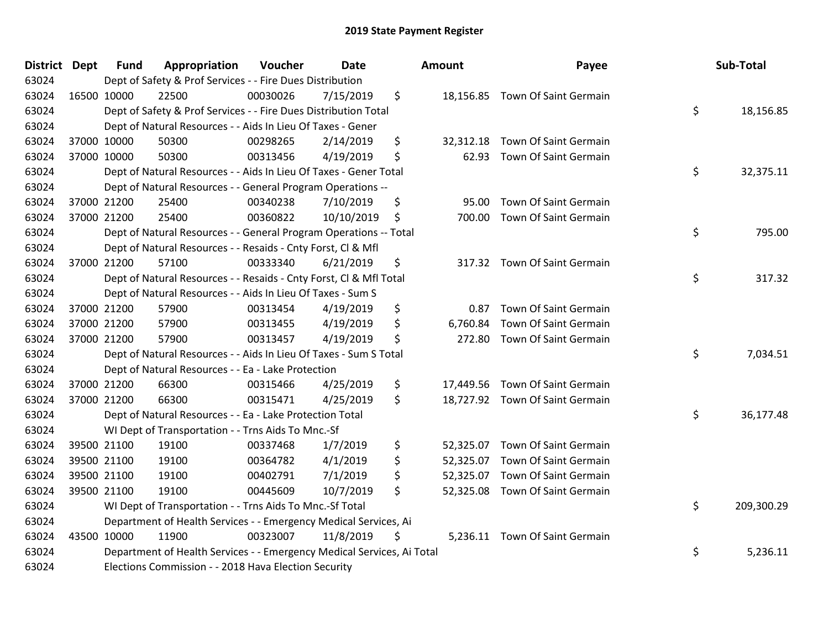| District Dept | <b>Fund</b> | Appropriation                                                          | Voucher  | <b>Date</b> | <b>Amount</b>   | Payee                           | Sub-Total        |
|---------------|-------------|------------------------------------------------------------------------|----------|-------------|-----------------|---------------------------------|------------------|
| 63024         |             | Dept of Safety & Prof Services - - Fire Dues Distribution              |          |             |                 |                                 |                  |
| 63024         | 16500 10000 | 22500                                                                  | 00030026 | 7/15/2019   | \$              | 18,156.85 Town Of Saint Germain |                  |
| 63024         |             | Dept of Safety & Prof Services - - Fire Dues Distribution Total        |          |             |                 |                                 | \$<br>18,156.85  |
| 63024         |             | Dept of Natural Resources - - Aids In Lieu Of Taxes - Gener            |          |             |                 |                                 |                  |
| 63024         | 37000 10000 | 50300                                                                  | 00298265 | 2/14/2019   | \$              | 32,312.18 Town Of Saint Germain |                  |
| 63024         | 37000 10000 | 50300                                                                  | 00313456 | 4/19/2019   | \$<br>62.93     | <b>Town Of Saint Germain</b>    |                  |
| 63024         |             | Dept of Natural Resources - - Aids In Lieu Of Taxes - Gener Total      |          |             |                 |                                 | \$<br>32,375.11  |
| 63024         |             | Dept of Natural Resources - - General Program Operations --            |          |             |                 |                                 |                  |
| 63024         | 37000 21200 | 25400                                                                  | 00340238 | 7/10/2019   | \$<br>95.00     | Town Of Saint Germain           |                  |
| 63024         | 37000 21200 | 25400                                                                  | 00360822 | 10/10/2019  | \$<br>700.00    | Town Of Saint Germain           |                  |
| 63024         |             | Dept of Natural Resources - - General Program Operations -- Total      |          |             |                 |                                 | \$<br>795.00     |
| 63024         |             | Dept of Natural Resources - - Resaids - Cnty Forst, Cl & Mfl           |          |             |                 |                                 |                  |
| 63024         | 37000 21200 | 57100                                                                  | 00333340 | 6/21/2019   | \$              | 317.32 Town Of Saint Germain    |                  |
| 63024         |             | Dept of Natural Resources - - Resaids - Cnty Forst, Cl & Mfl Total     |          |             |                 |                                 | \$<br>317.32     |
| 63024         |             | Dept of Natural Resources - - Aids In Lieu Of Taxes - Sum S            |          |             |                 |                                 |                  |
| 63024         | 37000 21200 | 57900                                                                  | 00313454 | 4/19/2019   | \$<br>0.87      | Town Of Saint Germain           |                  |
| 63024         | 37000 21200 | 57900                                                                  | 00313455 | 4/19/2019   | \$<br>6,760.84  | Town Of Saint Germain           |                  |
| 63024         | 37000 21200 | 57900                                                                  | 00313457 | 4/19/2019   | \$<br>272.80    | Town Of Saint Germain           |                  |
| 63024         |             | Dept of Natural Resources - - Aids In Lieu Of Taxes - Sum S Total      |          |             |                 |                                 | \$<br>7,034.51   |
| 63024         |             | Dept of Natural Resources - - Ea - Lake Protection                     |          |             |                 |                                 |                  |
| 63024         | 37000 21200 | 66300                                                                  | 00315466 | 4/25/2019   | \$              | 17,449.56 Town Of Saint Germain |                  |
| 63024         | 37000 21200 | 66300                                                                  | 00315471 | 4/25/2019   | \$              | 18,727.92 Town Of Saint Germain |                  |
| 63024         |             | Dept of Natural Resources - - Ea - Lake Protection Total               |          |             |                 |                                 | \$<br>36,177.48  |
| 63024         |             | WI Dept of Transportation - - Trns Aids To Mnc.-Sf                     |          |             |                 |                                 |                  |
| 63024         | 39500 21100 | 19100                                                                  | 00337468 | 1/7/2019    | \$<br>52,325.07 | Town Of Saint Germain           |                  |
| 63024         | 39500 21100 | 19100                                                                  | 00364782 | 4/1/2019    | \$<br>52,325.07 | Town Of Saint Germain           |                  |
| 63024         | 39500 21100 | 19100                                                                  | 00402791 | 7/1/2019    | \$<br>52,325.07 | Town Of Saint Germain           |                  |
| 63024         | 39500 21100 | 19100                                                                  | 00445609 | 10/7/2019   | \$              | 52,325.08 Town Of Saint Germain |                  |
| 63024         |             | WI Dept of Transportation - - Trns Aids To Mnc.-Sf Total               |          |             |                 |                                 | \$<br>209,300.29 |
| 63024         |             | Department of Health Services - - Emergency Medical Services, Ai       |          |             |                 |                                 |                  |
| 63024         | 43500 10000 | 11900                                                                  | 00323007 | 11/8/2019   | \$              | 5,236.11 Town Of Saint Germain  |                  |
| 63024         |             | Department of Health Services - - Emergency Medical Services, Ai Total |          |             |                 |                                 | \$<br>5,236.11   |
| 63024         |             | Elections Commission - - 2018 Hava Election Security                   |          |             |                 |                                 |                  |

| Sub-Total  | rayee                        |       |
|------------|------------------------------|-------|
| 18,156.85  | \$<br>Town Of Saint Germain  | 6.85  |
|            | 12.18 Town Of Saint Germain  |       |
| 32,375.11  | \$<br>Town Of Saint Germain  | 52.93 |
|            | <b>Town Of Saint Germain</b> | 95.00 |
| 795.00     | \$<br>Town Of Saint Germain  | 0.00  |
|            | 17.32 Town Of Saint Germain  |       |
| 317.32     | \$                           |       |
|            | Town Of Saint Germain        | 0.87  |
|            | Town Of Saint Germain        | 0.84٪ |
|            | Town Of Saint Germain        | 2.80  |
| 7,034.51   | \$                           |       |
|            | 19.56 Town Of Saint Germain  |       |
|            | Town Of Saint Germain        | 27.92 |
| 36,177.48  | \$                           |       |
|            | Town Of Saint Germain        | 25.07 |
|            | Town Of Saint Germain        | 25.07 |
|            | <b>Town Of Saint Germain</b> | 25.07 |
|            | Town Of Saint Germain        | 25.08 |
| 209,300.29 | \$                           |       |
|            | Town Of Saint Germain        | 36.11 |
| 5,236.11   | \$                           |       |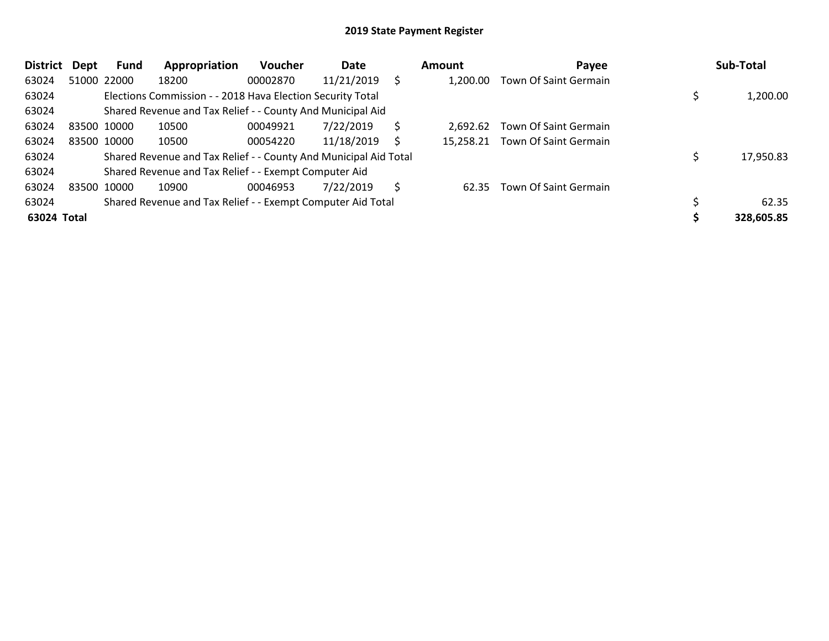| <b>District</b> | Dept        | Fund        | Appropriation                                                    | <b>Voucher</b> | Date       |   | Amount   | Payee                           | Sub-Total  |
|-----------------|-------------|-------------|------------------------------------------------------------------|----------------|------------|---|----------|---------------------------------|------------|
| 63024           |             | 51000 22000 | 18200                                                            | 00002870       | 11/21/2019 | Ś | 1.200.00 | Town Of Saint Germain           |            |
| 63024           |             |             | Elections Commission - - 2018 Hava Election Security Total       |                |            |   |          |                                 | 1,200.00   |
| 63024           |             |             | Shared Revenue and Tax Relief - - County And Municipal Aid       |                |            |   |          |                                 |            |
| 63024           | 83500 10000 |             | 10500                                                            | 00049921       | 7/22/2019  | S | 2.692.62 | Town Of Saint Germain           |            |
| 63024           |             | 83500 10000 | 10500                                                            | 00054220       | 11/18/2019 |   |          | 15,258.21 Town Of Saint Germain |            |
| 63024           |             |             | Shared Revenue and Tax Relief - - County And Municipal Aid Total |                |            |   |          |                                 | 17,950.83  |
| 63024           |             |             | Shared Revenue and Tax Relief - - Exempt Computer Aid            |                |            |   |          |                                 |            |
| 63024           |             | 83500 10000 | 10900                                                            | 00046953       | 7/22/2019  | S | 62.35    | Town Of Saint Germain           |            |
| 63024           |             |             | Shared Revenue and Tax Relief - - Exempt Computer Aid Total      |                |            |   |          |                                 | 62.35      |
| 63024 Total     |             |             |                                                                  |                |            |   |          |                                 | 328,605.85 |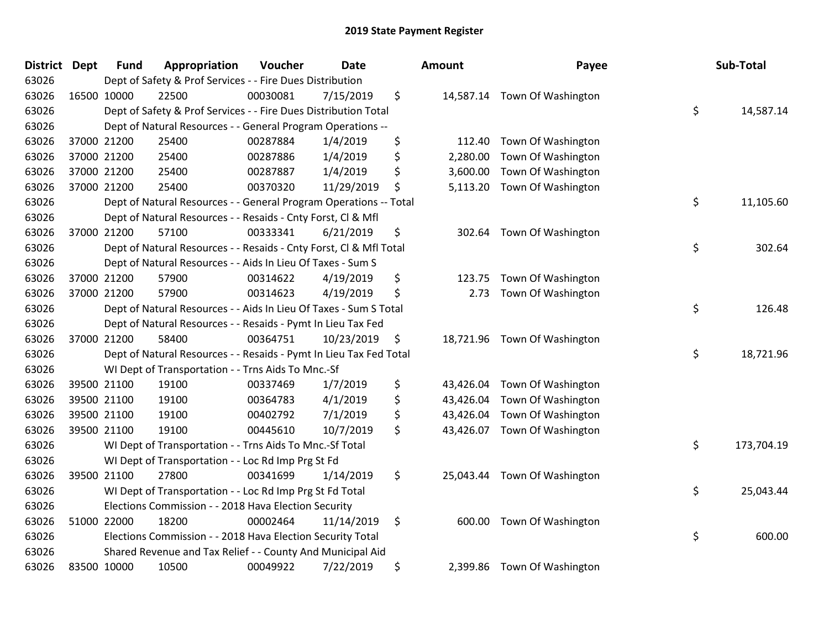| District Dept |             | <b>Fund</b> | Appropriation                                                      | Voucher  | <b>Date</b> | <b>Amount</b>   | Payee                        | Sub-Total        |
|---------------|-------------|-------------|--------------------------------------------------------------------|----------|-------------|-----------------|------------------------------|------------------|
| 63026         |             |             | Dept of Safety & Prof Services - - Fire Dues Distribution          |          |             |                 |                              |                  |
| 63026         | 16500 10000 |             | 22500                                                              | 00030081 | 7/15/2019   | \$              | 14,587.14 Town Of Washington |                  |
| 63026         |             |             | Dept of Safety & Prof Services - - Fire Dues Distribution Total    |          |             |                 |                              | \$<br>14,587.14  |
| 63026         |             |             | Dept of Natural Resources - - General Program Operations --        |          |             |                 |                              |                  |
| 63026         | 37000 21200 |             | 25400                                                              | 00287884 | 1/4/2019    | \$<br>112.40    | Town Of Washington           |                  |
| 63026         |             | 37000 21200 | 25400                                                              | 00287886 | 1/4/2019    | \$<br>2,280.00  | Town Of Washington           |                  |
| 63026         | 37000 21200 |             | 25400                                                              | 00287887 | 1/4/2019    | \$<br>3,600.00  | Town Of Washington           |                  |
| 63026         | 37000 21200 |             | 25400                                                              | 00370320 | 11/29/2019  | \$<br>5,113.20  | Town Of Washington           |                  |
| 63026         |             |             | Dept of Natural Resources - - General Program Operations -- Total  |          |             |                 |                              | \$<br>11,105.60  |
| 63026         |             |             | Dept of Natural Resources - - Resaids - Cnty Forst, Cl & Mfl       |          |             |                 |                              |                  |
| 63026         |             | 37000 21200 | 57100                                                              | 00333341 | 6/21/2019   | \$              | 302.64 Town Of Washington    |                  |
| 63026         |             |             | Dept of Natural Resources - - Resaids - Cnty Forst, Cl & Mfl Total |          |             |                 |                              | \$<br>302.64     |
| 63026         |             |             | Dept of Natural Resources - - Aids In Lieu Of Taxes - Sum S        |          |             |                 |                              |                  |
| 63026         | 37000 21200 |             | 57900                                                              | 00314622 | 4/19/2019   | \$<br>123.75    | Town Of Washington           |                  |
| 63026         |             | 37000 21200 | 57900                                                              | 00314623 | 4/19/2019   | \$<br>2.73      | Town Of Washington           |                  |
| 63026         |             |             | Dept of Natural Resources - - Aids In Lieu Of Taxes - Sum S Total  |          |             |                 |                              | \$<br>126.48     |
| 63026         |             |             | Dept of Natural Resources - - Resaids - Pymt In Lieu Tax Fed       |          |             |                 |                              |                  |
| 63026         | 37000 21200 |             | 58400                                                              | 00364751 | 10/23/2019  | \$              | 18,721.96 Town Of Washington |                  |
| 63026         |             |             | Dept of Natural Resources - - Resaids - Pymt In Lieu Tax Fed Total |          |             |                 |                              | \$<br>18,721.96  |
| 63026         |             |             | WI Dept of Transportation - - Trns Aids To Mnc.-Sf                 |          |             |                 |                              |                  |
| 63026         |             | 39500 21100 | 19100                                                              | 00337469 | 1/7/2019    | \$<br>43,426.04 | Town Of Washington           |                  |
| 63026         |             | 39500 21100 | 19100                                                              | 00364783 | 4/1/2019    | \$<br>43,426.04 | Town Of Washington           |                  |
| 63026         | 39500 21100 |             | 19100                                                              | 00402792 | 7/1/2019    | \$<br>43,426.04 | Town Of Washington           |                  |
| 63026         | 39500 21100 |             | 19100                                                              | 00445610 | 10/7/2019   | \$<br>43,426.07 | Town Of Washington           |                  |
| 63026         |             |             | WI Dept of Transportation - - Trns Aids To Mnc.-Sf Total           |          |             |                 |                              | \$<br>173,704.19 |
| 63026         |             |             | WI Dept of Transportation - - Loc Rd Imp Prg St Fd                 |          |             |                 |                              |                  |
| 63026         |             | 39500 21100 | 27800                                                              | 00341699 | 1/14/2019   | \$              | 25,043.44 Town Of Washington |                  |
| 63026         |             |             | WI Dept of Transportation - - Loc Rd Imp Prg St Fd Total           |          |             |                 |                              | \$<br>25,043.44  |
| 63026         |             |             | Elections Commission - - 2018 Hava Election Security               |          |             |                 |                              |                  |
| 63026         | 51000 22000 |             | 18200                                                              | 00002464 | 11/14/2019  | \$<br>600.00    | Town Of Washington           |                  |
| 63026         |             |             | Elections Commission - - 2018 Hava Election Security Total         |          |             |                 |                              | \$<br>600.00     |
| 63026         |             |             | Shared Revenue and Tax Relief - - County And Municipal Aid         |          |             |                 |                              |                  |
| 63026         | 83500 10000 |             | 10500                                                              | 00049922 | 7/22/2019   | \$              | 2,399.86 Town Of Washington  |                  |

| ount      | Payee              | Sub-Total        |
|-----------|--------------------|------------------|
| 14,587.14 | Town Of Washington | \$<br>14,587.14  |
| 112.40    | Town Of Washington |                  |
| 2,280.00  | Town Of Washington |                  |
| 3,600.00  | Town Of Washington |                  |
| 5,113.20  | Town Of Washington |                  |
|           |                    | \$<br>11,105.60  |
| 302.64    | Town Of Washington |                  |
|           |                    | \$<br>302.64     |
| 123.75    | Town Of Washington |                  |
| 2.73      | Town Of Washington |                  |
|           |                    | \$<br>126.48     |
| 18,721.96 | Town Of Washington |                  |
|           |                    | \$<br>18,721.96  |
| 43,426.04 | Town Of Washington |                  |
| 43,426.04 | Town Of Washington |                  |
| 43,426.04 | Town Of Washington |                  |
| 43,426.07 | Town Of Washington |                  |
|           |                    | \$<br>173,704.19 |
| 25,043.44 | Town Of Washington |                  |
|           |                    | \$<br>25,043.44  |
| 600.00    | Town Of Washington |                  |
|           |                    | \$<br>600.00     |
| 2,399.86  | Town Of Washington |                  |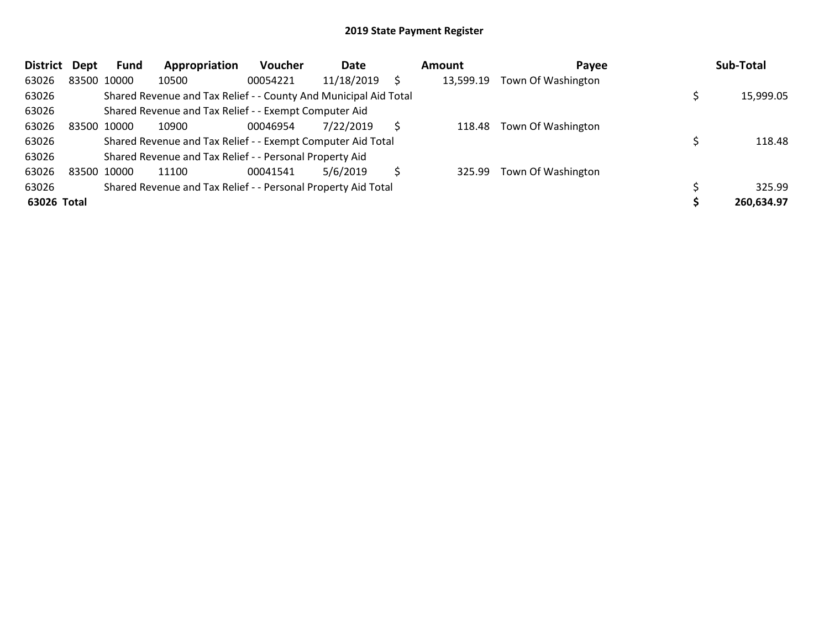| <b>District</b> | Dept | Fund        | Appropriation                                                    | <b>Voucher</b> | Date       |    | Amount    | Payee              | Sub-Total  |
|-----------------|------|-------------|------------------------------------------------------------------|----------------|------------|----|-----------|--------------------|------------|
| 63026           |      | 83500 10000 | 10500                                                            | 00054221       | 11/18/2019 |    | 13,599.19 | Town Of Washington |            |
| 63026           |      |             | Shared Revenue and Tax Relief - - County And Municipal Aid Total |                |            |    |           |                    | 15,999.05  |
| 63026           |      |             | Shared Revenue and Tax Relief - - Exempt Computer Aid            |                |            |    |           |                    |            |
| 63026           |      | 83500 10000 | 10900                                                            | 00046954       | 7/22/2019  | S  | 118.48    | Town Of Washington |            |
| 63026           |      |             | Shared Revenue and Tax Relief - - Exempt Computer Aid Total      |                |            |    |           |                    | 118.48     |
| 63026           |      |             | Shared Revenue and Tax Relief - - Personal Property Aid          |                |            |    |           |                    |            |
| 63026           |      | 83500 10000 | 11100                                                            | 00041541       | 5/6/2019   | Ś. | 325.99    | Town Of Washington |            |
| 63026           |      |             | Shared Revenue and Tax Relief - - Personal Property Aid Total    |                |            |    |           |                    | 325.99     |
| 63026 Total     |      |             |                                                                  |                |            |    |           |                    | 260,634.97 |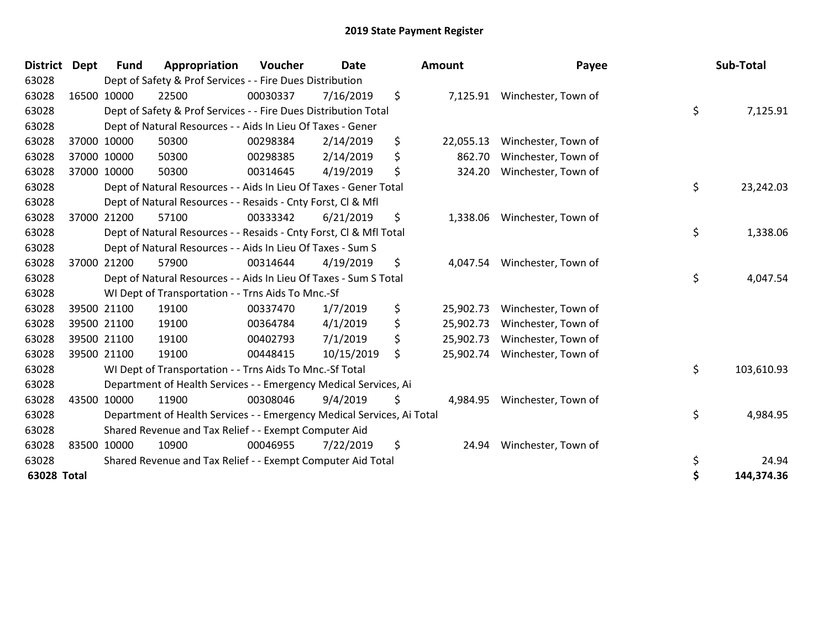| <b>District</b> | <b>Dept</b> | <b>Fund</b> | Appropriation                                                          | Voucher  | <b>Date</b> | Amount          | Payee               | Sub-Total        |
|-----------------|-------------|-------------|------------------------------------------------------------------------|----------|-------------|-----------------|---------------------|------------------|
| 63028           |             |             | Dept of Safety & Prof Services - - Fire Dues Distribution              |          |             |                 |                     |                  |
| 63028           |             | 16500 10000 | 22500                                                                  | 00030337 | 7/16/2019   | \$<br>7,125.91  | Winchester, Town of |                  |
| 63028           |             |             | Dept of Safety & Prof Services - - Fire Dues Distribution Total        |          |             |                 |                     | \$<br>7,125.91   |
| 63028           |             |             | Dept of Natural Resources - - Aids In Lieu Of Taxes - Gener            |          |             |                 |                     |                  |
| 63028           |             | 37000 10000 | 50300                                                                  | 00298384 | 2/14/2019   | \$<br>22,055.13 | Winchester, Town of |                  |
| 63028           |             | 37000 10000 | 50300                                                                  | 00298385 | 2/14/2019   | \$<br>862.70    | Winchester, Town of |                  |
| 63028           |             | 37000 10000 | 50300                                                                  | 00314645 | 4/19/2019   | \$<br>324.20    | Winchester, Town of |                  |
| 63028           |             |             | Dept of Natural Resources - - Aids In Lieu Of Taxes - Gener Total      |          |             |                 |                     | \$<br>23,242.03  |
| 63028           |             |             | Dept of Natural Resources - - Resaids - Cnty Forst, CI & Mfl           |          |             |                 |                     |                  |
| 63028           |             | 37000 21200 | 57100                                                                  | 00333342 | 6/21/2019   | \$<br>1,338.06  | Winchester, Town of |                  |
| 63028           |             |             | Dept of Natural Resources - - Resaids - Cnty Forst, CI & Mfl Total     |          |             |                 |                     | \$<br>1,338.06   |
| 63028           |             |             | Dept of Natural Resources - - Aids In Lieu Of Taxes - Sum S            |          |             |                 |                     |                  |
| 63028           |             | 37000 21200 | 57900                                                                  | 00314644 | 4/19/2019   | \$<br>4,047.54  | Winchester, Town of |                  |
| 63028           |             |             | Dept of Natural Resources - - Aids In Lieu Of Taxes - Sum S Total      |          |             |                 |                     | \$<br>4,047.54   |
| 63028           |             |             | WI Dept of Transportation - - Trns Aids To Mnc.-Sf                     |          |             |                 |                     |                  |
| 63028           |             | 39500 21100 | 19100                                                                  | 00337470 | 1/7/2019    | \$<br>25,902.73 | Winchester, Town of |                  |
| 63028           |             | 39500 21100 | 19100                                                                  | 00364784 | 4/1/2019    | \$<br>25,902.73 | Winchester, Town of |                  |
| 63028           |             | 39500 21100 | 19100                                                                  | 00402793 | 7/1/2019    | \$<br>25,902.73 | Winchester, Town of |                  |
| 63028           |             | 39500 21100 | 19100                                                                  | 00448415 | 10/15/2019  | \$<br>25,902.74 | Winchester, Town of |                  |
| 63028           |             |             | WI Dept of Transportation - - Trns Aids To Mnc.-Sf Total               |          |             |                 |                     | \$<br>103,610.93 |
| 63028           |             |             | Department of Health Services - - Emergency Medical Services, Ai       |          |             |                 |                     |                  |
| 63028           |             | 43500 10000 | 11900                                                                  | 00308046 | 9/4/2019    | \$<br>4,984.95  | Winchester, Town of |                  |
| 63028           |             |             | Department of Health Services - - Emergency Medical Services, Ai Total |          |             |                 |                     | \$<br>4,984.95   |
| 63028           |             |             | Shared Revenue and Tax Relief - - Exempt Computer Aid                  |          |             |                 |                     |                  |
| 63028           |             | 83500 10000 | 10900                                                                  | 00046955 | 7/22/2019   | \$<br>24.94     | Winchester, Town of |                  |
| 63028           |             |             | Shared Revenue and Tax Relief - - Exempt Computer Aid Total            |          |             |                 |                     | \$<br>24.94      |
| 63028 Total     |             |             |                                                                        |          |             |                 |                     | \$<br>144,374.36 |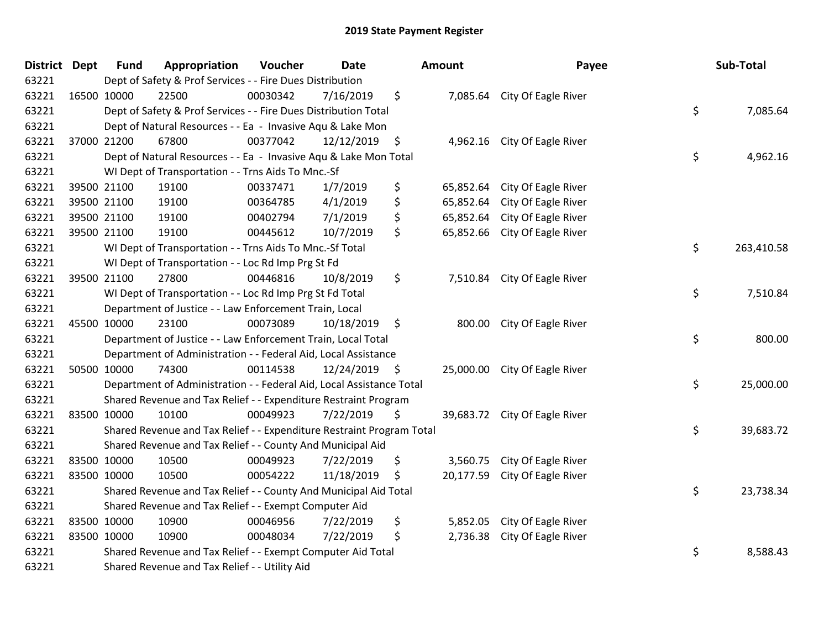| District Dept |             | <b>Fund</b> | Appropriation                                                         | Voucher  | <b>Date</b>     |               | Amount    | Payee                         | Sub-Total        |
|---------------|-------------|-------------|-----------------------------------------------------------------------|----------|-----------------|---------------|-----------|-------------------------------|------------------|
| 63221         |             |             | Dept of Safety & Prof Services - - Fire Dues Distribution             |          |                 |               |           |                               |                  |
| 63221         |             | 16500 10000 | 22500                                                                 | 00030342 | 7/16/2019       | \$            |           | 7,085.64 City Of Eagle River  |                  |
| 63221         |             |             | Dept of Safety & Prof Services - - Fire Dues Distribution Total       |          |                 |               |           |                               | \$<br>7,085.64   |
| 63221         |             |             | Dept of Natural Resources - - Ea - Invasive Aqu & Lake Mon            |          |                 |               |           |                               |                  |
| 63221         |             | 37000 21200 | 67800                                                                 | 00377042 | $12/12/2019$ \$ |               | 4,962.16  | City Of Eagle River           |                  |
| 63221         |             |             | Dept of Natural Resources - - Ea - Invasive Aqu & Lake Mon Total      |          |                 |               |           |                               | \$<br>4,962.16   |
| 63221         |             |             | WI Dept of Transportation - - Trns Aids To Mnc.-Sf                    |          |                 |               |           |                               |                  |
| 63221         |             | 39500 21100 | 19100                                                                 | 00337471 | 1/7/2019        | \$            | 65,852.64 | City Of Eagle River           |                  |
| 63221         |             | 39500 21100 | 19100                                                                 | 00364785 | 4/1/2019        | \$            | 65,852.64 | City Of Eagle River           |                  |
| 63221         |             | 39500 21100 | 19100                                                                 | 00402794 | 7/1/2019        | \$            | 65,852.64 | City Of Eagle River           |                  |
| 63221         |             | 39500 21100 | 19100                                                                 | 00445612 | 10/7/2019       | \$.           | 65,852.66 | City Of Eagle River           |                  |
| 63221         |             |             | WI Dept of Transportation - - Trns Aids To Mnc.-Sf Total              |          |                 |               |           |                               | \$<br>263,410.58 |
| 63221         |             |             | WI Dept of Transportation - - Loc Rd Imp Prg St Fd                    |          |                 |               |           |                               |                  |
| 63221         |             | 39500 21100 | 27800                                                                 | 00446816 | 10/8/2019       | \$            | 7,510.84  | City Of Eagle River           |                  |
| 63221         |             |             | WI Dept of Transportation - - Loc Rd Imp Prg St Fd Total              |          |                 |               |           |                               | \$<br>7,510.84   |
| 63221         |             |             | Department of Justice - - Law Enforcement Train, Local                |          |                 |               |           |                               |                  |
| 63221         |             | 45500 10000 | 23100                                                                 | 00073089 | 10/18/2019      | $\ddot{\phi}$ | 800.00    | City Of Eagle River           |                  |
| 63221         |             |             | Department of Justice - - Law Enforcement Train, Local Total          |          |                 |               |           |                               | \$<br>800.00     |
| 63221         |             |             | Department of Administration - - Federal Aid, Local Assistance        |          |                 |               |           |                               |                  |
| 63221         |             | 50500 10000 | 74300                                                                 | 00114538 | 12/24/2019 \$   |               |           | 25,000.00 City Of Eagle River |                  |
| 63221         |             |             | Department of Administration - - Federal Aid, Local Assistance Total  |          |                 |               |           |                               | \$<br>25,000.00  |
| 63221         |             |             | Shared Revenue and Tax Relief - - Expenditure Restraint Program       |          |                 |               |           |                               |                  |
| 63221         |             | 83500 10000 | 10100                                                                 | 00049923 | 7/22/2019       | \$            |           | 39,683.72 City Of Eagle River |                  |
| 63221         |             |             | Shared Revenue and Tax Relief - - Expenditure Restraint Program Total |          |                 |               |           |                               | \$<br>39,683.72  |
| 63221         |             |             | Shared Revenue and Tax Relief - - County And Municipal Aid            |          |                 |               |           |                               |                  |
| 63221         |             | 83500 10000 | 10500                                                                 | 00049923 | 7/22/2019       | \$            | 3,560.75  | City Of Eagle River           |                  |
| 63221         | 83500 10000 |             | 10500                                                                 | 00054222 | 11/18/2019      | \$            |           | 20,177.59 City Of Eagle River |                  |
| 63221         |             |             | Shared Revenue and Tax Relief - - County And Municipal Aid Total      |          |                 |               |           |                               | \$<br>23,738.34  |
| 63221         |             |             | Shared Revenue and Tax Relief - - Exempt Computer Aid                 |          |                 |               |           |                               |                  |
| 63221         |             | 83500 10000 | 10900                                                                 | 00046956 | 7/22/2019       | \$            | 5,852.05  | City Of Eagle River           |                  |
| 63221         |             | 83500 10000 | 10900                                                                 | 00048034 | 7/22/2019       | \$            | 2,736.38  | City Of Eagle River           |                  |
| 63221         |             |             | Shared Revenue and Tax Relief - - Exempt Computer Aid Total           |          |                 |               |           |                               | \$<br>8,588.43   |
| 63221         |             |             | Shared Revenue and Tax Relief - - Utility Aid                         |          |                 |               |           |                               |                  |